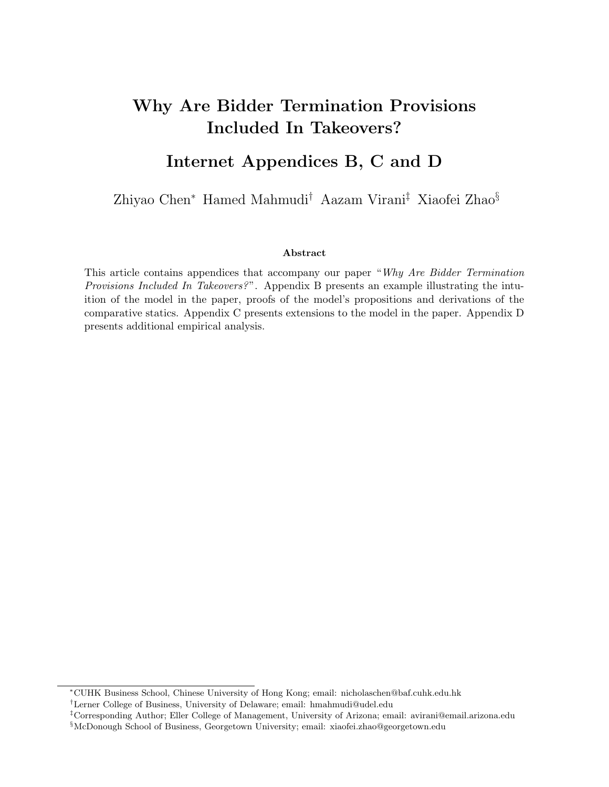# Why Are Bidder Termination Provisions Included In Takeovers?

# Internet Appendices B, C and D

Zhiyao Chen<sup>∗</sup> Hamed Mahmudi† Aazam Virani‡ Xiaofei Zhao§

## Abstract

This article contains appendices that accompany our paper "Why Are Bidder Termination Provisions Included In Takeovers?". Appendix B presents an example illustrating the intuition of the model in the paper, proofs of the model's propositions and derivations of the comparative statics. Appendix C presents extensions to the model in the paper. Appendix D presents additional empirical analysis.

<sup>∗</sup>CUHK Business School, Chinese University of Hong Kong; email: nicholaschen@baf.cuhk.edu.hk

<sup>†</sup>Lerner College of Business, University of Delaware; email: hmahmudi@udel.edu

<sup>‡</sup>Corresponding Author; Eller College of Management, University of Arizona; email: avirani@email.arizona.edu §McDonough School of Business, Georgetown University; email: xiaofei.zhao@georgetown.edu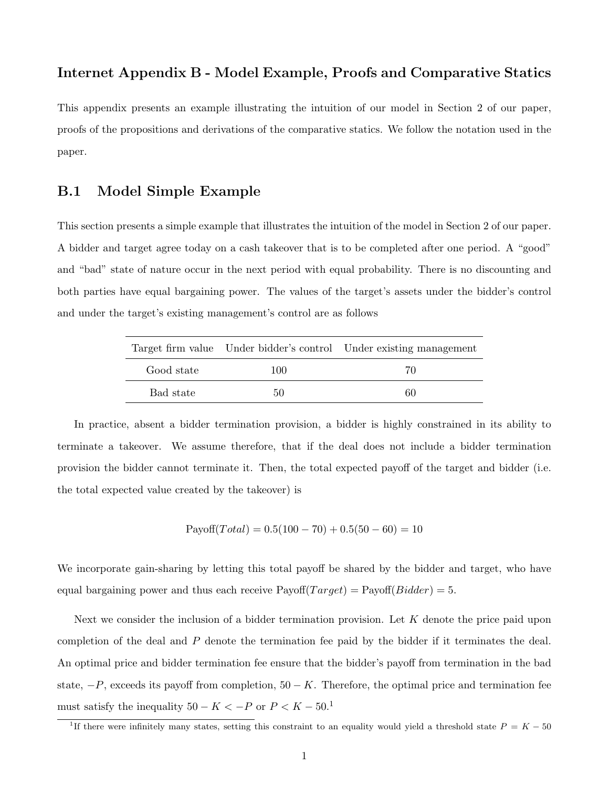# Internet Appendix B - Model Example, Proofs and Comparative Statics

This appendix presents an example illustrating the intuition of our model in Section 2 of our paper, proofs of the propositions and derivations of the comparative statics. We follow the notation used in the paper.

## B.1 Model Simple Example

This section presents a simple example that illustrates the intuition of the model in Section 2 of our paper. A bidder and target agree today on a cash takeover that is to be completed after one period. A "good" and "bad" state of nature occur in the next period with equal probability. There is no discounting and both parties have equal bargaining power. The values of the target's assets under the bidder's control and under the target's existing management's control are as follows

|            |     | Target firm value Under bidder's control Under existing management |
|------------|-----|--------------------------------------------------------------------|
| Good state | 100 | 70                                                                 |
| Bad state  | 50  | 60                                                                 |

In practice, absent a bidder termination provision, a bidder is highly constrained in its ability to terminate a takeover. We assume therefore, that if the deal does not include a bidder termination provision the bidder cannot terminate it. Then, the total expected payoff of the target and bidder (i.e. the total expected value created by the takeover) is

 $Payoff(Total) = 0.5(100 - 70) + 0.5(50 - 60) = 10$ 

We incorporate gain-sharing by letting this total payoff be shared by the bidder and target, who have equal bargaining power and thus each receive  $Payoff(Target) = Payoff(Bidden) = 5.$ 

Next we consider the inclusion of a bidder termination provision. Let  $K$  denote the price paid upon completion of the deal and  $P$  denote the termination fee paid by the bidder if it terminates the deal. An optimal price and bidder termination fee ensure that the bidder's payoff from termination in the bad state,  $-P$ , exceeds its payoff from completion,  $50 - K$ . Therefore, the optimal price and termination fee must satisfy the inequality  $50 - K < -P$  or  $P < K - 50$ .<sup>1</sup>

<sup>&</sup>lt;sup>1</sup>If there were infinitely many states, setting this constraint to an equality would yield a threshold state  $P = K - 50$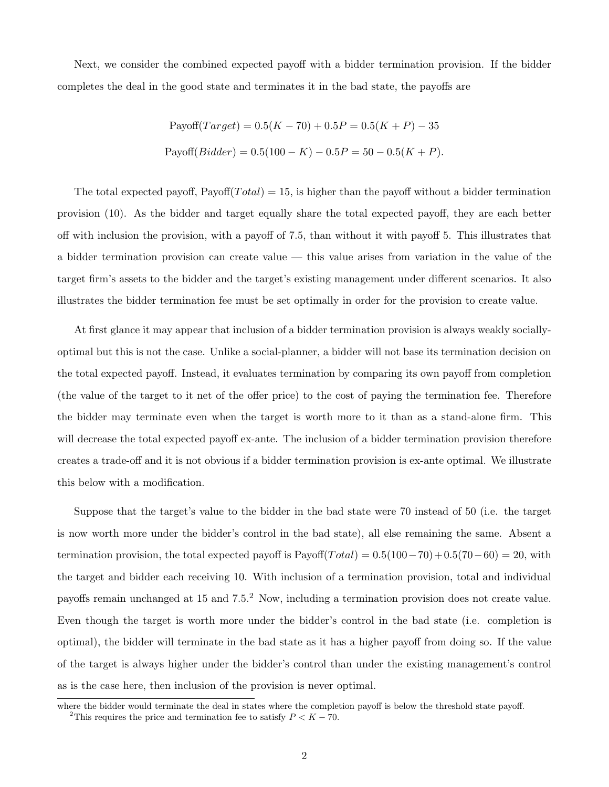Next, we consider the combined expected payoff with a bidder termination provision. If the bidder completes the deal in the good state and terminates it in the bad state, the payoffs are

Payoff(*Target*) = 
$$
0.5(K - 70) + 0.5P = 0.5(K + P) - 35
$$
  
Payoff(*Bidder*) =  $0.5(100 - K) - 0.5P = 50 - 0.5(K + P)$ .

The total expected payoff,  $Payoff(Total) = 15$ , is higher than the payoff without a bidder termination provision (10). As the bidder and target equally share the total expected payoff, they are each better off with inclusion the provision, with a payoff of 7.5, than without it with payoff 5. This illustrates that a bidder termination provision can create value — this value arises from variation in the value of the target firm's assets to the bidder and the target's existing management under different scenarios. It also illustrates the bidder termination fee must be set optimally in order for the provision to create value.

At first glance it may appear that inclusion of a bidder termination provision is always weakly sociallyoptimal but this is not the case. Unlike a social-planner, a bidder will not base its termination decision on the total expected payoff. Instead, it evaluates termination by comparing its own payoff from completion (the value of the target to it net of the offer price) to the cost of paying the termination fee. Therefore the bidder may terminate even when the target is worth more to it than as a stand-alone firm. This will decrease the total expected payoff ex-ante. The inclusion of a bidder termination provision therefore creates a trade-off and it is not obvious if a bidder termination provision is ex-ante optimal. We illustrate this below with a modification.

Suppose that the target's value to the bidder in the bad state were 70 instead of 50 (i.e. the target is now worth more under the bidder's control in the bad state), all else remaining the same. Absent a termination provision, the total expected payoff is  $Payoff(Total) = 0.5(100-70) + 0.5(70-60) = 20$ , with the target and bidder each receiving 10. With inclusion of a termination provision, total and individual payoffs remain unchanged at 15 and 7.5.<sup>2</sup> Now, including a termination provision does not create value. Even though the target is worth more under the bidder's control in the bad state (i.e. completion is optimal), the bidder will terminate in the bad state as it has a higher payoff from doing so. If the value of the target is always higher under the bidder's control than under the existing management's control as is the case here, then inclusion of the provision is never optimal.

where the bidder would terminate the deal in states where the completion payoff is below the threshold state payoff. <sup>2</sup>This requires the price and termination fee to satisfy  $P < K - 70$ .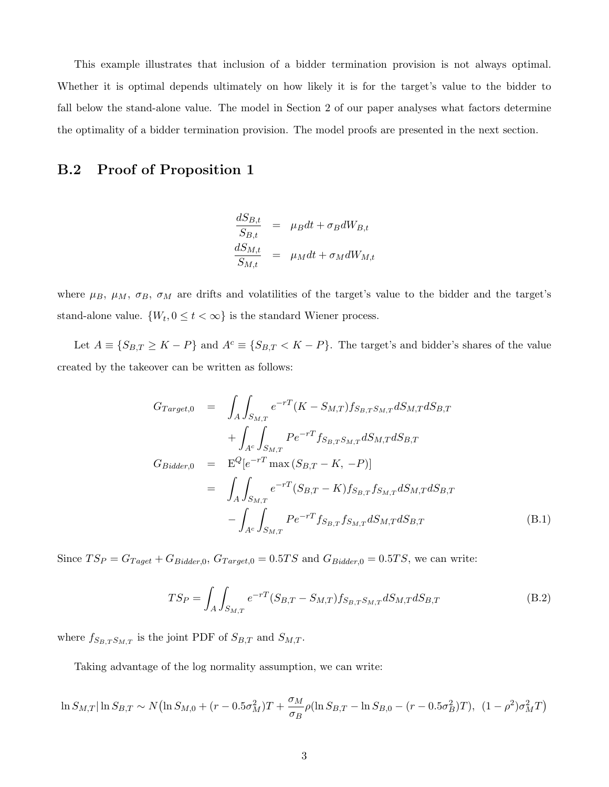This example illustrates that inclusion of a bidder termination provision is not always optimal. Whether it is optimal depends ultimately on how likely it is for the target's value to the bidder to fall below the stand-alone value. The model in Section 2 of our paper analyses what factors determine the optimality of a bidder termination provision. The model proofs are presented in the next section.

## B.2 Proof of Proposition 1

$$
\frac{dS_{B,t}}{S_{B,t}} = \mu_B dt + \sigma_B dW_{B,t}
$$

$$
\frac{dS_{M,t}}{S_{M,t}} = \mu_M dt + \sigma_M dW_{M,t}
$$

where  $\mu_B$ ,  $\mu_M$ ,  $\sigma_B$ ,  $\sigma_M$  are drifts and volatilities of the target's value to the bidder and the target's stand-alone value.  $\{W_t, 0 \le t < \infty\}$  is the standard Wiener process.

Let  $A \equiv \{S_{B,T} \geq K - P\}$  and  $A^c \equiv \{S_{B,T} < K - P\}$ . The target's and bidder's shares of the value created by the takeover can be written as follows:

$$
G_{Target,0} = \int_{A} \int_{S_{M,T}} e^{-rT} (K - S_{M,T}) f_{S_{B,T}S_{M,T}} dS_{M,T} dS_{B,T}
$$
  
+ 
$$
\int_{A^c} \int_{S_{M,T}} P e^{-rT} f_{S_{B,T}S_{M,T}} dS_{M,T} dS_{B,T}
$$
  

$$
G_{Bidder,0} = E^Q [e^{-rT} \max (S_{B,T} - K, -P)]
$$
  
= 
$$
\int_{A} \int_{S_{M,T}} e^{-rT} (S_{B,T} - K) f_{S_{B,T}} f_{S_{M,T}} dS_{M,T} dS_{B,T}
$$
  
- 
$$
\int_{A^c} \int_{S_{M,T}} P e^{-rT} f_{S_{B,T}} f_{S_{M,T}} dS_{M,T} dS_{B,T}
$$
 (B.1)

Since  $TS_P = G_{Taget} + G_{Bidder,0}, G_{Target,0} = 0.5TS$  and  $G_{Bidder,0} = 0.5TS$ , we can write:

$$
TS_P = \int_A \int_{S_{M,T}} e^{-rT} (S_{B,T} - S_{M,T}) f_{S_{B,T}S_{M,T}} dS_{M,T} dS_{B,T}
$$
(B.2)

where  $f_{S_{B,T}S_{M,T}}$  is the joint PDF of  $S_{B,T}$  and  $S_{M,T}$ .

Taking advantage of the log normality assumption, we can write:

$$
\ln S_{M,T}|\ln S_{B,T} \sim N(\ln S_{M,0} + (r - 0.5\sigma_M^2)T + \frac{\sigma_M}{\sigma_B}\rho(\ln S_{B,T} - \ln S_{B,0} - (r - 0.5\sigma_B^2)T), (1 - \rho^2)\sigma_M^2 T)
$$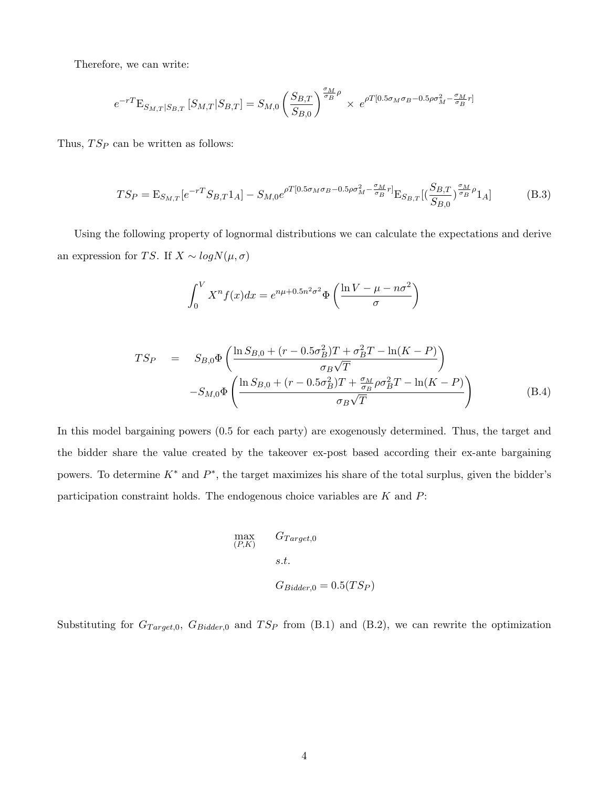Therefore, we can write:

$$
e^{-rT} \mathbf{E}_{S_{M,T}|S_{B,T}} \left[ S_{M,T}|S_{B,T} \right] = S_{M,0} \left( \frac{S_{B,T}}{S_{B,0}} \right)^{\frac{\sigma_M}{\sigma_B} \rho} \times e^{\rho T [0.5 \sigma_M \sigma_B - 0.5 \rho \sigma_M^2 - \frac{\sigma_M}{\sigma_B} r]}
$$

Thus,  $TS_P$  can be written as follows:

$$
TS_P = \mathcal{E}_{S_{M,T}}[e^{-rT}S_{B,T}1_A] - S_{M,0}e^{\rho T[0.5\sigma_M\sigma_B - 0.5\rho\sigma_M^2 - \frac{\sigma_M}{\sigma_B}r]} \mathcal{E}_{S_{B,T}}[(\frac{S_{B,T}}{S_{B,0}})^{\frac{\sigma_M}{\sigma_B}\rho}1_A]
$$
(B.3)

Using the following property of lognormal distributions we can calculate the expectations and derive an expression for TS. If  $X \sim logN(\mu, \sigma)$ 

$$
\int_0^V X^n f(x) dx = e^{n\mu + 0.5n^2 \sigma^2} \Phi \left( \frac{\ln V - \mu - n \sigma^2}{\sigma} \right)
$$

$$
TS_P = S_{B,0} \Phi \left( \frac{\ln S_{B,0} + (r - 0.5\sigma_B^2)T + \sigma_B^2 T - \ln(K - P)}{\sigma_B \sqrt{T}} \right) -S_{M,0} \Phi \left( \frac{\ln S_{B,0} + (r - 0.5\sigma_B^2)T + \frac{\sigma_M}{\sigma_B} \rho \sigma_B^2 T - \ln(K - P)}{\sigma_B \sqrt{T}} \right)
$$
(B.4)

In this model bargaining powers (0.5 for each party) are exogenously determined. Thus, the target and the bidder share the value created by the takeover ex-post based according their ex-ante bargaining powers. To determine  $K^*$  and  $P^*$ , the target maximizes his share of the total surplus, given the bidder's participation constraint holds. The endogenous choice variables are  $K$  and  $P$ :

$$
\begin{aligned}\n&\text{max} & &G_{Target,0} \\
&s.t. & & & \\ & & & s.t. \\
& & & G_{Bidder,0} = 0.5(TS_P)\n\end{aligned}
$$

Substituting for  $G_{Target,0}$ ,  $G_{Bidder,0}$  and  $TS_P$  from (B.1) and (B.2), we can rewrite the optimization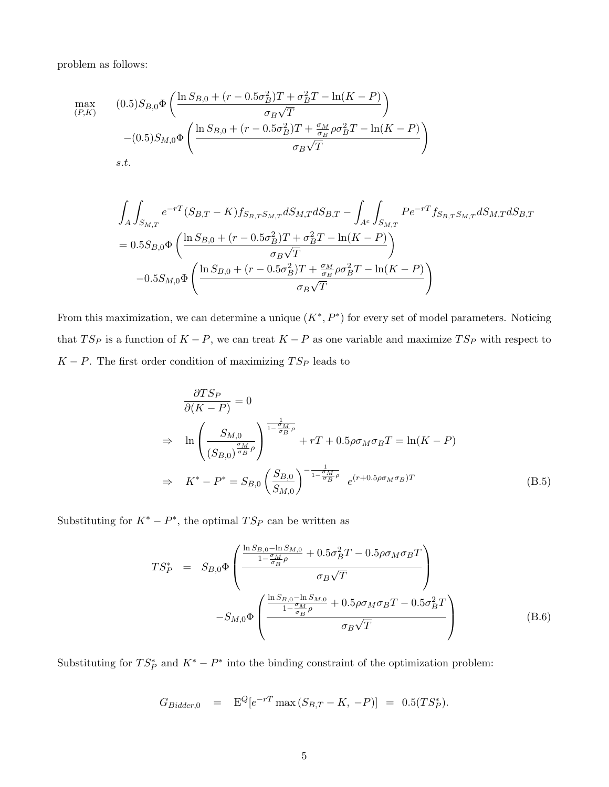problem as follows:

$$
\max_{(P,K)} \qquad (0.5)S_{B,0}\Phi\left(\frac{\ln S_{B,0} + (r - 0.5\sigma_B^2)T + \sigma_B^2 T - \ln(K - P)}{\sigma_B\sqrt{T}}\right) - (0.5)S_{M,0}\Phi\left(\frac{\ln S_{B,0} + (r - 0.5\sigma_B^2)T + \frac{\sigma_M}{\sigma_B}\rho\sigma_B^2 T - \ln(K - P)}{\sigma_B\sqrt{T}}\right)
$$
  
s.t.

$$
\int_{A} \int_{S_{M,T}} e^{-rT} (S_{B,T} - K) f_{S_{B,T}S_{M,T}} dS_{M,T} dS_{B,T} - \int_{A^c} \int_{S_{M,T}} P e^{-rT} f_{S_{B,T}S_{M,T}} dS_{M,T} dS_{B,T}
$$
\n
$$
= 0.5 S_{B,0} \Phi \left( \frac{\ln S_{B,0} + (r - 0.5 \sigma_B^2) T + \sigma_B^2 T - \ln(K - P)}{\sigma_B \sqrt{T}} \right)
$$
\n
$$
- 0.5 S_{M,0} \Phi \left( \frac{\ln S_{B,0} + (r - 0.5 \sigma_B^2) T + \frac{\sigma_M}{\sigma_B} \rho \sigma_B^2 T - \ln(K - P)}{\sigma_B \sqrt{T}} \right)
$$

From this maximization, we can determine a unique  $(K^*, P^*)$  for every set of model parameters. Noticing that  $TS_P$  is a function of  $K - P$ , we can treat  $K - P$  as one variable and maximize  $TS_P$  with respect to  $K - P$ . The first order condition of maximizing  $TS_P$  leads to

$$
\frac{\partial TS_P}{\partial (K - P)} = 0
$$
\n
$$
\Rightarrow \ln \left( \frac{S_{M,0}}{(S_{B,0})^{\frac{\sigma_M}{\sigma_B \rho}}} \right)^{\frac{1}{1 - \frac{\sigma_M}{\sigma_B \rho}}} + rT + 0.5\rho\sigma_M\sigma_B T = \ln(K - P)
$$
\n
$$
\Rightarrow K^* - P^* = S_{B,0} \left( \frac{S_{B,0}}{S_{M,0}} \right)^{-\frac{1}{1 - \frac{\sigma_M}{\sigma_B \rho}}} e^{(r+0.5\rho\sigma_M\sigma_B)T}
$$
\n(B.5)

Substituting for  $K^* - P^*$ , the optimal  $TS_P$  can be written as

$$
TS_P^* = S_{B,0} \Phi \left( \frac{\frac{\ln S_{B,0} - \ln S_{M,0}}{1 - \frac{\sigma_M}{\sigma_B} \rho} + 0.5 \sigma_B^2 T - 0.5 \rho \sigma_M \sigma_B T}{\sigma_B \sqrt{T}} \right) - S_{M,0} \Phi \left( \frac{\frac{\ln S_{B,0} - \ln S_{M,0}}{1 - \frac{\sigma_M}{\sigma_B} \rho} + 0.5 \rho \sigma_M \sigma_B T - 0.5 \sigma_B^2 T}{\sigma_B \sqrt{T}} \right) \tag{B.6}
$$

Substituting for  $TS_P^*$  and  $K^* - P^*$  into the binding constraint of the optimization problem:

$$
G_{Bidder,0} = \mathbf{E}^Q[e^{-rT} \max(S_{B,T} - K, -P)] = 0.5(TS_P^*).
$$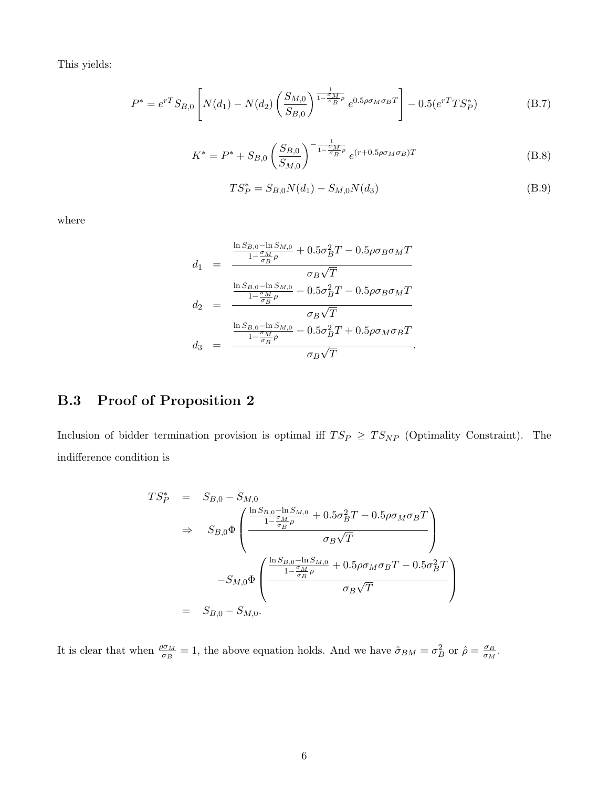This yields:

$$
P^* = e^{rT} S_{B,0} \left[ N(d_1) - N(d_2) \left( \frac{S_{M,0}}{S_{B,0}} \right)^{\frac{1}{1 - \frac{\sigma_M}{\sigma_B} \rho}} e^{0.5 \rho \sigma_M \sigma_B T} \right] - 0.5 (e^{rT} T S_P^*)
$$
(B.7)

$$
K^* = P^* + S_{B,0} \left(\frac{S_{B,0}}{S_{M,0}}\right)^{-\frac{1}{1-\frac{\sigma_M}{\sigma_B}\rho}} e^{(r+0.5\rho\sigma_M\sigma_B)T}
$$
(B.8)

$$
TS_P^* = S_{B,0}N(d_1) - S_{M,0}N(d_3)
$$
\n(B.9)

where

$$
d_1 = \frac{\frac{\ln S_{B,0} - \ln S_{M,0}}{1 - \frac{\sigma_M}{\sigma_B} \rho} + 0.5\sigma_B^2 T - 0.5\rho\sigma_B\sigma_M T}{\sigma_B\sqrt{T}}
$$
  
\n
$$
d_2 = \frac{\frac{\ln S_{B,0} - \ln S_{M,0}}{1 - \frac{\sigma_M}{\sigma_B} \rho} - 0.5\sigma_B^2 T - 0.5\rho\sigma_B\sigma_M T}{\sigma_B\sqrt{T}}
$$
  
\n
$$
d_3 = \frac{\frac{\ln S_{B,0} - \ln S_{M,0}}{1 - \frac{\sigma_M}{\sigma_B} \rho} - 0.5\sigma_B^2 T + 0.5\rho\sigma_M\sigma_B T}{\sigma_B\sqrt{T}}.
$$

# B.3 Proof of Proposition 2

Inclusion of bidder termination provision is optimal iff  $TS_P \geq TS_{NP}$  (Optimality Constraint). The indifference condition is

$$
TS_P^* = S_{B,0} - S_{M,0}
$$
  
\n
$$
\Rightarrow S_{B,0} \Phi \left( \frac{\frac{\ln S_{B,0} - \ln S_{M,0}}{1 - \frac{\sigma_M}{\sigma_B} \rho} + 0.5 \sigma_B^2 T - 0.5 \rho \sigma_M \sigma_B T}{\sigma_B \sqrt{T}} \right)
$$
  
\n
$$
-S_{M,0} \Phi \left( \frac{\frac{\ln S_{B,0} - \ln S_{M,0}}{1 - \frac{\sigma_M}{\sigma_B} \rho} + 0.5 \rho \sigma_M \sigma_B T - 0.5 \sigma_B^2 T}{\sigma_B \sqrt{T}} \right)
$$
  
\n
$$
= S_{B,0} - S_{M,0}.
$$

It is clear that when  $\frac{\rho \sigma_M}{\sigma_B} = 1$ , the above equation holds. And we have  $\hat{\sigma}_{BM} = \sigma_B^2$  or  $\hat{\rho} = \frac{\sigma_B}{\sigma_M}$  $\frac{\sigma_B}{\sigma_M}.$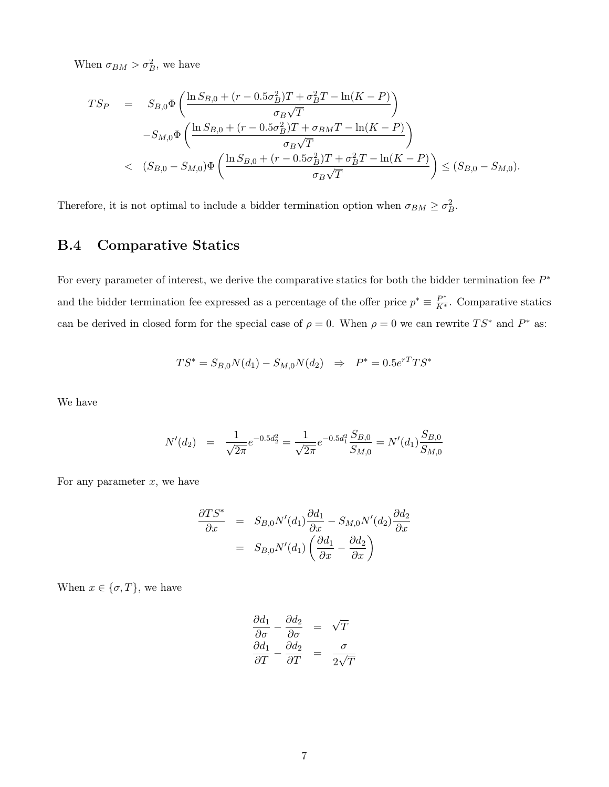When  $\sigma_{BM} > \sigma_B^2$ , we have

$$
TS_{P} = S_{B,0} \Phi \left( \frac{\ln S_{B,0} + (r - 0.5\sigma_{B}^{2})T + \sigma_{B}^{2}T - \ln(K - P)}{\sigma_{B}\sqrt{T}} \right)
$$
  

$$
-S_{M,0} \Phi \left( \frac{\ln S_{B,0} + (r - 0.5\sigma_{B}^{2})T + \sigma_{BM}T - \ln(K - P)}{\sigma_{B}\sqrt{T}} \right)
$$
  

$$
< (S_{B,0} - S_{M,0}) \Phi \left( \frac{\ln S_{B,0} + (r - 0.5\sigma_{B}^{2})T + \sigma_{B}^{2}T - \ln(K - P)}{\sigma_{B}\sqrt{T}} \right) \leq (S_{B,0} - S_{M,0}).
$$

Therefore, it is not optimal to include a bidder termination option when  $\sigma_{BM} \ge \sigma_B^2$ .

# B.4 Comparative Statics

For every parameter of interest, we derive the comparative statics for both the bidder termination fee  $P^*$ and the bidder termination fee expressed as a percentage of the offer price  $p^* \equiv \frac{P^*}{K^*}$ . Comparative statics can be derived in closed form for the special case of  $\rho = 0$ . When  $\rho = 0$  we can rewrite  $TS^*$  and  $P^*$  as:

$$
TS^* = S_{B,0}N(d_1) - S_{M,0}N(d_2) \Rightarrow P^* = 0.5e^{rT}TS^*
$$

We have

$$
N'(d_2) = \frac{1}{\sqrt{2\pi}}e^{-0.5d_2^2} = \frac{1}{\sqrt{2\pi}}e^{-0.5d_1^2}\frac{S_{B,0}}{S_{M,0}} = N'(d_1)\frac{S_{B,0}}{S_{M,0}}
$$

For any parameter  $x$ , we have

$$
\frac{\partial TS^*}{\partial x} = S_{B,0} N'(d_1) \frac{\partial d_1}{\partial x} - S_{M,0} N'(d_2) \frac{\partial d_2}{\partial x}
$$

$$
= S_{B,0} N'(d_1) \left( \frac{\partial d_1}{\partial x} - \frac{\partial d_2}{\partial x} \right)
$$

When  $x \in \{\sigma, T\}$ , we have

$$
\begin{array}{rcl}\n\frac{\partial d_1}{\partial \sigma} - \frac{\partial d_2}{\partial \sigma} & = & \sqrt{T} \\
\frac{\partial d_1}{\partial T} - \frac{\partial d_2}{\partial T} & = & \frac{\sigma}{2\sqrt{T}}\n\end{array}
$$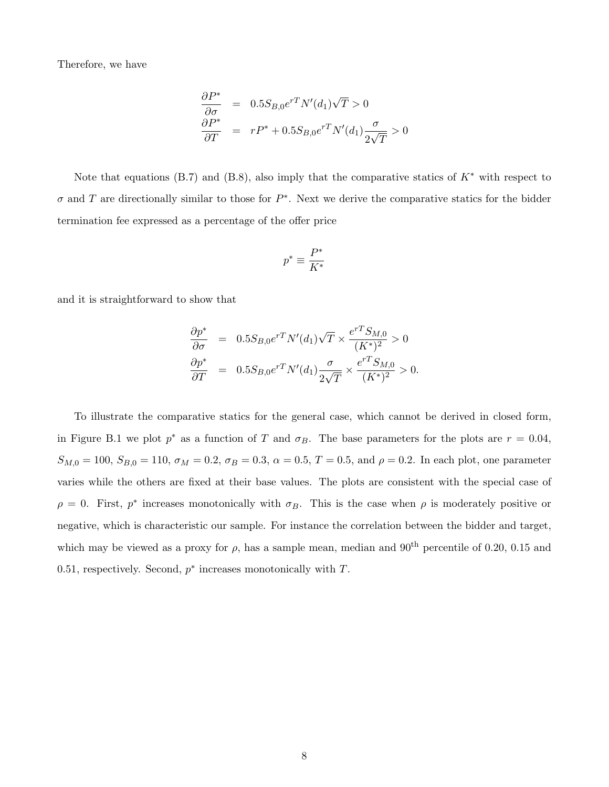Therefore, we have

$$
\frac{\partial P^*}{\partial \sigma} = 0.5 S_{B,0} e^{rT} N'(d_1) \sqrt{T} > 0
$$
  

$$
\frac{\partial P^*}{\partial T} = r P^* + 0.5 S_{B,0} e^{rT} N'(d_1) \frac{\sigma}{2\sqrt{T}} > 0
$$

Note that equations (B.7) and (B.8), also imply that the comparative statics of  $K^*$  with respect to  $\sigma$  and T are directionally similar to those for  $P^*$ . Next we derive the comparative statics for the bidder termination fee expressed as a percentage of the offer price

$$
p^* \equiv \frac{P^*}{K^*}
$$

and it is straightforward to show that

$$
\frac{\partial p^*}{\partial \sigma} = 0.5 S_{B,0} e^{rT} N'(d_1) \sqrt{T} \times \frac{e^{rT} S_{M,0}}{(K^*)^2} > 0
$$
  

$$
\frac{\partial p^*}{\partial T} = 0.5 S_{B,0} e^{rT} N'(d_1) \frac{\sigma}{2\sqrt{T}} \times \frac{e^{rT} S_{M,0}}{(K^*)^2} > 0.
$$

To illustrate the comparative statics for the general case, which cannot be derived in closed form, in Figure B.1 we plot  $p^*$  as a function of T and  $\sigma_B$ . The base parameters for the plots are  $r = 0.04$ ,  $S_{M,0} = 100$ ,  $S_{B,0} = 110$ ,  $\sigma_M = 0.2$ ,  $\sigma_B = 0.3$ ,  $\alpha = 0.5$ ,  $T = 0.5$ , and  $\rho = 0.2$ . In each plot, one parameter varies while the others are fixed at their base values. The plots are consistent with the special case of  $\rho = 0$ . First,  $p^*$  increases monotonically with  $\sigma_B$ . This is the case when  $\rho$  is moderately positive or negative, which is characteristic our sample. For instance the correlation between the bidder and target, which may be viewed as a proxy for  $\rho$ , has a sample mean, median and 90<sup>th</sup> percentile of 0.20, 0.15 and 0.51, respectively. Second,  $p^*$  increases monotonically with  $T$ .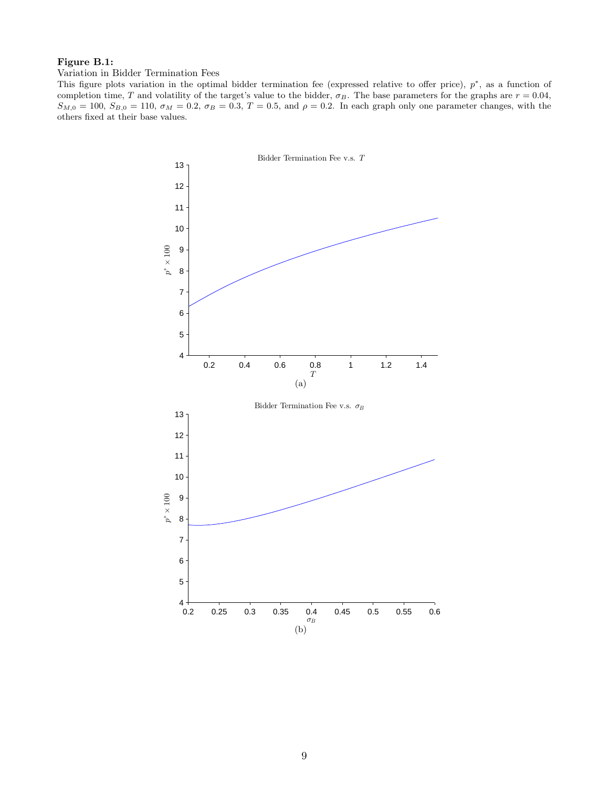## Figure B.1:

Variation in Bidder Termination Fees

This figure plots variation in the optimal bidder termination fee (expressed relative to offer price),  $p^*$ , as a function of completion time, T and volatility of the target's value to the bidder,  $\sigma_B$ . The base parameters for the graphs are  $r = 0.04$ ,  $S_{M,0} = 100$ ,  $S_{B,0} = 110$ ,  $\sigma_M = 0.2$ ,  $\sigma_B = 0.3$ ,  $T = 0.5$ , and  $\rho = 0.2$ . In each graph only one parameter changes, with the others fixed at their base values.

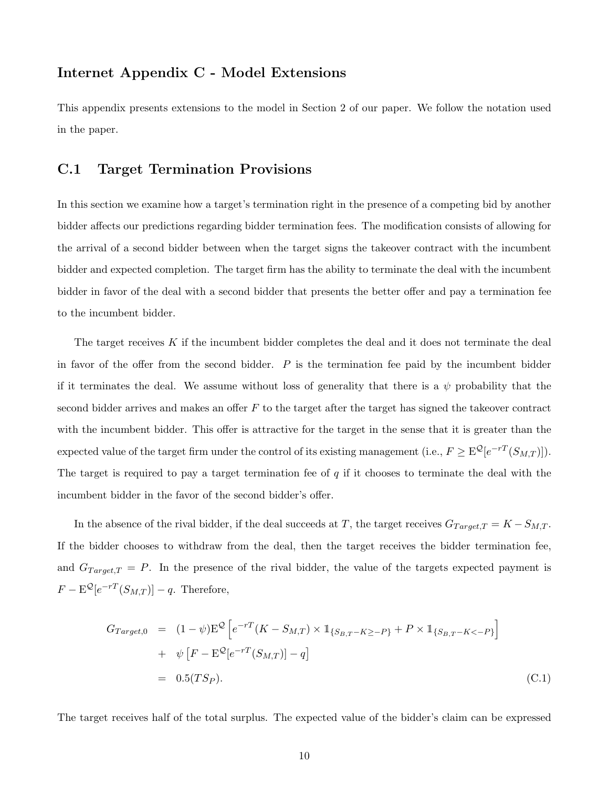# Internet Appendix C - Model Extensions

This appendix presents extensions to the model in Section 2 of our paper. We follow the notation used in the paper.

## C.1 Target Termination Provisions

In this section we examine how a target's termination right in the presence of a competing bid by another bidder affects our predictions regarding bidder termination fees. The modification consists of allowing for the arrival of a second bidder between when the target signs the takeover contract with the incumbent bidder and expected completion. The target firm has the ability to terminate the deal with the incumbent bidder in favor of the deal with a second bidder that presents the better offer and pay a termination fee to the incumbent bidder.

The target receives  $K$  if the incumbent bidder completes the deal and it does not terminate the deal in favor of the offer from the second bidder.  $P$  is the termination fee paid by the incumbent bidder if it terminates the deal. We assume without loss of generality that there is a  $\psi$  probability that the second bidder arrives and makes an offer  $F$  to the target after the target has signed the takeover contract with the incumbent bidder. This offer is attractive for the target in the sense that it is greater than the expected value of the target firm under the control of its existing management (i.e.,  $F \geq \mathrm{E}^{\mathcal{Q}}[e^{-rT}(S_{M,T})]).$ The target is required to pay a target termination fee of  $q$  if it chooses to terminate the deal with the incumbent bidder in the favor of the second bidder's offer.

In the absence of the rival bidder, if the deal succeeds at T, the target receives  $G_{Target,T} = K - S_{M,T}$ . If the bidder chooses to withdraw from the deal, then the target receives the bidder termination fee, and  $G_{Target,T} = P$ . In the presence of the rival bidder, the value of the targets expected payment is  $F - \mathcal{E}^{\mathcal{Q}}[e^{-rT}(S_{M,T})] - q$ . Therefore,

$$
G_{Target,0} = (1 - \psi) \mathbf{E}^{\mathcal{Q}} \left[ e^{-rT} (K - S_{M,T}) \times \mathbb{1}_{\{S_{B,T} - K \ge -P\}} + P \times \mathbb{1}_{\{S_{B,T} - K < -P\}} \right] \\
+ \psi \left[ F - \mathbf{E}^{\mathcal{Q}} [e^{-rT} (S_{M,T})] - q \right] \\
= 0.5(TSp). \tag{C.1}
$$

The target receives half of the total surplus. The expected value of the bidder's claim can be expressed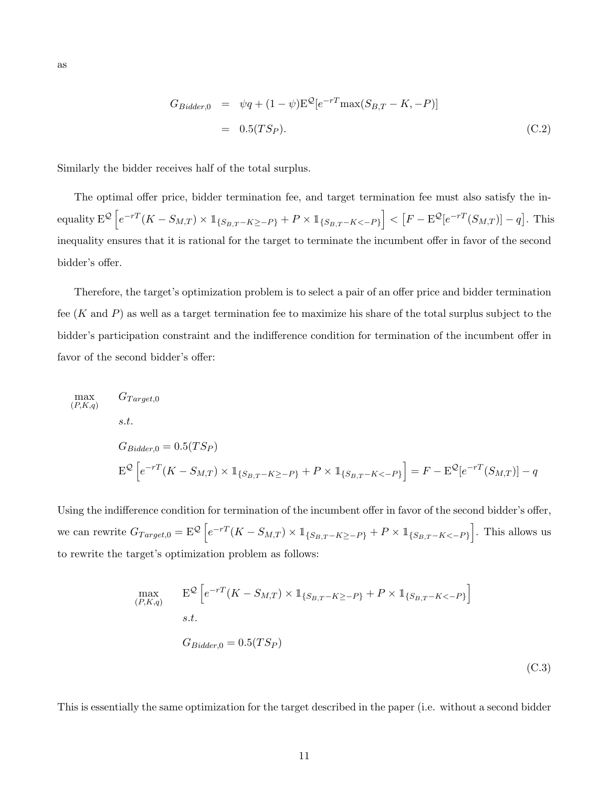$$
G_{Bidder,0} = \psi q + (1 - \psi) \mathbf{E}^{\mathcal{Q}} [e^{-rT} \max(S_{B,T} - K, -P)]
$$
  
= 0.5(TSp). (C.2)

Similarly the bidder receives half of the total surplus.

The optimal offer price, bidder termination fee, and target termination fee must also satisfy the in- $\text{equality } \mathbf{E^Q}\left[e^{-rT}(K-S_{M,T}) \times \mathbb{1}_{\{S_{B,T}-K \ge -P\}} + P \times \mathbb{1}_{\{S_{B,T}-K < -P\}}\right] < \left[F - \mathbf{E^Q}[e^{-rT}(S_{M,T})] - q\right].$  This inequality ensures that it is rational for the target to terminate the incumbent offer in favor of the second bidder's offer.

Therefore, the target's optimization problem is to select a pair of an offer price and bidder termination fee  $(K \text{ and } P)$  as well as a target termination fee to maximize his share of the total surplus subject to the bidder's participation constraint and the indifference condition for termination of the incumbent offer in favor of the second bidder's offer:

max (P,K,q)  
\n
$$
G_{Target,0}
$$
\n*s.t.*  
\n
$$
G_{Bidder,0} = 0.5(TSp)
$$
  
\n
$$
E^{\mathcal{Q}} \left[ e^{-rT} (K - S_{M,T}) \times \mathbb{1}_{\{S_{B,T} - K \ge -P\}} + P \times \mathbb{1}_{\{S_{B,T} - K < -P\}} \right] = F - E^{\mathcal{Q}} [e^{-rT} (S_{M,T})] - q
$$

Using the indifference condition for termination of the incumbent offer in favor of the second bidder's offer, we can rewrite  $G_{Target,0} = \mathbb{E}^{\mathcal{Q}} \left[ e^{-rT} (K - S_{M,T}) \times \mathbb{1}_{\{S_{B,T} - K \ge -P\}} + P \times \mathbb{1}_{\{S_{B,T} - K \le -P\}} \right]$ . This allows us to rewrite the target's optimization problem as follows:

$$
\max_{(P,K,q)} \mathbf{E}^{\mathcal{Q}} \left[ e^{-r} (K - S_{M,T}) \times \mathbb{1}_{\{S_{B,T} - K \ge -P\}} + P \times \mathbb{1}_{\{S_{B,T} - K < -P\}} \right]
$$
\ns.t.

\n
$$
G_{Bidder,0} = 0.5(TSp)
$$
\n(C.3)

This is essentially the same optimization for the target described in the paper (i.e. without a second bidder

as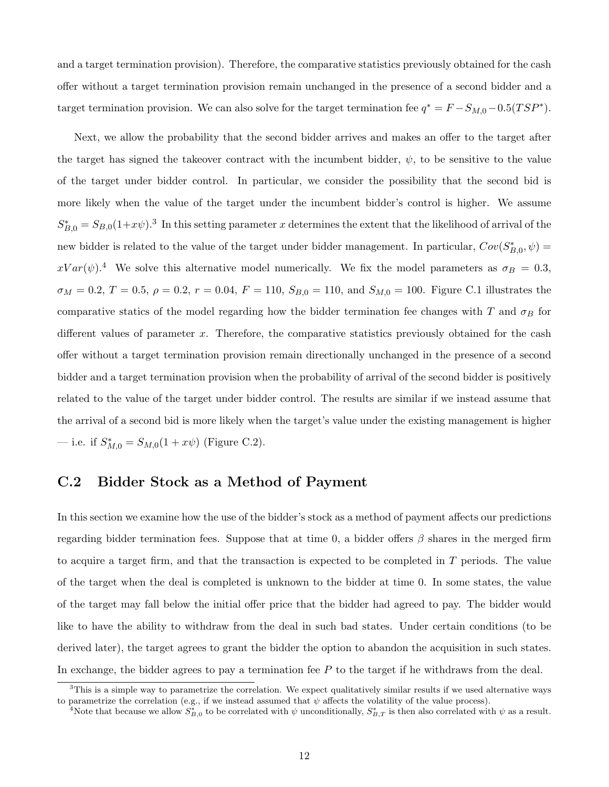and a target termination provision). Therefore, the comparative statistics previously obtained for the cash offer without a target termination provision remain unchanged in the presence of a second bidder and a target termination provision. We can also solve for the target termination fee  $q^* = F - S_{M,0} - 0.5(TSP^*)$ .

Next, we allow the probability that the second bidder arrives and makes an offer to the target after the target has signed the takeover contract with the incumbent bidder,  $\psi$ , to be sensitive to the value of the target under bidder control. In particular, we consider the possibility that the second bid is more likely when the value of the target under the incumbent bidder's control is higher. We assume  $S_{B,0}^* = S_{B,0}(1+x\psi).$ <sup>3</sup> In this setting parameter x determines the extent that the likelihood of arrival of the new bidder is related to the value of the target under bidder management. In particular,  $Cov(S_{B,0}^*, \psi)$  $xVar(\psi)$ <sup>4</sup>. We solve this alternative model numerically. We fix the model parameters as  $\sigma_B = 0.3$ ,  $\sigma_M = 0.2, T = 0.5, \rho = 0.2, r = 0.04, F = 110, S_{B,0} = 110, \text{ and } S_{M,0} = 100.$  Figure C.1 illustrates the comparative statics of the model regarding how the bidder termination fee changes with T and  $\sigma_B$  for different values of parameter x. Therefore, the comparative statistics previously obtained for the cash offer without a target termination provision remain directionally unchanged in the presence of a second bidder and a target termination provision when the probability of arrival of the second bidder is positively related to the value of the target under bidder control. The results are similar if we instead assume that the arrival of a second bid is more likely when the target's value under the existing management is higher — i.e. if  $S_{M,0}^* = S_{M,0}(1 + x\psi)$  (Figure C.2).

# C.2 Bidder Stock as a Method of Payment

In this section we examine how the use of the bidder's stock as a method of payment affects our predictions regarding bidder termination fees. Suppose that at time 0, a bidder offers  $\beta$  shares in the merged firm to acquire a target firm, and that the transaction is expected to be completed in T periods. The value of the target when the deal is completed is unknown to the bidder at time 0. In some states, the value of the target may fall below the initial offer price that the bidder had agreed to pay. The bidder would like to have the ability to withdraw from the deal in such bad states. Under certain conditions (to be derived later), the target agrees to grant the bidder the option to abandon the acquisition in such states. In exchange, the bidder agrees to pay a termination fee  $P$  to the target if he withdraws from the deal.

 $3$ This is a simple way to parametrize the correlation. We expect qualitatively similar results if we used alternative ways to parametrize the correlation (e.g., if we instead assumed that  $\psi$  affects the volatility of the value process).

<sup>&</sup>lt;sup>4</sup>Note that because we allow  $S_{B,0}^*$  to be correlated with  $\psi$  unconditionally,  $S_{B,T}^*$  is then also correlated with  $\psi$  as a result.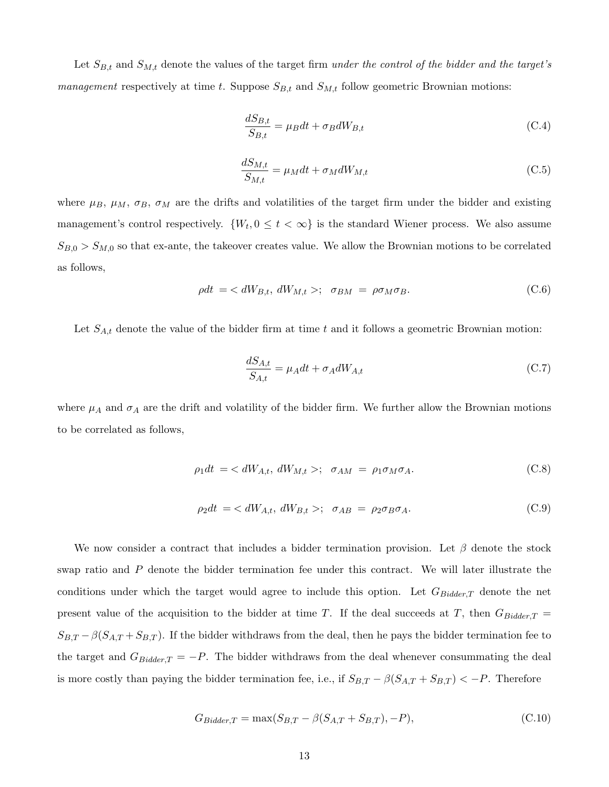Let  $S_{B,t}$  and  $S_{M,t}$  denote the values of the target firm under the control of the bidder and the target's management respectively at time t. Suppose  $S_{B,t}$  and  $S_{M,t}$  follow geometric Brownian motions:

$$
\frac{dS_{B,t}}{S_{B,t}} = \mu_B dt + \sigma_B dW_{B,t}
$$
\n(C.4)

$$
\frac{dS_{M,t}}{S_{M,t}} = \mu_M dt + \sigma_M dW_{M,t}
$$
\n(C.5)

where  $\mu_B$ ,  $\mu_M$ ,  $\sigma_B$ ,  $\sigma_M$  are the drifts and volatilities of the target firm under the bidder and existing management's control respectively.  $\{W_t, 0 \le t < \infty\}$  is the standard Wiener process. We also assume  $S_{B,0} > S_{M,0}$  so that ex-ante, the takeover creates value. We allow the Brownian motions to be correlated as follows,

$$
\rho dt = \langle dW_{B,t}, dW_{M,t} \rangle; \quad \sigma_{BM} = \rho \sigma_M \sigma_B. \tag{C.6}
$$

Let  $S_{A,t}$  denote the value of the bidder firm at time t and it follows a geometric Brownian motion:

$$
\frac{dS_{A,t}}{S_{A,t}} = \mu_A dt + \sigma_A dW_{A,t}
$$
\n(C.7)

where  $\mu_A$  and  $\sigma_A$  are the drift and volatility of the bidder firm. We further allow the Brownian motions to be correlated as follows,

$$
\rho_1 dt = \langle dW_{A,t}, dW_{M,t} \rangle; \quad \sigma_{AM} = \rho_1 \sigma_M \sigma_A. \tag{C.8}
$$

$$
\rho_2 dt = \langle dW_{A,t}, dW_{B,t} \rangle; \quad \sigma_{AB} = \rho_2 \sigma_B \sigma_A. \tag{C.9}
$$

We now consider a contract that includes a bidder termination provision. Let  $\beta$  denote the stock swap ratio and P denote the bidder termination fee under this contract. We will later illustrate the conditions under which the target would agree to include this option. Let  $G_{Bidder,T}$  denote the net present value of the acquisition to the bidder at time T. If the deal succeeds at T, then  $G_{Bidder,T}$  =  $S_{B,T} - \beta(S_{A,T} + S_{B,T})$ . If the bidder withdraws from the deal, then he pays the bidder termination fee to the target and  $G_{Bidder,T} = -P$ . The bidder withdraws from the deal whenever consummating the deal is more costly than paying the bidder termination fee, i.e., if  $S_{B,T} - \beta(S_{A,T} + S_{B,T}) < -P$ . Therefore

$$
G_{Bidder,T} = \max(S_{B,T} - \beta(S_{A,T} + S_{B,T}), -P), \tag{C.10}
$$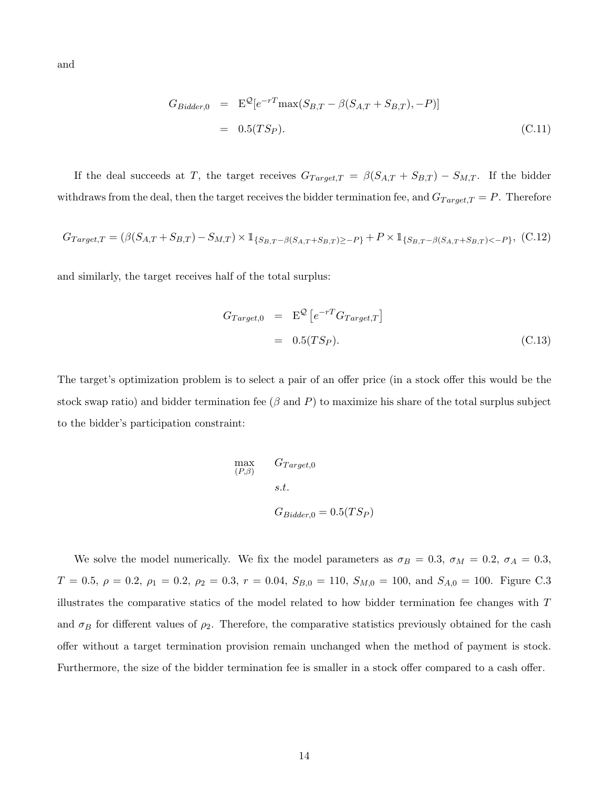and

$$
G_{Bidder,0} = \mathbf{E}^{\mathcal{Q}}[e^{-rT} \max(S_{B,T} - \beta(S_{A,T} + S_{B,T}), -P)]
$$
  
= 0.5(TSp). (C.11)

If the deal succeeds at T, the target receives  $G_{Target,T} = \beta(S_{A,T} + S_{B,T}) - S_{M,T}$ . If the bidder withdraws from the deal, then the target receives the bidder termination fee, and  $G_{Target,T} = P$ . Therefore

$$
G_{Target,T} = (\beta(S_{A,T} + S_{B,T}) - S_{M,T}) \times \mathbb{1}_{\{S_{B,T} - \beta(S_{A,T} + S_{B,T}) \ge -P\}} + P \times \mathbb{1}_{\{S_{B,T} - \beta(S_{A,T} + S_{B,T}) < -P\}}, (C.12)
$$

and similarly, the target receives half of the total surplus:

$$
G_{Target,0} = \mathbf{E}^{\mathcal{Q}} \left[ e^{-r} G_{Target,T} \right]
$$

$$
= 0.5(TSp). \tag{C.13}
$$

The target's optimization problem is to select a pair of an offer price (in a stock offer this would be the stock swap ratio) and bidder termination fee ( $\beta$  and P) to maximize his share of the total surplus subject to the bidder's participation constraint:

$$
\begin{aligned}\n\max_{(P,\beta)} & G_{Target,0} \\
s.t. & \\
G_{Bidder,0} &= 0.5(TSp)\n\end{aligned}
$$

We solve the model numerically. We fix the model parameters as  $\sigma_B = 0.3$ ,  $\sigma_M = 0.2$ ,  $\sigma_A = 0.3$ ,  $T = 0.5, \ \rho = 0.2, \ \rho_1 = 0.2, \ \rho_2 = 0.3, \ r = 0.04, \ S_{B,0} = 110, \ S_{M,0} = 100, \text{ and } S_{A,0} = 100. \text{ Figure C.3}$ illustrates the comparative statics of the model related to how bidder termination fee changes with T and  $\sigma_B$  for different values of  $\rho_2$ . Therefore, the comparative statistics previously obtained for the cash offer without a target termination provision remain unchanged when the method of payment is stock. Furthermore, the size of the bidder termination fee is smaller in a stock offer compared to a cash offer.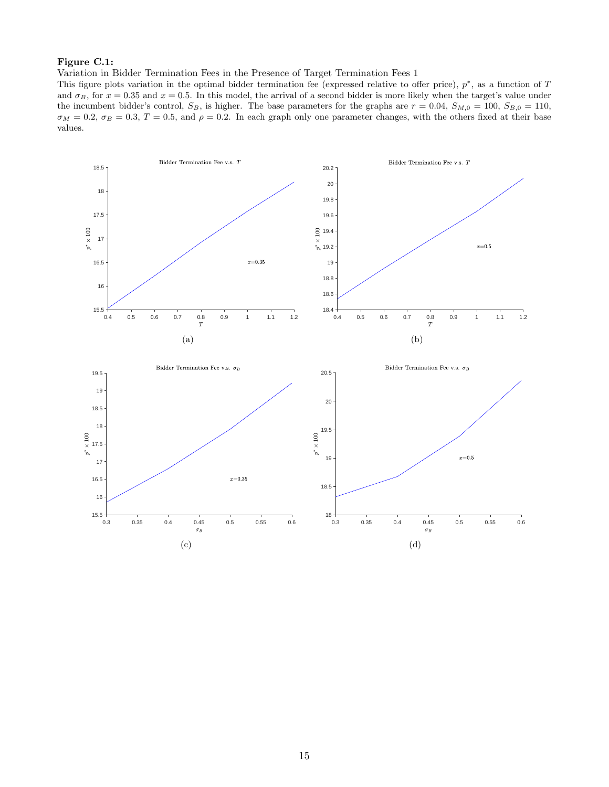#### Figure C.1:

Variation in Bidder Termination Fees in the Presence of Target Termination Fees 1

0.3 0.35 0.4 0.45 0.5 0.55 0.6

 $\sigma_B$ 

(c)

 $+$  15.5 $+$  0.3

This figure plots variation in the optimal bidder termination fee (expressed relative to offer price),  $p^*$ , as a function of T and  $\sigma_B$ , for  $x = 0.35$  and  $x = 0.5$ . In this model, the arrival of a second bidder is more likely when the target's value under the incumbent bidder's control,  $S_B$ , is higher. The base parameters for the graphs are  $r = 0.04$ ,  $S_{M,0} = 100$ ,  $S_{B,0} = 110$ ,  $\sigma_M = 0.2$ ,  $\sigma_B = 0.3$ ,  $T = 0.5$ , and  $\rho = 0.2$ . In each graph only one parameter changes, with the others fixed at their base values.



 $^{18}_{0.3}$ 

0.3 0.35 0.4 0.45 0.5 0.55 0.6

(d)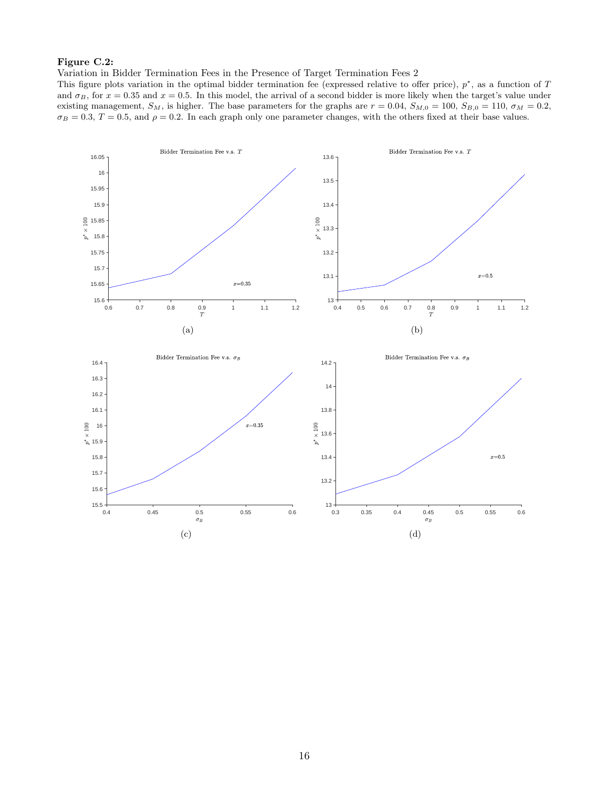## Figure C.2:

Variation in Bidder Termination Fees in the Presence of Target Termination Fees 2

This figure plots variation in the optimal bidder termination fee (expressed relative to offer price),  $p^*$ , as a function of T and  $\sigma_B$ , for  $x = 0.35$  and  $x = 0.5$ . In this model, the arrival of a second bidder is more likely when the target's value under existing management,  $S_M$ , is higher. The base parameters for the graphs are  $r = 0.04$ ,  $S_{M,0} = 100$ ,  $S_{B,0} = 110$ ,  $\sigma_M = 0.2$ ,  $\sigma_B = 0.3$ ,  $T = 0.5$ , and  $\rho = 0.2$ . In each graph only one parameter changes, with the others fixed at their base values.

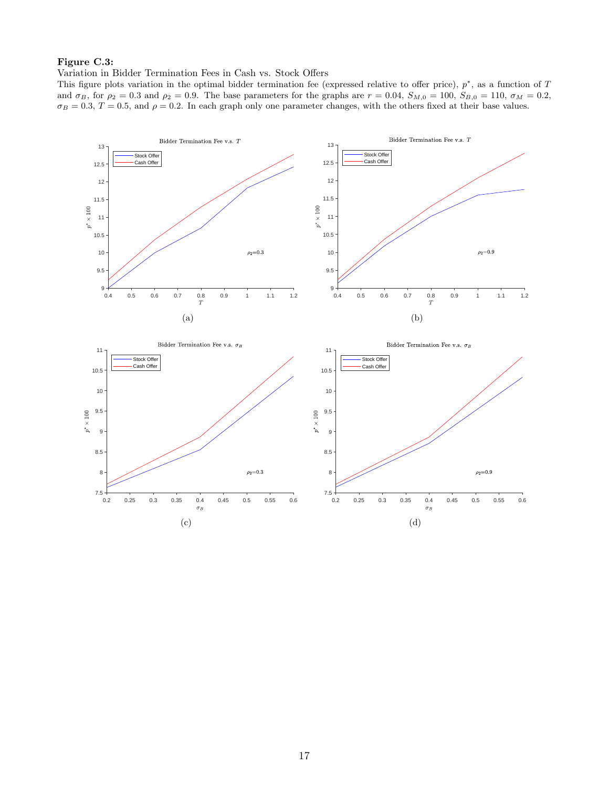## Figure C.3:

#### Variation in Bidder Termination Fees in Cash vs. Stock Offers

This figure plots variation in the optimal bidder termination fee (expressed relative to offer price),  $p^*$ , as a function of T and  $\sigma_B$ , for  $\rho_2 = 0.3$  and  $\rho_2 = 0.9$ . The base parameters for the graphs are  $r = 0.04$ ,  $S_{M,0} = 100$ ,  $S_{B,0} = 110$ ,  $\sigma_M = 0.2$ ,  $\sigma_B = 0.3, T = 0.5,$  and  $\rho = 0.2$ . In each graph only one parameter changes, with the others fixed at their base values.

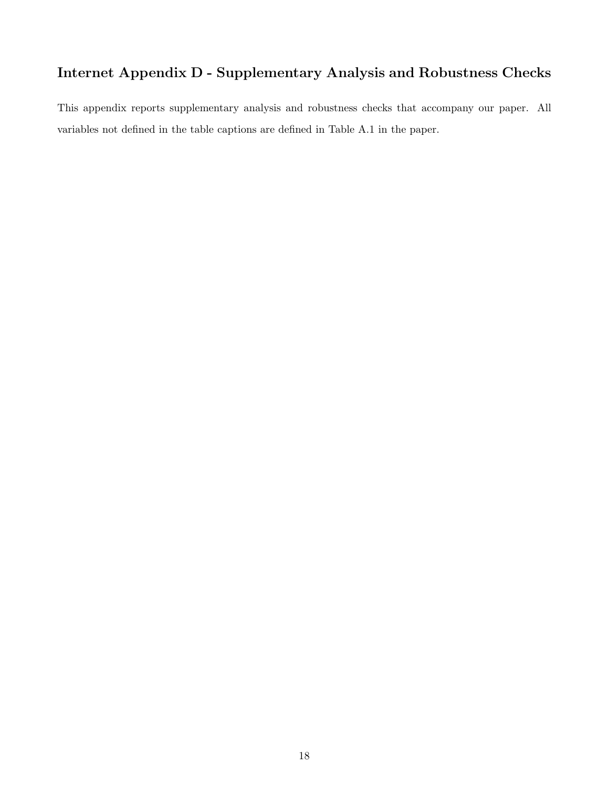# Internet Appendix D - Supplementary Analysis and Robustness Checks

This appendix reports supplementary analysis and robustness checks that accompany our paper. All variables not defined in the table captions are defined in Table A.1 in the paper.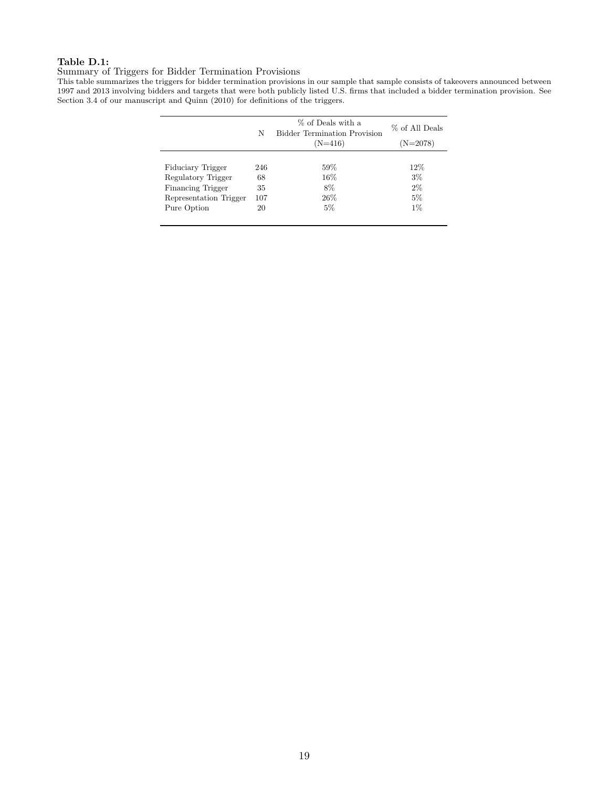## Table D.1:

#### Summary of Triggers for Bidder Termination Provisions

This table summarizes the triggers for bidder termination provisions in our sample that sample consists of takeovers announced between 1997 and 2013 involving bidders and targets that were both publicly listed U.S. firms that included a bidder termination provision. See Section 3.4 of our manuscript and Quinn (2010) for definitions of the triggers.

|                          | N   | % of Deals with a<br><b>Bidder Termination Provision</b><br>$(N=416)$ | % of All Deals<br>$(N=2078)$ |
|--------------------------|-----|-----------------------------------------------------------------------|------------------------------|
|                          |     |                                                                       |                              |
| Fiduciary Trigger        | 246 | 59%                                                                   | 12%                          |
| Regulatory Trigger       | 68  | $16\%$                                                                | $3\%$                        |
| <b>Financing Trigger</b> | 35  | 8%                                                                    | $2\%$                        |
| Representation Trigger   | 107 | 26%                                                                   | 5%                           |
| Pure Option              | 20  | 5%                                                                    | $1\%$                        |
|                          |     |                                                                       |                              |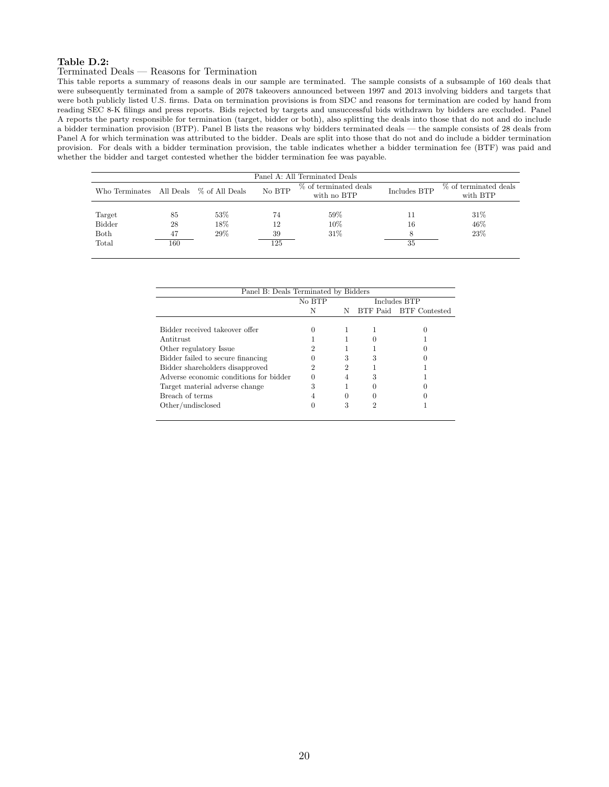#### Table D.2:

## Terminated Deals — Reasons for Termination

This table reports a summary of reasons deals in our sample are terminated. The sample consists of a subsample of 160 deals that were subsequently terminated from a sample of 2078 takeovers announced between 1997 and 2013 involving bidders and targets that were both publicly listed U.S. firms. Data on termination provisions is from SDC and reasons for termination are coded by hand from reading SEC 8-K filings and press reports. Bids rejected by targets and unsuccessful bids withdrawn by bidders are excluded. Panel A reports the party responsible for termination (target, bidder or both), also splitting the deals into those that do not and do include a bidder termination provision (BTP). Panel B lists the reasons why bidders terminated deals — the sample consists of 28 deals from Panel A for which termination was attributed to the bidder. Deals are split into those that do not and do include a bidder termination provision. For deals with a bidder termination provision, the table indicates whether a bidder termination fee (BTF) was paid and whether the bidder and target contested whether the bidder termination fee was payable.

| Panel A: All Terminated Deals |     |                                         |                                      |              |                                   |  |  |  |  |  |
|-------------------------------|-----|-----------------------------------------|--------------------------------------|--------------|-----------------------------------|--|--|--|--|--|
|                               |     | No BTP                                  | % of terminated deals<br>with no BTP | Includes BTP | % of terminated deals<br>with BTP |  |  |  |  |  |
|                               |     |                                         |                                      |              |                                   |  |  |  |  |  |
| 85                            | 53% | 74                                      | 59%                                  |              | 31\%                              |  |  |  |  |  |
| 28                            | 18% | 12                                      | 10%                                  | 16           | 46%                               |  |  |  |  |  |
| 47                            | 29% | 39                                      | 31%                                  |              | 23%                               |  |  |  |  |  |
| 160                           |     | 125                                     |                                      | 35           |                                   |  |  |  |  |  |
|                               |     | Who Terminates All Deals % of All Deals |                                      |              |                                   |  |  |  |  |  |

| Panel B: Deals Terminated by Bidders   |        |   |  |                        |  |  |  |  |  |
|----------------------------------------|--------|---|--|------------------------|--|--|--|--|--|
|                                        | No BTP |   |  | Includes BTP           |  |  |  |  |  |
|                                        | N      | Ν |  | BTF Paid BTF Contested |  |  |  |  |  |
|                                        |        |   |  |                        |  |  |  |  |  |
| Bidder received takeover offer         |        |   |  |                        |  |  |  |  |  |
| Antitrust                              |        |   |  |                        |  |  |  |  |  |
| Other regulatory Issue                 |        |   |  |                        |  |  |  |  |  |
| Bidder failed to secure financing      |        | 3 |  |                        |  |  |  |  |  |
| Bidder shareholders disapproved        |        |   |  |                        |  |  |  |  |  |
| Adverse economic conditions for bidder |        |   |  |                        |  |  |  |  |  |
| Target material adverse change         |        |   |  |                        |  |  |  |  |  |
| Breach of terms                        |        |   |  |                        |  |  |  |  |  |
| Other/undisclosed                      |        |   |  |                        |  |  |  |  |  |
|                                        |        |   |  |                        |  |  |  |  |  |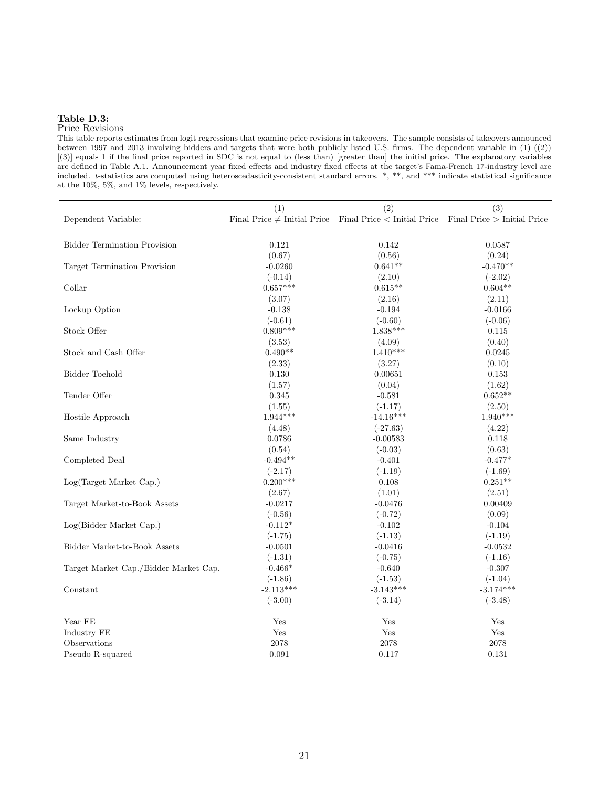## Table D.3:

## Price Revisions

This table reports estimates from logit regressions that examine price revisions in takeovers. The sample consists of takeovers announced between 1997 and 2013 involving bidders and targets that were both publicly listed U.S. firms. The dependent variable in (1) ((2)) [(3)] equals 1 if the final price reported in SDC is not equal to (less than) [greater than] the initial price. The explanatory variables are defined in Table A.1. Announcement year fixed effects and industry fixed effects at the target's Fama-French 17-industry level are included. t-statistics are computed using heteroscedasticity-consistent standard errors. \*, \*\*, and \*\*\* indicate statistical significance at the 10%, 5%, and 1% levels, respectively.

|                                       | (1)         | (2)                                                                                            | (3)         |
|---------------------------------------|-------------|------------------------------------------------------------------------------------------------|-------------|
| Dependent Variable:                   |             | Final Price $\neq$ Initial Price Final Price $\lt$ Initial Price Final Price $>$ Initial Price |             |
|                                       |             |                                                                                                |             |
| <b>Bidder Termination Provision</b>   | 0.121       | 0.142                                                                                          | 0.0587      |
|                                       | (0.67)      | (0.56)                                                                                         | (0.24)      |
| Target Termination Provision          | $-0.0260$   | $0.641**$                                                                                      | $-0.470**$  |
|                                       | $(-0.14)$   | (2.10)                                                                                         | $(-2.02)$   |
| Collar                                | $0.657***$  | $0.615**$                                                                                      | $0.604**$   |
|                                       | (3.07)      | (2.16)                                                                                         | (2.11)      |
| Lockup Option                         | $-0.138$    | $-0.194$                                                                                       | $-0.0166$   |
|                                       | $(-0.61)$   | $(-0.60)$                                                                                      | $(-0.06)$   |
| Stock Offer                           | $0.809***$  | $1.838***$                                                                                     | 0.115       |
|                                       | (3.53)      | (4.09)                                                                                         | (0.40)      |
| Stock and Cash Offer                  | $0.490**$   | $1.410***$                                                                                     | 0.0245      |
|                                       | (2.33)      | (3.27)                                                                                         | (0.10)      |
| <b>Bidder Toehold</b>                 | 0.130       | 0.00651                                                                                        | 0.153       |
|                                       | (1.57)      | (0.04)                                                                                         | (1.62)      |
| Tender Offer                          | 0.345       | $-0.581$                                                                                       | $0.652**$   |
|                                       | (1.55)      | $(-1.17)$                                                                                      | (2.50)      |
| Hostile Approach                      | $1.944***$  | $-14.16***$                                                                                    | $1.940***$  |
|                                       | (4.48)      | $(-27.63)$                                                                                     | (4.22)      |
| Same Industry                         | 0.0786      | $-0.00583$                                                                                     | 0.118       |
|                                       | (0.54)      | $(-0.03)$                                                                                      | (0.63)      |
| Completed Deal                        | $-0.494**$  | $-0.401$                                                                                       | $-0.477*$   |
|                                       | $(-2.17)$   | $(-1.19)$                                                                                      | $(-1.69)$   |
| Log(Target Market Cap.)               | $0.200***$  | 0.108                                                                                          | $0.251**$   |
|                                       | (2.67)      | (1.01)                                                                                         | (2.51)      |
| Target Market-to-Book Assets          | $-0.0217$   | $-0.0476$                                                                                      | 0.00409     |
|                                       | $(-0.56)$   | $(-0.72)$                                                                                      | (0.09)      |
| Log(Bidder Market Cap.)               | $-0.112*$   | $-0.102$                                                                                       | $-0.104$    |
|                                       | $(-1.75)$   | $(-1.13)$                                                                                      | $(-1.19)$   |
| Bidder Market-to-Book Assets          | $-0.0501$   | $-0.0416$                                                                                      | $-0.0532$   |
|                                       | $(-1.31)$   | $(-0.75)$                                                                                      | $(-1.16)$   |
| Target Market Cap./Bidder Market Cap. | $-0.466*$   | $-0.640$                                                                                       | $-0.307$    |
|                                       | $(-1.86)$   | $(-1.53)$                                                                                      | $(-1.04)$   |
| Constant                              | $-2.113***$ | $-3.143***$                                                                                    | $-3.174***$ |
|                                       | $(-3.00)$   | $(-3.14)$                                                                                      | $(-3.48)$   |
| Year FE                               | Yes         | Yes                                                                                            | Yes         |
| Industry FE                           | Yes         | Yes                                                                                            | Yes         |
| Observations                          | 2078        | 2078                                                                                           | 2078        |
| Pseudo R-squared                      | 0.091       | 0.117                                                                                          | 0.131       |
|                                       |             |                                                                                                |             |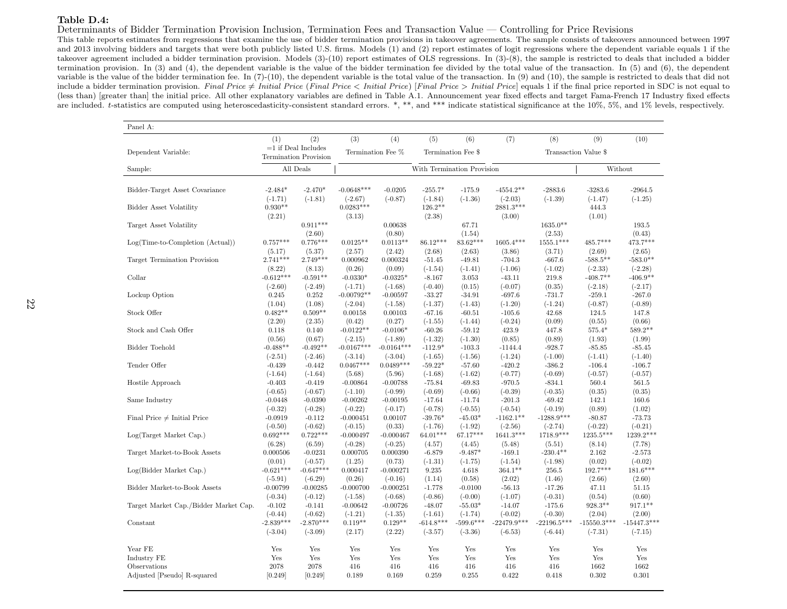#### Table D.4:

#### Determinants of Bidder Termination Provision Inclusion, Termination Fees and Transaction Value — Controlling for Price Revisions

 This table reports estimates from regressions that examine the use of bidder termination provisions in takeover agreements. The sample consists of takeovers announced between 1997 and <sup>2013</sup> involving bidders and targets that were both publicly listed U.S. firms. Models (1) and (2) report estimates of logit regressions where the dependent variable equals <sup>1</sup> if the takeover agreement included <sup>a</sup> bidder termination provision. Models (3)-(10) report estimates of OLS regressions. In (3)-(8), the sample is restricted to deals that included <sup>a</sup> bidder termination provision. In (3) and (4), the dependent variable is the value of the bidder termination fee divided by the total value of the transaction. In (5) and (6), the dependent variable is the value of the bidder termination fee. In (7)-(10), the dependent variable is the total value of the transaction. In (9) and (10), the sample is restricted to deals that did notinclude a bidder termination provision. Final Price  $\neq$  Initial Price  $\leq$  Initial Price  $\geq$  Initial Price  $\geq$  Initial Price is not equal to final price reported in SDC is not equal to the final price reported in S (less than) [greater than] the initial price. All other explanatory variables are defined in Table A.1. Announcement year fixed effects and target Fama-French <sup>17</sup> Industry fixed effectsare included. t-statistics are computed using heteroscedasticity-consistent standard errors. \*, \*\*, and \*\*\* indicate statistical significance at the 10%, 5%, and 1% levels, respectively.

| Panel A:                              |                       |                                                       |                          |                                         |                        |                        |                       |                       |                    |                    |
|---------------------------------------|-----------------------|-------------------------------------------------------|--------------------------|-----------------------------------------|------------------------|------------------------|-----------------------|-----------------------|--------------------|--------------------|
|                                       | (1)                   | (2)                                                   | (3)                      | (4)                                     | (5)                    | (6)                    | (7)                   | (8)                   | (9)                | (10)               |
| Dependent Variable:                   |                       | $=1$ if Deal Includes<br><b>Termination Provision</b> |                          | Termination Fee %<br>Termination Fee \$ |                        |                        |                       | Transaction Value \$  |                    |                    |
| Sample:                               |                       | All Deals                                             |                          | With Termination Provision              |                        |                        | Without               |                       |                    |                    |
|                                       |                       |                                                       |                          |                                         |                        |                        |                       |                       |                    |                    |
| Bidder-Target Asset Covariance        | $-2.484*$             | $-2.470*$                                             | $-0.0648***$             | $-0.0205$                               | $-255.7*$              | $-175.9$               | $-4554.2**$           | $-2883.6$             | $-3283.6$          | $-2964.5$          |
|                                       | $(-1.71)$             | $(-1.81)$                                             | $(-2.67)$                | $(-0.87)$                               | $(-1.84)$              | $(-1.36)$              | $(-2.03)$             | $(-1.39)$             | $(-1.47)$          | $(-1.25)$          |
| <b>Bidder Asset Volatility</b>        | $0.930**$             |                                                       | $0.0283***$              |                                         | $126.2**$              |                        | 2881.3***             |                       | 444.3              |                    |
|                                       | (2.21)                |                                                       | (3.13)                   |                                         | (2.38)                 |                        | (3.00)                |                       | (1.01)             |                    |
| Target Asset Volatility               |                       | $0.911***$                                            |                          | 0.00638                                 |                        | 67.71                  |                       | 1635.0**              |                    | 193.5              |
|                                       |                       | (2.60)                                                |                          | (0.80)                                  |                        | (1.54)                 |                       | (2.53)                |                    | (0.43)             |
| $Log(Time-to-Completion (Actual))$    | $0.757***$            | $0.776***$                                            | $0.0125**$               | $0.0113**$                              | 86.12***               | 83.62***               | $1605.4***$           | $1555.1***$           | 485.7***           | 473.7***           |
|                                       | (5.17)                | (5.37)                                                | (2.57)                   | (2.42)                                  | (2.68)                 | (2.63)                 | (3.86)                | (3.71)                | (2.69)             | (2.65)             |
| Target Termination Provision          | $2.741***$            | $2.749***$                                            | 0.000962                 | 0.000324                                | $-51.45$               | $-49.81$               | $-704.3$              | $-667.6$              | $-588.5***$        | $-583.0**$         |
|                                       | (8.22)                | (8.13)                                                | (0.26)                   | (0.09)                                  | $(-1.54)$              | $(-1.41)$              | $(-1.06)$             | $(-1.02)$             | $(-2.33)$          | $(-2.28)$          |
| Collar                                | $-0.612***$           | $-0.591**$                                            | $-0.0330*$               | $-0.0325*$                              | $-8.167$               | 3.053                  | $-43.11$              | 219.8                 | $-408.7**$         | $-406.9**$         |
|                                       | $(-2.60)$             | $(-2.49)$                                             | $(-1.71)$                | $(-1.68)$                               | $(-0.40)$              | (0.15)                 | $(-0.07)$             | (0.35)                | $(-2.18)$          | $(-2.17)$          |
| Lockup Option                         | 0.245                 | 0.252                                                 | $-0.00792**$             | $-0.00597$                              | $-33.27$               | $-34.91$               | $-697.6$              | $-731.7$              | $-259.1$           | $-267.0$           |
|                                       | (1.04)                | (1.08)                                                | $(-2.04)$                | $(-1.58)$                               | $(-1.37)$              | $(-1.43)$              | $(-1.20)$             | $(-1.24)$             | $(-0.87)$          | $(-0.89)$          |
| Stock Offer                           | $0.482**$             | $0.509**$                                             | 0.00158                  | 0.00103                                 | $-67.16$               | $-60.51$               | $-105.6$              | 42.68                 | 124.5              | 147.8              |
|                                       | (2.20)                | (2.35)                                                | (0.42)                   | (0.27)                                  | $(-1.55)$              | $(-1.44)$              | $(-0.24)$             | (0.09)                | (0.55)             | (0.66)             |
| Stock and Cash Offer                  | 0.118                 | 0.140                                                 | $-0.0122**$              | $-0.0106*$                              | $-60.26$               | $-59.12$               | 423.9                 | 447.8                 | $575.4*$           | 589.2**            |
|                                       | (0.56)                | (0.67)                                                | $(-2.15)$                | $(-1.89)$                               | $(-1.32)$              | $(-1.30)$              | (0.85)                | (0.89)                | (1.93)             | (1.99)             |
| Bidder Toehold                        | $-0.488**$            | $-0.492**$                                            | $-0.0167***$             | $-0.0164***$                            | $-112.9*$              | $-103.3$               | $-1144.4$             | $-928.7$              | $-85.85$           | $-85.45$           |
|                                       | $(-2.51)$             | $(-2.46)$                                             | $(-3.14)$                | $(-3.04)$                               | $(-1.65)$              | $(-1.56)$              | $(-1.24)$             | $(-1.00)$             | $(-1.41)$          | $(-1.40)$          |
| Tender Offer                          | $-0.439$              | $-0.442$                                              | $0.0467***$              | $0.0489***$                             | $-59.22*$              | $-57.60$               | $-420.2$              | $-386.2$              | $-106.4$           | $-106.7$           |
| Hostile Approach                      | $(-1.64)$<br>$-0.403$ | $(-1.64)$<br>$-0.419$                                 | (5.68)<br>$-0.00864$     | (5.96)<br>$-0.00788$                    | $(-1.68)$<br>$-75.84$  | $(-1.62)$<br>$-69.83$  | $(-0.77)$<br>$-970.5$ | $(-0.69)$<br>$-834.1$ | $(-0.57)$<br>560.4 | $(-0.57)$<br>561.5 |
|                                       | $(-0.65)$             | $(-0.67)$                                             | $(-1.10)$                | $(-0.99)$                               | $(-0.69)$              | $(-0.66)$              | $(-0.39)$             | $(-0.35)$             | (0.35)             | (0.35)             |
|                                       | $-0.0448$             |                                                       |                          | $-0.00195$                              | $-17.64$               |                        | $-201.3$              | $-69.42$              | 142.1              | 160.6              |
| Same Industry                         | $(-0.32)$             | $-0.0390$                                             | $-0.00262$               |                                         |                        | $-11.74$               | $(-0.54)$             | $(-0.19)$             |                    |                    |
| Final Price $\neq$ Initial Price      | $-0.0919$             | $(-0.28)$<br>$-0.112$                                 | $(-0.22)$<br>$-0.000451$ | $(-0.17)$<br>0.00107                    | $(-0.78)$<br>$-39.76*$ | $(-0.55)$<br>$-45.03*$ | $-1162.1**$           | $-1288.9***$          | (0.89)<br>$-80.87$ | (1.02)<br>$-73.73$ |
|                                       | $(-0.50)$             | $(-0.62)$                                             | $(-0.15)$                | (0.33)                                  | $(-1.76)$              | $(-1.92)$              | $(-2.56)$             | $(-2.74)$             | $(-0.22)$          | $(-0.21)$          |
| Log(Target Market Cap.)               | $0.692***$            | $0.722***$                                            | $-0.000497$              | $-0.000467$                             | 64.01***               | 67.17***               | $1641.3***$           | 1718.9***             | 1235.5***          | 1239.2***          |
|                                       | (6.28)                | (6.59)                                                | $(-0.28)$                | $(-0.25)$                               | (4.57)                 | (4.45)                 | (5.48)                | (5.51)                | (8.14)             | (7.78)             |
| Target Market-to-Book Assets          | 0.000506              | $-0.0231$                                             | 0.000705                 | 0.000390                                | $-6.879$               | $-9.487*$              | $-169.1$              | $-230.4**$            | 2.162              | $-2.573$           |
|                                       | (0.01)                | $(-0.57)$                                             | (1.25)                   | (0.73)                                  | $(-1.31)$              | $(-1.75)$              | $(-1.54)$             | $(-1.98)$             | (0.02)             | $(-0.02)$          |
| Log(Bidder Market Cap.)               | $-0.621***$           | $-0.647***$                                           | 0.000417                 | $-0.000271$                             | 9.235                  | 4.618                  | $364.1**$             | $256.5\,$             | 192.7***           | $181.6***$         |
|                                       | $(-5.91)$             | $(-6.29)$                                             | (0.26)                   | $(-0.16)$                               | (1.14)                 | (0.58)                 | (2.02)                | (1.46)                | (2.66)             | (2.60)             |
| Bidder Market-to-Book Assets          | $-0.00799$            | $-0.00285$                                            | $-0.000700$              | $-0.000251$                             | $-1.778$               | $-0.0100$              | $-56.13$              | $-17.26$              | 47.11              | 51.15              |
|                                       | $(-0.34)$             | $(-0.12)$                                             | $(-1.58)$                | $(-0.68)$                               | $(-0.86)$              | $(-0.00)$              | $(-1.07)$             | $(-0.31)$             | (0.54)             | (0.60)             |
| Target Market Cap./Bidder Market Cap. | $-0.102$              | $-0.141$                                              | $-0.00642$               | $-0.00726$                              | $-48.07$               | $-55.03*$              | $-14.07$              | $-175.6$              | $928.3**$          | $917.1**$          |
|                                       | $(-0.44)$             | $(-0.62)$                                             | $(-1.21)$                | $(-1.35)$                               | $(-1.61)$              | $(-1.74)$              | $(-0.02)$             | $(-0.30)$             | (2.04)             | (2.00)             |
| Constant                              | $-2.839***$           | $-2.870***$                                           | $0.119**$                | $0.129**$                               | $-614.8***$            | $-599.6***$            | $-22479.9***$         | $-22196.5***$         | $-15550.3***$      | $-15447.3***$      |
|                                       | $(-3.04)$             | $(-3.09)$                                             | (2.17)                   | (2.22)                                  | $(-3.57)$              | $(-3.36)$              | $(-6.53)$             | $(-6.44)$             | $(-7.31)$          | $(-7.15)$          |
|                                       |                       |                                                       |                          |                                         |                        |                        |                       |                       |                    |                    |
| Year FE                               | Yes                   | Yes                                                   | Yes                      | Yes                                     | Yes                    | Yes                    | Yes                   | Yes                   | Yes                | Yes                |
| Industry FE                           | Yes                   | Yes                                                   | Yes                      | Yes                                     | Yes                    | Yes                    | Yes                   | Yes                   | Yes                | Yes                |
| Observations                          | 2078                  | 2078                                                  | 416                      | 416                                     | 416                    | 416                    | 416                   | 416                   | 1662               | 1662               |
| Adjusted [Pseudo] R-squared           | [0.249]               | [0.249]                                               | 0.189                    | 0.169                                   | 0.259                  | 0.255                  | 0.422                 | 0.418                 | 0.302              | 0.301              |
|                                       |                       |                                                       |                          |                                         |                        |                        |                       |                       |                    |                    |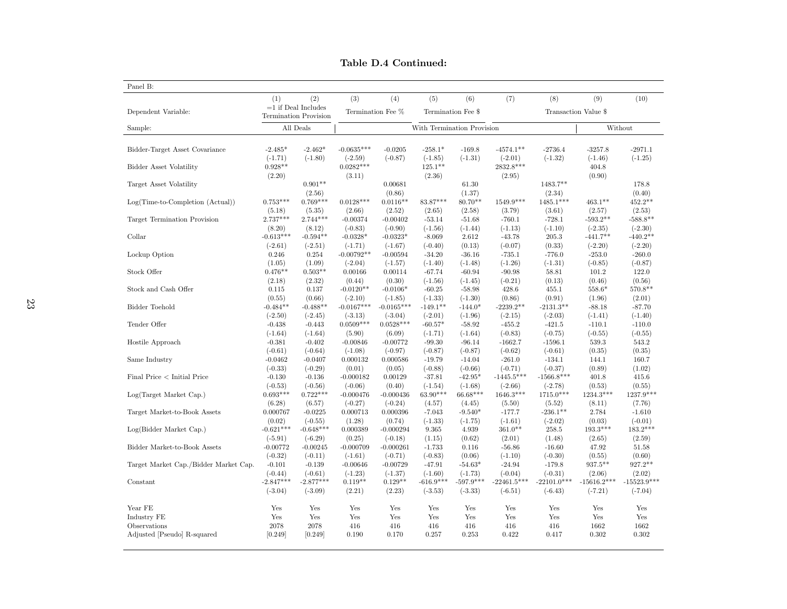|                                       |                                  | (2)                                            | (3)                                | (4)                                     | (5)                               | (6)                | (7)                              | (8)                | (9)                          | (10)                |  |
|---------------------------------------|----------------------------------|------------------------------------------------|------------------------------------|-----------------------------------------|-----------------------------------|--------------------|----------------------------------|--------------------|------------------------------|---------------------|--|
| Dependent Variable:                   |                                  | $=1$ if Deal Includes<br>Termination Provision |                                    | Termination Fee %<br>Termination Fee \$ |                                   |                    |                                  |                    | Transaction Value \$         |                     |  |
| Sample:                               |                                  | All Deals                                      |                                    |                                         | With Termination Provision        |                    |                                  |                    |                              | Without             |  |
|                                       |                                  |                                                |                                    |                                         |                                   |                    |                                  |                    |                              |                     |  |
| Bidder-Target Asset Covariance        | $-2.485*$                        | $-2.462*$                                      | $-0.0635***$                       | $-0.0205$                               | $-258.1*$                         | $-169.8$           | $-4574.1**$                      | $-2736.4$          | $-3257.8$                    | $-2971.1$           |  |
| Bidder Asset Volatility               | $(-1.71)$<br>$0.928**$<br>(2.20) | $(-1.80)$                                      | $(-2.59)$<br>$0.0282***$<br>(3.11) | $(-0.87)$                               | $(-1.85)$<br>$125.1***$<br>(2.36) | $(-1.31)$          | $(-2.01)$<br>2832.8***<br>(2.95) | $(-1.32)$          | $(-1.46)$<br>404.8<br>(0.90) | $(-1.25)$           |  |
| Target Asset Volatility               |                                  | $0.901**$<br>(2.56)                            |                                    | 0.00681<br>(0.86)                       |                                   | 61.30<br>(1.37)    |                                  | 1483.7**<br>(2.34) |                              | 178.8<br>(0.40)     |  |
| $Log(Time-to-Completion (Actual))$    | $0.753***$                       | $0.769***$                                     | $0.0128***$                        | $0.0116**$<br>(2.52)                    | 83.87***                          | $80.70**$          | $1549.9***$                      | 1485.1***          | $463.1**$                    | $452.2**$<br>(2.53) |  |
| Target Termination Provision          | (5.18)<br>$2.737***$             | (5.35)<br>$2.744***$                           | (2.66)<br>$-0.00374$               | $-0.00402$                              | (2.65)<br>$-53.14$                | (2.58)<br>$-51.68$ | (3.79)<br>$-760.1$               | (3.61)<br>$-728.1$ | (2.57)<br>$-593.2**$         | $-588.8**$          |  |
| Collar                                | (8.20)                           | (8.12)                                         | $(-0.83)$                          | $(-0.90)$                               | $(-1.56)$                         | $(-1.44)$          | $(-1.13)$                        | $(-1.10)$          | $(-2.35)$                    | $(-2.30)$           |  |
|                                       | $-0.613***$                      | $-0.594**$                                     | $-0.0328*$                         | $-0.0323*$                              | $-8.069$                          | 2.612              | $-43.78$                         | 205.3              | $-441.7**$                   | $-440.2**$          |  |
| Lockup Option                         | $(-2.61)$                        | $(-2.51)$                                      | $(-1.71)$                          | $(-1.67)$                               | $(-0.40)$                         | (0.13)             | $(-0.07)$                        | (0.33)             | $(-2.20)$                    | $(-2.20)$           |  |
|                                       | 0.246                            | 0.254                                          | $-0.00792**$                       | $-0.00594$                              | $-34.20$                          | $-36.16$           | $-735.1$                         | $-776.0$           | $-253.0$                     | $-260.0$            |  |
| Stock Offer                           | (1.05)                           | (1.09)                                         | $(-2.04)$                          | $(-1.57)$                               | $(-1.40)$                         | $(-1.48)$          | $(-1.26)$                        | $(-1.31)$          | $(-0.85)$                    | $(-0.87)$           |  |
|                                       | $0.476**$                        | $0.503**$                                      | 0.00166                            | 0.00114                                 | $-67.74$                          | $-60.94$           | $-90.98$                         | 58.81              | 101.2                        | 122.0               |  |
| Stock and Cash Offer                  | (2.18)                           | (2.32)                                         | (0.44)                             | (0.30)                                  | $(-1.56)$                         | $(-1.45)$          | $(-0.21)$                        | (0.13)             | (0.46)                       | (0.56)              |  |
|                                       | 0.115                            | 0.137                                          | $-0.0120**$                        | $-0.0106*$                              | $-60.25$                          | $-58.98$           | 428.6                            | 455.1              | 558.6*                       | 570.8**             |  |
| Bidder Toehold                        | (0.55)                           | (0.66)                                         | $(-2.10)$                          | $(-1.85)$                               | $(-1.33)$                         | $(-1.30)$          | (0.86)                           | (0.91)             | (1.96)                       | (2.01)              |  |
|                                       | $-0.484**$                       | $-0.488**$                                     | $-0.0167***$                       | $-0.0165***$                            | $-149.1***$                       | $-144.0*$          | $-2239.2**$                      | $-2131.3**$        | $-88.18$                     | $-87.70$            |  |
| Tender Offer                          | $(-2.50)$                        | $(-2.45)$                                      | $(-3.13)$                          | $(-3.04)$                               | $(-2.01)$                         | $(-1.96)$          | $(-2.15)$                        | $(-2.03)$          | $(-1.41)$                    | $(-1.40)$           |  |
|                                       | $-0.438$                         | $-0.443$                                       | $0.0509***$                        | $0.0528***$                             | $-60.57*$                         | $-58.92$           | $-455.2$                         | $-421.5$           | $-110.1$                     | $-110.0$            |  |
| Hostile Approach                      | $(-1.64)$                        | $(-1.64)$                                      | (5.90)                             | (6.09)                                  | $(-1.71)$                         | $(-1.64)$          | $(-0.83)$                        | $(-0.75)$          | $(-0.55)$                    | $(-0.55)$           |  |
|                                       | $-0.381$                         | $-0.402$                                       | $-0.00846$                         | $-0.00772$                              | $-99.30$                          | $-96.14$           | $-1662.7$                        | $-1596.1$          | 539.3                        | 543.2               |  |
| Same Industry                         | $(-0.61)$                        | $(-0.64)$                                      | $(-1.08)$                          | $(-0.97)$                               | $(-0.87)$                         | $(-0.87)$          | $(-0.62)$                        | $(-0.61)$          | (0.35)                       | (0.35)              |  |
|                                       | $-0.0462$                        | $-0.0407$                                      | 0.000132                           | 0.000586                                | $-19.79$                          | $-14.04$           | $-261.0$                         | $-134.1$           | 144.1                        | 160.7               |  |
| Final Price < Initial Price           | $(-0.33)$                        | $(-0.29)$                                      | (0.01)                             | (0.05)                                  | $(-0.88)$                         | $(-0.66)$          | $(-0.71)$                        | $(-0.37)$          | (0.89)                       | (1.02)              |  |
|                                       | $-0.130$                         | $-0.136$                                       | $-0.000182$                        | 0.00129                                 | $-37.81$                          | $-42.95*$          | $-1445.5***$                     | $-1566.8***$       | 401.8                        | 415.6               |  |
| Log(Target Market Cap.)               | $(-0.53)$                        | $(-0.56)$                                      | $(-0.06)$                          | (0.40)                                  | $(-1.54)$                         | $(-1.68)$          | $(-2.66)$                        | $(-2.78)$          | (0.53)                       | (0.55)              |  |
|                                       | $0.693***$                       | $0.722***$                                     | $-0.000476$                        | $-0.000436$                             | $63.90***$                        | 66.68***           | $1646.3***$                      | 1715.0***          | $1234.3***$                  | 1237.9***           |  |
| Target Market-to-Book Assets          | (6.28)                           | (6.57)                                         | $(-0.27)$                          | $(-0.24)$                               | (4.57)                            | (4.45)             | (5.50)                           | (5.52)             | (8.11)                       | (7.76)              |  |
|                                       | 0.000767                         | $-0.0225$                                      | 0.000713                           | 0.000396                                | $-7.043$                          | $-9.540*$          | $-177.7$                         | $-236.1**$         | 2.784                        | $-1.610$            |  |
| Log(Bidder Market Cap.)               | (0.02)                           | $(-0.55)$                                      | (1.28)                             | (0.74)                                  | $(-1.33)$                         | $(-1.75)$          | $(-1.61)$                        | $(-2.02)$          | (0.03)                       | $(-0.01)$           |  |
|                                       | $-0.621***$                      | $-0.648***$                                    | 0.000389                           | $-0.000294$                             | 9.365                             | 4.939              | $361.0**$                        | 258.5              | $193.3***$                   | $183.2***$          |  |
| Bidder Market-to-Book Assets          | $(-5.91)$                        | $(-6.29)$                                      | (0.25)                             | $(-0.18)$                               | (1.15)                            | (0.62)             | (2.01)                           | (1.48)             | (2.65)                       | (2.59)              |  |
|                                       | $-0.00772$                       | $-0.00245$                                     | $-0.000709$                        | $-0.000261$                             | $-1.733$                          | 0.116              | $-56.86$                         | $-16.60$           | 47.92                        | 51.58               |  |
| Target Market Cap./Bidder Market Cap. | $(-0.32)$                        | $(-0.11)$                                      | $(-1.61)$                          | $(-0.71)$                               | $(-0.83)$                         | (0.06)             | $(-1.10)$                        | $(-0.30)$          | (0.55)                       | (0.60)              |  |
|                                       | $-0.101$                         | $-0.139$                                       | $-0.00646$                         | $-0.00729$                              | $-47.91$                          | $-54.63*$          | $-24.94$                         | $-179.8$           | $937.5***$                   | $927.2**$           |  |
| Constant                              | $(-0.44)$                        | $(-0.61)$                                      | $(-1.23)$                          | $(-1.37)$                               | $(-1.60)$                         | $(-1.73)$          | $(-0.04)$                        | $(-0.31)$          | (2.06)                       | (2.02)              |  |
|                                       | $-2.847***$                      | $-2.877***$                                    | $0.119**$                          | $0.129**$                               | $-616.9***$                       | $-597.9***$        | $-22461.5***$                    | $-22101.0***$      | $-15616.2***$                | $-15523.9***$       |  |
|                                       | $(-3.04)$                        | $(-3.09)$                                      | (2.21)                             | (2.23)                                  | $(-3.53)$                         | $(-3.33)$          | $(-6.51)$                        | $(-6.43)$          | $(-7.21)$                    | $(-7.04)$           |  |
| Year FE                               | Yes                              | Yes                                            | Yes                                | Yes                                     | Yes                               | Yes                | Yes                              | Yes                | Yes                          | Yes                 |  |
| Industry FE                           | Yes                              | Yes                                            | Yes                                | Yes                                     | Yes                               | Yes                | Yes                              | Yes                | Yes                          | Yes                 |  |
| Observations                          | 2078                             | 2078                                           | 416                                | 416                                     | 416                               | 416                | 416                              | 416                | 1662                         | 1662                |  |
| Adjusted [Pseudo] R-squared           | [0.249]                          | [0.249]                                        | 0.190                              | 0.170                                   | 0.257                             | 0.253              | 0.422                            | 0.417              | 0.302                        | 0.302               |  |

Table D.4 Continued: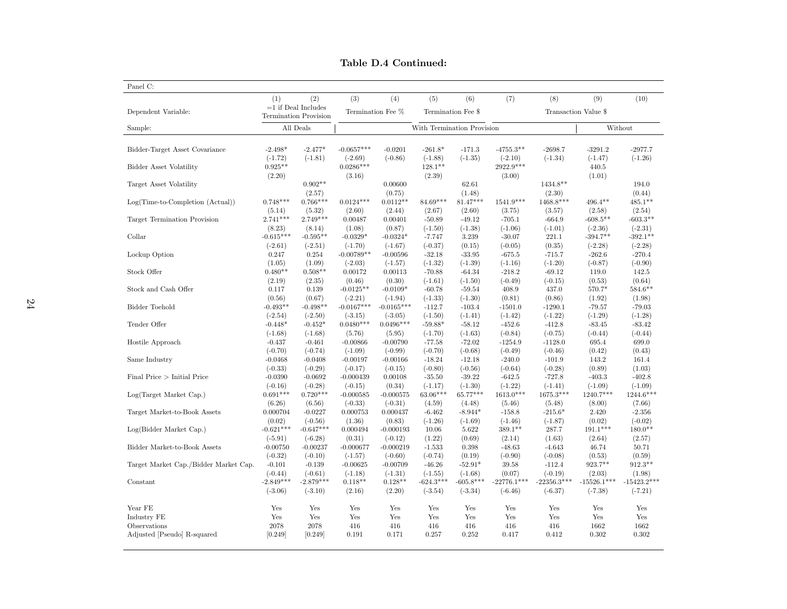|                                       | (1)         | (2)                                                   | (3)          | (4)                                     | (5)         | (6)                        | (7)           | (8)                  | (9)           | (10)          |
|---------------------------------------|-------------|-------------------------------------------------------|--------------|-----------------------------------------|-------------|----------------------------|---------------|----------------------|---------------|---------------|
| Dependent Variable:                   |             | $=1$ if Deal Includes<br><b>Termination Provision</b> |              | Termination Fee %<br>Termination Fee \$ |             |                            |               | Transaction Value \$ |               |               |
| Sample:                               |             | All Deals                                             |              |                                         |             | With Termination Provision |               |                      |               | Without       |
| Bidder-Target Asset Covariance        | $-2.498*$   | $-2.477*$                                             | $-0.0657***$ | $-0.0201$                               | $-261.8*$   | $-171.3$                   | $-4755.3**$   | $-2698.7$            | $-3291.2$     | $-2977.7$     |
|                                       | $(-1.72)$   | $(-1.81)$                                             | $(-2.69)$    | $(-0.86)$                               | $(-1.88)$   | $(-1.35)$                  | $(-2.10)$     | $(-1.34)$            | $(-1.47)$     | $(-1.26)$     |
| Bidder Asset Volatility               | $0.925**$   |                                                       | $0.0286***$  |                                         | $128.1***$  |                            | 2922.9***     |                      | 440.5         |               |
|                                       | (2.20)      |                                                       | (3.16)       |                                         | (2.39)      |                            | (3.00)        |                      | (1.01)        |               |
| Target Asset Volatility               |             | $0.902**$                                             |              | 0.00600                                 |             | 62.61                      |               | 1434.8**             |               | 194.0         |
|                                       |             | (2.57)                                                |              | (0.75)                                  |             | (1.48)                     |               | (2.30)               |               | (0.44)        |
| $Log(Time-to-Completion (Actual))$    | $0.748***$  | $0.766***$                                            | $0.0124***$  | $0.0112**$                              | 84.69***    | $81.47***$                 | 1541.9***     | 1468.8***            | $496.4***$    | $485.1***$    |
|                                       | (5.14)      | (5.32)                                                | (2.60)       | (2.44)                                  | (2.67)      | (2.60)                     | (3.75)        | (3.57)               | (2.58)        | (2.54)        |
| Target Termination Provision          | $2.741***$  | $2.749***$                                            | 0.00487      | 0.00401                                 | $-50.89$    | $-49.12$                   | $-705.1$      | $-664.9$             | $-608.5**$    | $-603.3**$    |
|                                       | (8.23)      | (8.14)                                                | (1.08)       | (0.87)                                  | $(-1.50)$   | $(-1.38)$                  | $(-1.06)$     | $(-1.01)$            | $(-2.36)$     | $(-2.31)$     |
| Collar                                | $-0.615***$ | $-0.595**$                                            | $-0.0329*$   | $-0.0324*$                              | $-7.747$    | 3.239                      | $-30.07$      | 221.1                | $-394.7**$    | $-392.1**$    |
|                                       | $(-2.61)$   | $(-2.51)$                                             | $(-1.70)$    | $(-1.67)$                               | $(-0.37)$   | (0.15)                     | $(-0.05)$     | (0.35)               | $(-2.28)$     | $(-2.28)$     |
| Lockup Option                         | 0.247       | 0.254                                                 | $-0.00789**$ | $-0.00596$                              | $-32.18$    | $-33.95$                   | $-675.5$      | $-715.7$             | $-262.6$      | $-270.4$      |
|                                       | (1.05)      | (1.09)                                                | $(-2.03)$    | $(-1.57)$                               | $(-1.32)$   | $(-1.39)$                  | $(-1.16)$     | $(-1.20)$            | $(-0.87)$     | $(-0.90)$     |
| Stock Offer                           | $0.480**$   | $0.508**$                                             | 0.00172      | 0.00113                                 | $-70.88$    | $-64.34$                   | $-218.2$      | $-69.12$             | 119.0         | 142.5         |
|                                       | (2.19)      | (2.35)                                                | (0.46)       | (0.30)                                  | $(-1.61)$   | $(-1.50)$                  | $(-0.49)$     | $(-0.15)$            | (0.53)        | (0.64)        |
| Stock and Cash Offer                  | 0.117       | 0.139                                                 | $-0.0125**$  | $-0.0109*$                              | $-60.78$    | $-59.54$                   | 408.9         | 437.0                | 570.7*        | $584.6***$    |
|                                       | (0.56)      | (0.67)                                                | $(-2.21)$    | $(-1.94)$                               | $(-1.33)$   | $(-1.30)$                  | (0.81)        | (0.86)               | (1.92)        | (1.98)        |
| Bidder Toehold                        | $-0.493**$  | $-0.498**$                                            | $-0.0167***$ | $-0.0165***$                            | $-112.7$    | $-103.4$                   | $-1501.0$     | $-1290.1$            | $-79.57$      | $-79.03$      |
|                                       | $(-2.54)$   | $(-2.50)$                                             | $(-3.15)$    | $(-3.05)$                               | $(-1.50)$   | $(-1.41)$                  | $(-1.42)$     | $(-1.22)$            | $(-1.29)$     | $(-1.28)$     |
| Tender Offer                          | $-0.448*$   | $-0.452*$                                             | $0.0480***$  | $0.0496***$                             | $-59.88*$   | $-58.12$                   | $-452.6$      | $-412.8$             | $-83.45$      | $-83.42$      |
|                                       | $(-1.68)$   | $(-1.68)$                                             | (5.76)       | (5.95)                                  | $(-1.70)$   | $(-1.63)$                  | $(-0.84)$     | $(-0.75)$            | $(-0.44)$     | $(-0.44)$     |
| Hostile Approach                      | $-0.437$    | $-0.461$                                              | $-0.00866$   | $-0.00790$                              | $-77.58$    | $-72.02$                   | $-1254.9$     | $-1128.0$            | 695.4         | 699.0         |
|                                       | $(-0.70)$   | $(-0.74)$                                             | $(-1.09)$    | $(-0.99)$                               | $(-0.70)$   | $(-0.68)$                  | $(-0.49)$     | $(-0.46)$            | (0.42)        | (0.43)        |
| Same Industry                         | $-0.0468$   | $-0.0408$                                             | $-0.00197$   | $-0.00166$                              | $-18.24$    | $-12.18$                   | $-240.0$      | $-101.9$             | 143.2         | 161.4         |
|                                       | $(-0.33)$   | $(-0.29)$                                             | $(-0.17)$    | $(-0.15)$                               | $(-0.80)$   | $(-0.56)$                  | $(-0.64)$     | $(-0.28)$            | (0.89)        | (1.03)        |
| Final Price $>$ Initial Price         | $-0.0390$   | $-0.0692$                                             | $-0.000439$  | 0.00108                                 | $-35.50$    | $-39.22$                   | $-642.5$      | $-727.8$             | $-403.3$      | $-402.8$      |
|                                       | $(-0.16)$   | $(-0.28)$                                             | $(-0.15)$    | (0.34)                                  | $(-1.17)$   | $(-1.30)$                  | $(-1.22)$     | $(-1.41)$            | $(-1.09)$     | $(-1.09)$     |
| Log(Target Market Cap.)               | $0.691***$  | $0.720***$                                            | $-0.000585$  | $-0.000575$                             | 63.06***    | 65.77***                   | $1613.0***$   | 1675.3***            | 1240.7***     | $1244.6***$   |
|                                       | (6.26)      | (6.56)                                                | $(-0.33)$    | $(-0.31)$                               | (4.59)      | (4.48)                     | (5.46)        | (5.48)               | (8.00)        | (7.66)        |
| Target Market-to-Book Assets          | 0.000704    | $-0.0227$                                             | 0.000753     | 0.000437                                | $-6.462$    | $-8.944*$                  | $-158.8$      | $-215.6*$            | 2.420         | $-2.356$      |
|                                       | (0.02)      | $(-0.56)$                                             | (1.36)       | (0.83)                                  | $(-1.26)$   | $(-1.69)$                  | $(-1.46)$     | $(-1.87)$            | (0.02)        | $(-0.02)$     |
| Log(Bidder Market Cap.)               | $-0.621***$ | $-0.647***$                                           | 0.000494     | $-0.000193$                             | 10.06       | 5.622                      | 389.1**       | 287.7                | $191.1***$    | $180.0**$     |
|                                       | $(-5.91)$   | $(-6.28)$                                             | (0.31)       | $(-0.12)$                               | (1.22)      | (0.69)                     | (2.14)        | (1.63)               | (2.64)        | (2.57)        |
| Bidder Market-to-Book Assets          | $-0.00750$  | $-0.00237$                                            | $-0.000677$  | $-0.000219$                             | $-1.533$    | 0.398                      | $-48.63$      | $-4.643$             | 46.74         | 50.71         |
|                                       | $(-0.32)$   | $(-0.10)$                                             | $(-1.57)$    | $(-0.60)$                               | $(-0.74)$   | (0.19)                     | $(-0.90)$     | $(-0.08)$            | (0.53)        | (0.59)        |
| Target Market Cap./Bidder Market Cap. | $-0.101$    | $-0.139$                                              | $-0.00625$   | $-0.00709$                              | $-46.26$    | $-52.91*$                  | 39.58         | $-112.4$             | 923.7**       | $912.3**$     |
|                                       | $(-0.44)$   | $(-0.61)$                                             | $(-1.18)$    | $(-1.31)$                               | $(-1.55)$   | $(-1.68)$                  | (0.07)        | $(-0.19)$            | (2.03)        | (1.98)        |
| Constant                              | $-2.849***$ | $-2.879***$                                           | $0.118**$    | $0.128**$                               | $-624.3***$ | $-605.8***$                | $-22776.1***$ | $-22356.3***$        | $-15526.1***$ | $-15423.2***$ |
|                                       | $(-3.06)$   | $(-3.10)$                                             | (2.16)       | (2.20)                                  | $(-3.54)$   | $(-3.34)$                  | $(-6.46)$     | $(-6.37)$            | $(-7.38)$     | $(-7.21)$     |
| Year FE                               | Yes         | Yes                                                   | Yes          | Yes                                     | Yes         | Yes                        | Yes           | Yes                  | Yes           | Yes           |
| Industry FE                           | Yes         | Yes                                                   | Yes          | Yes                                     | Yes         | Yes                        | Yes           | Yes                  | Yes           | Yes           |
| Observations                          | 2078        | 2078                                                  | 416          | 416                                     | 416         | 416                        | 416           | 416                  | 1662          | 1662          |
| Adjusted [Pseudo] R-squared           | [0.249]     | [0.249]                                               | 0.191        | 0.171                                   | 0.257       | 0.252                      | 0.417         | 0.412                | 0.302         | 0.302         |

Table D.4 Continued: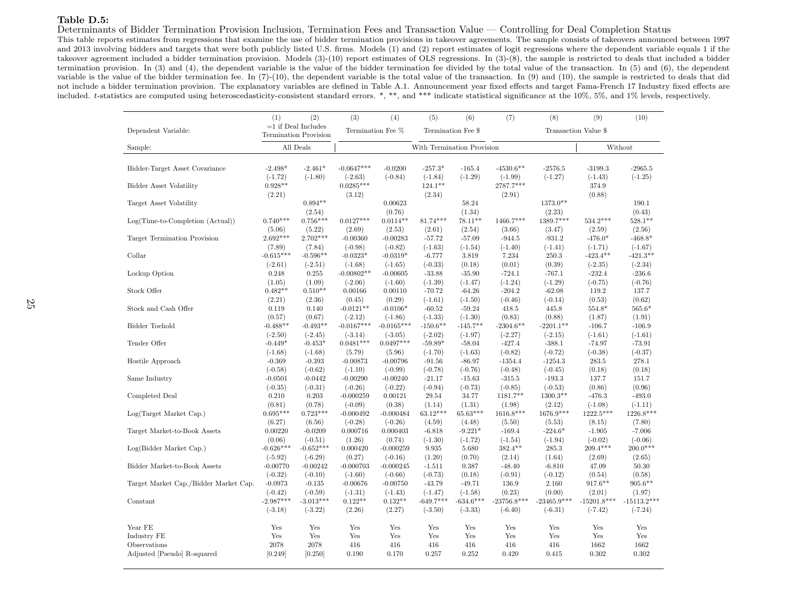#### Table D.5:

Determinants of Bidder Termination Provision Inclusion, Termination Fees and Transaction Value — Controlling for Deal Completion Status

 This table reports estimates from regressions that examine the use of bidder termination provisions in takeover agreements. The sample consists of takeovers announced between 1997 and <sup>2013</sup> involving bidders and targets that were both publicly listed U.S. firms. Models (1) and (2) report estimates of logit regressions where the dependent variable equals <sup>1</sup> if the takeover agreement included <sup>a</sup> bidder termination provision. Models (3)-(10) report estimates of OLS regressions. In (3)-(8), the sample is restricted to deals that included <sup>a</sup> bidder termination provision. In (3) and (4), the dependent variable is the value of the bidder termination fee divided by the total value of the transaction. In (5) and (6), the dependentvariable is the value of the bidder termination fee. In (7)-(10), the dependent variable is the total value of the transaction. In (9) and (10), the sample is restricted to deals that did not include <sup>a</sup> bidder termination provision. The explanatory variables are defined in Table A.1. Announcement year fixed effects and target Fama-French 17 Industry fixed effects areincluded. <sup>t</sup>-statistics are computed using heteroscedasticity-consistent standard errors. \*, \*\*, and \*\*\* indicate statistical significance at the 10%, 5%, and 1% levels, respectively.

|                                       | (1)                   | (2)                                                   | (3)                     | (4)                     | (5)                   | (6)                        | (7)                | (8)                       | (9)                                 | (10)                |
|---------------------------------------|-----------------------|-------------------------------------------------------|-------------------------|-------------------------|-----------------------|----------------------------|--------------------|---------------------------|-------------------------------------|---------------------|
| Dependent Variable:                   |                       | $=1$ if Deal Includes<br><b>Termination Provision</b> |                         | Termination Fee %       |                       | Termination Fee \$         |                    |                           | Transaction Value \$                |                     |
| Sample:                               |                       | All Deals                                             |                         |                         |                       | With Termination Provision |                    |                           |                                     | Without             |
|                                       |                       |                                                       |                         |                         |                       |                            |                    |                           |                                     |                     |
| Bidder-Target Asset Covariance        | $-2.498*$             | $-2.461*$                                             | $-0.0647***$            | $-0.0200$               | $-257.3*$             | $-165.4$                   | $-4530.6**$        | $-2576.5$                 | $-3199.3$                           | $-2965.5$           |
|                                       | $(-1.72)$             | $(-1.80)$                                             | $(-2.63)$               | $(-0.84)$               | $(-1.84)$             | $(-1.29)$                  | $(-1.99)$          | $(-1.27)$                 | $(-1.43)$                           | $(-1.25)$           |
| <b>Bidder Asset Volatility</b>        | $0.928**$             |                                                       | $0.0285***$             |                         | $124.1***$            |                            | 2787.7***          |                           | 374.9                               |                     |
|                                       | (2.21)                |                                                       | (3.12)                  |                         | (2.34)                |                            | (2.91)             |                           | (0.88)                              |                     |
| Target Asset Volatility               |                       | $0.894**$                                             |                         | 0.00623                 |                       | 58.24                      |                    | 1373.0**                  |                                     | 190.1               |
|                                       |                       | (2.54)                                                |                         | (0.76)                  |                       | (1.34)                     |                    | (2.23)                    |                                     | (0.43)              |
| $Log(Time-to-Completion (Actual))$    | $0.740***$            | $0.756***$                                            | $0.0127***$             | $0.0114**$              | $81.74***$            | $78.11**$                  | 1466.7***          | 1389.7***                 | $534.2***$                          | $528.1**$           |
|                                       | (5.06)<br>$2.692***$  | (5.22)<br>$2.702***$                                  | (2.69)                  | (2.53)                  | (2.61)                | (2.54)                     | (3.66)             | (3.47)                    | (2.59)                              | (2.56)<br>$-468.8*$ |
| Target Termination Provision          |                       |                                                       | $-0.00360$              | $-0.00283$<br>$(-0.82)$ | $-57.72$<br>$(-1.63)$ | $-57.09$                   | $-944.5$           | $-931.2$                  | $-476.0*$                           | $(-1.67)$           |
| Collar                                | (7.89)<br>$-0.615***$ | (7.84)<br>$-0.596**$                                  | $(-0.98)$<br>$-0.0323*$ | $-0.0319*$              | $-6.777$              | $(-1.54)$                  | $(-1.40)$<br>7.234 | $(-1.41)$<br>250.3        | $(-1.71)$<br>$-423.4**$             | $-421.3**$          |
|                                       | $(-2.61)$             | $(-2.51)$                                             | $(-1.68)$               | $(-1.65)$               | $(-0.33)$             | 3.819<br>(0.18)            | (0.01)             | (0.39)                    | $(-2.35)$                           | $(-2.34)$           |
| Lockup Option                         | 0.248                 | 0.255                                                 | $-0.00802**$            | $-0.00605$              | $-33.88$              | $-35.90$                   | $-724.1$           | $-767.1$                  | $-232.4$                            | $-236.6$            |
|                                       | (1.05)                | (1.09)                                                | $(-2.06)$               | $(-1.60)$               | $(-1.39)$             | $(-1.47)$                  | $(-1.24)$          | $(-1.29)$                 | $(-0.75)$                           | $(-0.76)$           |
| Stock Offer                           | $0.482**$             | $0.510**$                                             | 0.00166                 | 0.00110                 | $-70.72$              | $-64.26$                   | $-204.2$           | $-62.08$                  | 119.2                               | 137.7               |
|                                       | (2.21)                | (2.36)                                                | (0.45)                  | (0.29)                  | $(-1.61)$             | $(-1.50)$                  | $(-0.46)$          | $(-0.14)$                 | (0.53)                              | (0.62)              |
| Stock and Cash Offer                  | 0.119                 | 0.140                                                 | $-0.0121**$             | $-0.0106*$              | $-60.52$              | $-59.24$                   | 418.5              | 445.8                     | 554.8*                              | $565.6*$            |
|                                       | (0.57)                | (0.67)                                                | $(-2.12)$               | $(-1.86)$               | $(-1.33)$             | $(-1.30)$                  | (0.83)             | (0.88)                    | (1.87)                              | (1.91)              |
| Bidder Toehold                        | $-0.488**$            | $-0.493**$                                            | $-0.0167***$            | $-0.0165***$            | $-150.6**$            | $-145.7**$                 | $-2304.6**$        | $-2201.1**$               | $-106.7$                            | $-106.9$            |
|                                       | $(-2.50)$             | $(-2.45)$                                             | $(-3.14)$               | $(-3.05)$               | $(-2.02)$             | $(-1.97)$                  | $(-2.27)$          | $(-2.15)$                 | $(-1.61)$                           | $(-1.61)$           |
| Tender Offer                          | $-0.449*$             | $-0.453*$                                             | $0.0481***$             | $0.0497***$             | $-59.89*$             | $-58.04$                   | $-427.4$           | $-388.1$                  | $-74.97$                            | $-73.91$            |
|                                       | $(-1.68)$             | $(-1.68)$                                             | (5.79)                  | (5.96)                  | $(-1.70)$             | $(-1.63)$                  | $(-0.82)$          | $(-0.72)$                 | $(-0.38)$                           | $(-0.37)$           |
| Hostile Approach                      | $-0.369$              | $-0.393$                                              | $-0.00873$              | $-0.00796$              | $-91.56$              | $-86.97$                   | $-1354.4$          | $-1254.3$                 | 283.5                               | 278.1               |
|                                       | $(-0.58)$             | $(-0.62)$                                             | $(-1.10)$               | $(-0.99)$               | $(-0.78)$             | $(-0.76)$                  | $(-0.48)$          | $(-0.45)$                 | (0.18)                              | (0.18)              |
| Same Industry                         | $-0.0501$             | $-0.0442$                                             | $-0.00290$              | $-0.00240$              | $-21.17$              | $-15.63$                   | $-315.5$           | $-193.3$                  | 137.7                               | 151.7               |
|                                       | $(-0.35)$             | $(-0.31)$                                             | $(-0.26)$               | $(-0.22)$               | $(-0.94)$             | $(-0.73)$                  | $(-0.85)$          | $(-0.53)$                 | (0.86)                              | (0.96)              |
| Completed Deal                        | 0.210                 | 0.203                                                 | $-0.000259$             | 0.00121                 | 29.54                 | 34.77                      | 1181.7**           | $1300.3**$                | $-476.3$                            | $-493.0$            |
|                                       | (0.81)                | (0.78)                                                | $(-0.09)$               | (0.38)                  | (1.14)                | (1.31)                     | (1.98)             | (2.12)                    | $(-1.08)$                           | $(-1.11)$           |
| Log(Target Market Cap.)               | $0.695***$            | $0.723***$                                            | $-0.000492$             | $-0.000484$             | $63.12***$            | 65.63***                   | $1616.8***$        | 1676.9***                 | 1222.5***                           | 1226.8***           |
|                                       | (6.27)                | (6.56)                                                | $(-0.28)$               | $(-0.26)$               | (4.59)                | (4.48)                     | (5.50)             | (5.53)                    | (8.15)                              | (7.80)              |
| Target Market-to-Book Assets          | 0.00220               | $-0.0209$                                             | 0.000716                | 0.000403                | $-6.818$              | $-9.221*$                  | $-169.4$           | $-224.6*$                 | $-1.905$                            | $-7.006$            |
|                                       | (0.06)                | $(-0.51)$                                             | (1.26)                  | (0.74)                  | $(-1.30)$             | $(-1.72)$                  | $(-1.54)$          | $(-1.94)$                 | $(-0.02)$                           | $(-0.06)$           |
| Log(Bidder Market Cap.)               | $-0.626***$           | $-0.652***$                                           | 0.000420                | $-0.000259$             | 9.935                 | 5.680                      | $382.4**$          | 285.3                     | $209.4***$                          | $200.0***$          |
|                                       | $(-5.92)$             | $(-6.29)$                                             | (0.27)                  | $(-0.16)$               | (1.20)                | (0.70)                     | (2.14)             | (1.64)                    | (2.69)                              | (2.65)              |
| Bidder Market-to-Book Assets          | $-0.00770$            | $-0.00242$                                            | $-0.000703$             | $-0.000245$             | $-1.511$              | 0.387                      | $-48.40$           | $-6.810$                  | 47.09                               | 50.30               |
|                                       | $(-0.32)$             | $(-0.10)$                                             | $(-1.60)$               | $(-0.66)$               | $(-0.73)$             | (0.18)                     | $(-0.91)$          | $(-0.12)$                 | (0.54)                              | (0.58)              |
| Target Market Cap./Bidder Market Cap. | $-0.0973$             | $-0.135$                                              | $-0.00676$              | $-0.00750$              | $-43.79$              | $-49.71$                   | 136.9              | 2.160                     | $917.6***$                          | $905.6**$           |
|                                       | $(-0.42)$             | $(-0.59)$                                             | $(-1.31)$               | $(-1.43)$               | $(-1.47)$             | $(-1.58)$                  | (0.23)             | (0.00)                    | (2.01)                              | (1.97)              |
| Constant                              | $-2.987***$           | $-3.013***$                                           | $0.122**$               | $0.132**$               | $-649.7***$           | $-634.6***$                | $-23756.8***$      | $-23465.9^{\ast\ast\ast}$ | $\textbf{ -15201.8}^{\textbf{***}}$ | $-15113.2***$       |
|                                       | $(-3.18)$             | $(-3.22)$                                             | (2.26)                  | (2.27)                  | $(-3.50)$             | $(-3.33)$                  | $(-6.40)$          | $(-6.31)$                 | $(-7.42)$                           | $(-7.24)$           |
| Year FE                               | Yes                   | Yes                                                   |                         | Yes                     | Yes                   |                            | Yes                | Yes                       | Yes                                 | Yes                 |
| Industry FE                           | Yes                   | Yes                                                   | Yes<br>Yes              | Yes                     | Yes                   | Yes<br>Yes                 | Yes                | Yes                       | Yes                                 | Yes                 |
| Observations                          | 2078                  | 2078                                                  | 416                     | 416                     | 416                   | 416                        | 416                | 416                       | 1662                                | 1662                |
| Adjusted [Pseudo] R-squared           | [0.249]               | [0.250]                                               | 0.190                   | 0.170                   | 0.257                 | 0.252                      | 0.420              | 0.415                     | 0.302                               | 0.302               |
|                                       |                       |                                                       |                         |                         |                       |                            |                    |                           |                                     |                     |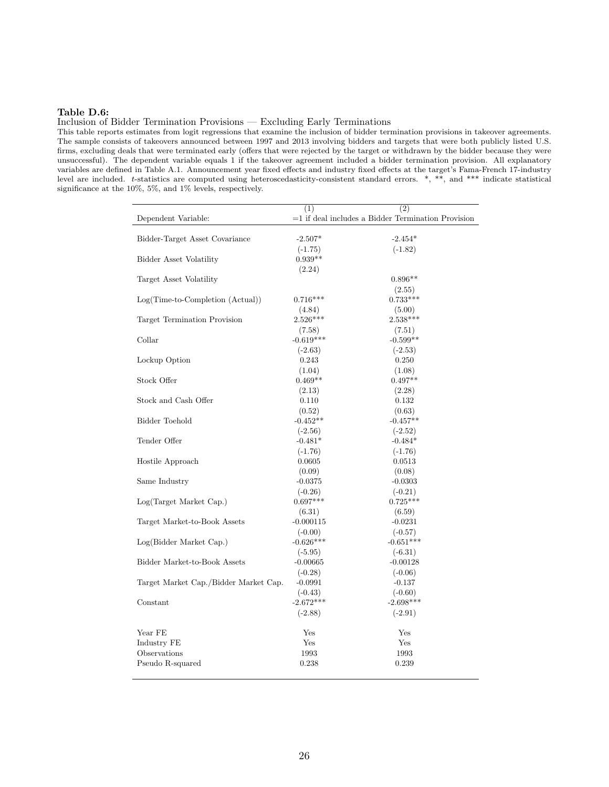#### Table D.6:

Inclusion of Bidder Termination Provisions — Excluding Early Terminations

This table reports estimates from logit regressions that examine the inclusion of bidder termination provisions in takeover agreements. The sample consists of takeovers announced between 1997 and 2013 involving bidders and targets that were both publicly listed U.S. firms, excluding deals that were terminated early (offers that were rejected by the target or withdrawn by the bidder because they were unsuccessful). The dependent variable equals 1 if the takeover agreement included a bidder termination provision. All explanatory variables are defined in Table A.1. Announcement year fixed effects and industry fixed effects at the target's Fama-French 17-industry level are included. t-statistics are computed using heteroscedasticity-consistent standard errors. \*, \*\*, and \*\*\* indicate statistical significance at the 10%, 5%, and 1% levels, respectively.

|                                       | (1)         | (2)                                                      |
|---------------------------------------|-------------|----------------------------------------------------------|
| Dependent Variable:                   |             | $\!=\!1$ if deal includes a Bidder Termination Provision |
|                                       |             |                                                          |
| Bidder-Target Asset Covariance        | $-2.507*$   | $-2.454*$                                                |
|                                       | $(-1.75)$   | $(-1.82)$                                                |
| Bidder Asset Volatility               | $0.939**$   |                                                          |
|                                       | (2.24)      |                                                          |
| Target Asset Volatility               |             | $0.896**$                                                |
|                                       |             | (2.55)                                                   |
| Log(Time-to-Completion (Actual))      | $0.716***$  | $0.733***$                                               |
|                                       | (4.84)      | (5.00)                                                   |
| Target Termination Provision          | $2.526***$  | $2.538***$                                               |
|                                       | (7.58)      | (7.51)                                                   |
| Collar                                | $-0.619***$ | $-0.599**$                                               |
|                                       | $(-2.63)$   | $(-2.53)$                                                |
| Lockup Option                         | 0.243       | 0.250                                                    |
|                                       | (1.04)      | (1.08)                                                   |
| Stock Offer                           | $0.469**$   | $0.497**$                                                |
|                                       | (2.13)      | (2.28)                                                   |
| Stock and Cash Offer                  | 0.110       | 0.132                                                    |
|                                       | (0.52)      | (0.63)                                                   |
| Bidder Toehold                        | $-0.452**$  | $-0.457**$                                               |
|                                       | $(-2.56)$   | $(-2.52)$                                                |
| Tender Offer                          | $-0.481*$   | $-0.484*$                                                |
|                                       | $(-1.76)$   | $(-1.76)$                                                |
| Hostile Approach                      | 0.0605      | 0.0513                                                   |
|                                       | (0.09)      | (0.08)                                                   |
| Same Industry                         | $-0.0375$   | $-0.0303$                                                |
|                                       | $(-0.26)$   | $(-0.21)$                                                |
| Log(Target Market Cap.)               | $0.697***$  | $0.725***$                                               |
|                                       | (6.31)      | (6.59)                                                   |
| Target Market-to-Book Assets          | $-0.000115$ | $-0.0231$                                                |
|                                       | $(-0.00)$   | $(-0.57)$                                                |
| Log(Bidder Market Cap.)               | $-0.626***$ | $-0.651***$                                              |
|                                       | $(-5.95)$   | $(-6.31)$                                                |
| Bidder Market-to-Book Assets          | $-0.00665$  | $-0.00128$                                               |
|                                       | $(-0.28)$   | $(-0.06)$                                                |
| Target Market Cap./Bidder Market Cap. | $-0.0991$   | $-0.137$                                                 |
|                                       | $(-0.43)$   | $(-0.60)$                                                |
| Constant                              | $-2.672***$ | $-2.698***$                                              |
|                                       | $(-2.88)$   | $(-2.91)$                                                |
|                                       |             |                                                          |
| Year FE                               | Yes         | Yes                                                      |
| Industry FE                           | Yes         | Yes                                                      |
| Observations                          | 1993        | 1993                                                     |
| Pseudo R-squared                      | 0.238       | 0.239                                                    |
|                                       |             |                                                          |
|                                       |             |                                                          |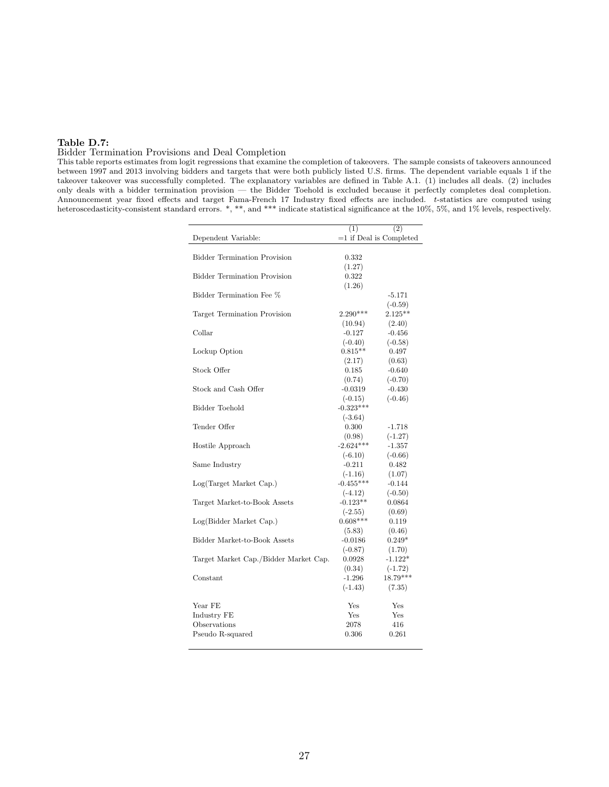## Table D.7:

## Bidder Termination Provisions and Deal Completion

This table reports estimates from logit regressions that examine the completion of takeovers. The sample consists of takeovers announced between 1997 and 2013 involving bidders and targets that were both publicly listed U.S. firms. The dependent variable equals 1 if the takeover takeover was successfully completed. The explanatory variables are defined in Table A.1. (1) includes all deals. (2) includes only deals with a bidder termination provision — the Bidder Toehold is excluded because it perfectly completes deal completion. Announcement year fixed effects and target Fama-French 17 Industry fixed effects are included. t-statistics are computed using heteroscedasticity-consistent standard errors. \*, \*\*, and \*\*\* indicate statistical significance at the 10%, 5%, and 1% levels, respectively.

|                                       | (1)         | (2)                       |
|---------------------------------------|-------------|---------------------------|
| Dependent Variable:                   |             | $=1$ if Deal is Completed |
| <b>Bidder Termination Provision</b>   | 0.332       |                           |
|                                       | (1.27)      |                           |
| <b>Bidder Termination Provision</b>   | 0.322       |                           |
|                                       | (1.26)      |                           |
| Bidder Termination Fee %              |             | $-5.171$                  |
|                                       |             | $(-0.59)$                 |
| Target Termination Provision          | $2.290***$  | $2.125***$                |
|                                       | (10.94)     | (2.40)                    |
| Collar                                | $-0.127$    | $-0.456$                  |
|                                       | $(-0.40)$   | $(-0.58)$                 |
| Lockup Option                         | $0.815**$   | 0.497                     |
|                                       | (2.17)      | (0.63)                    |
| Stock Offer                           | 0.185       | $-0.640$                  |
|                                       | (0.74)      | $(-0.70)$                 |
| Stock and Cash Offer                  | $-0.0319$   | $-0.430$                  |
|                                       | $(-0.15)$   | $(-0.46)$                 |
| <b>Bidder Toehold</b>                 | $-0.323***$ |                           |
|                                       | $(-3.64)$   |                           |
| Tender Offer                          | 0.300       | $-1.718$                  |
|                                       | (0.98)      | $(-1.27)$                 |
| Hostile Approach                      | $-2.624***$ | $-1.357$                  |
|                                       | $(-6.10)$   | $(-0.66)$                 |
| Same Industry                         | $-0.211$    | 0.482                     |
|                                       | $(-1.16)$   | (1.07)                    |
| Log(Target Market Cap.)               | $-0.455***$ | $-0.144$                  |
|                                       | $(-4.12)$   | $(-0.50)$                 |
| Target Market-to-Book Assets          | $-0.123**$  | 0.0864                    |
|                                       | $(-2.55)$   | (0.69)                    |
| Log(Bidder Market Cap.)               | $0.608***$  | 0.119                     |
|                                       | (5.83)      | (0.46)                    |
| Bidder Market-to-Book Assets          | $-0.0186$   | $0.249*$                  |
|                                       | $(-0.87)$   | (1.70)                    |
| Target Market Cap./Bidder Market Cap. | 0.0928      | $-1.122*$                 |
|                                       | (0.34)      | $(-1.72)$                 |
| Constant                              | $-1.296$    | $18.79***$                |
|                                       | $(-1.43)$   | (7.35)                    |
|                                       |             |                           |
| Year FE                               | Yes         | Yes                       |
| Industry FE                           | Yes         | Yes                       |
| Observations                          | 2078        | 416                       |
| Pseudo R-squared                      | 0.306       | 0.261                     |
|                                       |             |                           |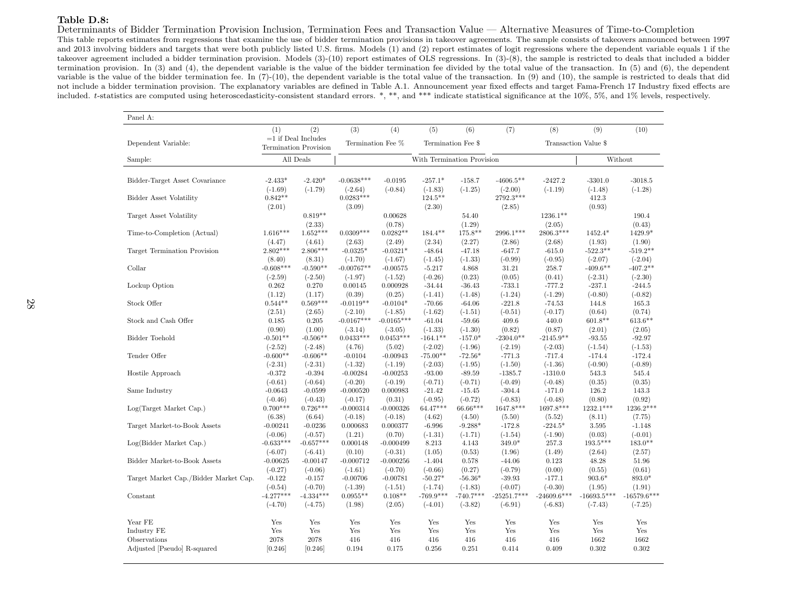#### Table D.8:

Determinants of Bidder Termination Provision Inclusion, Termination Fees and Transaction Value — Alternative Measures of Time-to-Completion

 This table reports estimates from regressions that examine the use of bidder termination provisions in takeover agreements. The sample consists of takeovers announced between 1997 and <sup>2013</sup> involving bidders and targets that were both publicly listed U.S. firms. Models (1) and (2) report estimates of logit regressions where the dependent variable equals <sup>1</sup> if the takeover agreement included <sup>a</sup> bidder termination provision. Models (3)-(10) report estimates of OLS regressions. In (3)-(8), the sample is restricted to deals that included <sup>a</sup> bidder termination provision. In (3) and (4), the dependent variable is the value of the bidder termination fee divided by the total value of the transaction. In (5) and (6), the dependentvariable is the value of the bidder termination fee. In (7)-(10), the dependent variable is the total value of the transaction. In (9) and (10), the sample is restricted to deals that did not include <sup>a</sup> bidder termination provision. The explanatory variables are defined in Table A.1. Announcement year fixed effects and target Fama-French 17 Industry fixed effects areincluded. <sup>t</sup>-statistics are computed using heteroscedasticity-consistent standard errors. \*, \*\*, and \*\*\* indicate statistical significance at the 10%, 5%, and 1% levels, respectively.

| Panel A:                              |                          |                                                       |                           |                         |                            |                          |                            |                            |                            |                            |  |
|---------------------------------------|--------------------------|-------------------------------------------------------|---------------------------|-------------------------|----------------------------|--------------------------|----------------------------|----------------------------|----------------------------|----------------------------|--|
|                                       | (1)                      | (2)                                                   | (3)                       | (4)                     | (5)                        | (6)                      | (7)                        | (8)                        | (9)                        | (10)                       |  |
| Dependent Variable:                   |                          | $=1$ if Deal Includes<br><b>Termination Provision</b> |                           | Termination Fee %       |                            | Termination Fee \$       |                            | Transaction Value \$       |                            |                            |  |
| Sample:                               |                          | All Deals                                             |                           |                         | With Termination Provision |                          |                            |                            | Without                    |                            |  |
|                                       |                          |                                                       |                           |                         |                            |                          |                            |                            |                            |                            |  |
| Bidder-Target Asset Covariance        | $-2.433*$<br>$(-1.69)$   | $-2.420*$<br>$(-1.79)$                                | $-0.0638***$<br>$(-2.64)$ | $-0.0195$<br>$(-0.84)$  | $-257.1*$<br>$(-1.83)$     | $-158.7$<br>$(-1.25)$    | $-4606.5**$                | $-2427.2$<br>$(-1.19)$     | $-3301.0$<br>$(-1.48)$     | $-3018.5$<br>$(-1.28)$     |  |
| Bidder Asset Volatility               | $0.842**$<br>(2.01)      |                                                       | $0.0283***$<br>(3.09)     |                         | $124.5***$<br>(2.30)       |                          | $(-2.00)$<br>2792.3***     |                            | 412.3<br>(0.93)            |                            |  |
| Target Asset Volatility               |                          | $0.819**$                                             |                           | 0.00628                 |                            | 54.40                    | (2.85)                     | $1236.1**$                 |                            | 190.4                      |  |
| Time-to-Completion (Actual)           | $1.616***$               | (2.33)<br>$1.652***$                                  | $0.0309***$               | (0.78)<br>$0.0282**$    | $184.4***$                 | (1.29)<br>175.8**        | 2996.1***                  | (2.05)<br>2806.3***        | 1452.4*                    | (0.43)<br>1429.9*          |  |
|                                       | (4.47)                   | (4.61)                                                | (2.63)                    | (2.49)                  | (2.34)                     | (2.27)                   | (2.86)                     | (2.68)                     | (1.93)                     | (1.90)                     |  |
| Target Termination Provision          | $2.802***$               | 2.806***                                              | $-0.0325*$                | $-0.0321*$              | $-48.64$                   | $-47.18$                 | $-647.7$                   | $-615.0$                   | $-522.3**$                 | $-519.2**$                 |  |
| Collar                                | (8.40)<br>$-0.608***$    | (8.31)<br>$-0.590**$                                  | $(-1.70)$<br>$-0.00767**$ | $(-1.67)$<br>$-0.00575$ | $(-1.45)$<br>$-5.217$      | $(-1.33)$<br>4.868       | $(-0.99)$<br>31.21         | $(-0.95)$<br>258.7         | $(-2.07)$<br>$-409.6**$    | $(-2.04)$<br>$-407.2**$    |  |
|                                       | $(-2.59)$                | $(-2.50)$                                             | $(-1.97)$                 | $(-1.52)$               | $(-0.26)$                  | (0.23)                   | (0.05)                     | (0.41)                     | $(-2.31)$                  | $(-2.30)$                  |  |
| Lockup Option                         | 0.262                    | 0.270                                                 | 0.00145                   | 0.000928                | $-34.44$                   | $-36.43$                 | $-733.1$                   | $-777.2$                   | $-237.1$                   | $-244.5$                   |  |
|                                       | (1.12)                   | (1.17)                                                | (0.39)                    | (0.25)                  | $(-1.41)$                  | $(-1.48)$                | $(-1.24)$                  | $(-1.29)$                  | $(-0.80)$                  | $(-0.82)$                  |  |
| Stock Offer                           | $0.544**$                | $0.569***$                                            | $-0.0119**$               | $-0.0104*$              | $-70.66$                   | $-64.06$                 | $-221.8$                   | $-74.53$                   | 144.8                      | 165.3                      |  |
|                                       | (2.51)                   | (2.65)                                                | $(-2.10)$                 | $(-1.85)$               | $(-1.62)$                  | $(-1.51)$                | $(-0.51)$                  | $(-0.17)$                  | (0.64)                     | (0.74)                     |  |
| Stock and Cash Offer                  | 0.185                    | 0.205                                                 | $-0.0167***$              | $-0.0165***$            | $-61.04$                   | $-59.66$                 | 409.6                      | 440.0                      | $601.8**$                  | $613.6***$                 |  |
|                                       | (0.90)                   | (1.00)                                                | $(-3.14)$                 | $(-3.05)$               | $(-1.33)$                  | $(-1.30)$                | (0.82)                     | (0.87)                     | (2.01)                     | (2.05)                     |  |
| <b>Bidder Toehold</b>                 | $-0.501**$               | $-0.506**$                                            | $0.0433***$               | $0.0453***$             | $-164.1**$                 | $-157.0*$                | $-2304.0**$                | $-2145.9**$                | $-93.55$                   | $-92.97$                   |  |
| Tender Offer                          | $(-2.52)$<br>$-0.600**$  | $(-2.48)$<br>$-0.606**$                               | (4.76)                    | (5.02)                  | $(-2.02)$<br>$-75.00**$    | $(-1.96)$                | $(-2.19)$                  | $(-2.03)$                  | $(-1.54)$                  | $(-1.53)$                  |  |
|                                       |                          |                                                       | $-0.0104$<br>$(-1.32)$    | $-0.00943$<br>$(-1.19)$ | $(-2.03)$                  | $-72.56*$<br>$(-1.95)$   | $-771.3$                   | $-717.4$<br>$(-1.36)$      | $-174.4$<br>$(-0.90)$      | $-172.4$<br>$(-0.89)$      |  |
| Hostile Approach                      | $(-2.31)$<br>$-0.372$    | $(-2.31)$<br>$-0.394$                                 | $-0.00284$                | $-0.00253$              | $-93.00$                   | $-89.59$                 | $(-1.50)$<br>$-1385.7$     | $-1310.0$                  | 543.3                      | 545.4                      |  |
|                                       | $(-0.61)$                | $(-0.64)$                                             | $(-0.20)$                 | $(-0.19)$               | $(-0.71)$                  | $(-0.71)$                | $(-0.49)$                  | $(-0.48)$                  | (0.35)                     | (0.35)                     |  |
| Same Industry                         | $-0.0643$                | $-0.0599$                                             | $-0.000520$               | 0.000983                | $-21.42$                   | $-15.45$                 | $-304.4$                   | $-171.0$                   | 126.2                      | 143.3                      |  |
|                                       | $(-0.46)$                | $(-0.43)$                                             | $(-0.17)$                 | (0.31)                  | $(-0.95)$                  | $(-0.72)$                | $(-0.83)$                  | $(-0.48)$                  | (0.80)                     | (0.92)                     |  |
| Log(Target Market Cap.)               | $0.700***$               | $0.726***$                                            | $-0.000314$               | $-0.000326$             | 64.47***                   | 66.66***                 | 1647.8***                  | 1697.8***                  | 1232.1***                  | 1236.2***                  |  |
|                                       | (6.38)                   | (6.64)                                                | $(-0.18)$                 | $(-0.18)$               | (4.62)                     | (4.50)                   | (5.50)                     | (5.52)                     | (8.11)                     | (7.75)                     |  |
| Target Market-to-Book Assets          | $-0.00241$               | $-0.0236$                                             | 0.000683                  | 0.000377                | $-6.996$                   | $-9.288*$                | $-172.8$                   | $-224.5*$                  | 3.595                      | $-1.148$                   |  |
|                                       | $(-0.06)$                | $(-0.57)$                                             | (1.21)                    | (0.70)                  | $(-1.31)$                  | $(-1.71)$                | $(-1.54)$                  | $(-1.90)$                  | (0.03)                     | $(-0.01)$                  |  |
| Log(Bidder Market Cap.)               | $-0.633***$              | $-0.657***$                                           | 0.000148                  | $-0.000499$             | 8.213                      | 4.143                    | 349.0*                     | 257.3                      | $193.5***$                 | $183.0**$                  |  |
|                                       | $(-6.07)$                | $(-6.41)$                                             | (0.10)                    | $(-0.31)$               | (1.05)                     | (0.53)                   | (1.96)                     | (1.49)                     | (2.64)                     | (2.57)                     |  |
| Bidder Market-to-Book Assets          | $-0.00625$               | $-0.00147$                                            | $-0.000712$               | $-0.000256$             | $-1.404$                   | 0.578                    | $-44.06$                   | 0.123                      | 48.28                      | 51.96                      |  |
|                                       | $(-0.27)$                | $(-0.06)$                                             | $(-1.61)$                 | $(-0.70)$               | $(-0.66)$                  | (0.27)                   | $(-0.79)$                  | (0.00)                     | (0.55)                     | (0.61)                     |  |
| Target Market Cap./Bidder Market Cap. | $-0.122$                 | $-0.157$                                              | $-0.00706$                | $-0.00781$              | $-50.27*$                  | $-56.36*$                | $-39.93$                   | $-177.1$                   | $903.6*$                   | 893.0*                     |  |
|                                       | $(-0.54)$                | $(-0.70)$                                             | $(-1.39)$                 | $(-1.51)$               | $(-1.74)$                  | $(-1.83)$                | $(-0.07)$                  | $(-0.30)$                  | (1.95)                     | (1.91)                     |  |
| Constant                              | $-4.277***$<br>$(-4.70)$ | $-4.334***$<br>$(-4.75)$                              | $0.0955**$<br>(1.98)      | $0.108**$<br>(2.05)     | $-769.9***$<br>$(-4.01)$   | $-740.7***$<br>$(-3.82)$ | $-25251.7***$<br>$(-6.91)$ | $-24609.6***$<br>$(-6.83)$ | $-16693.5***$<br>$(-7.43)$ | $-16579.6***$<br>$(-7.25)$ |  |
|                                       |                          |                                                       |                           |                         |                            |                          |                            |                            |                            |                            |  |
| Year FE                               | Yes                      | Yes                                                   | Yes                       | Yes                     | Yes                        | Yes                      | Yes                        | Yes                        | Yes                        | Yes                        |  |
| Industry FE                           | Yes                      | Yes                                                   | Yes                       | Yes                     | Yes                        | Yes                      | Yes                        | Yes                        | Yes                        | Yes                        |  |
| Observations                          | 2078                     | 2078                                                  | 416                       | 416                     | 416                        | 416                      | 416                        | 416                        | 1662                       | 1662                       |  |
| Adjusted [Pseudo] R-squared           | [0.246]                  | [0.246]                                               | 0.194                     | 0.175                   | 0.256                      | 0.251                    | 0.414                      | 0.409                      | 0.302                      | 0.302                      |  |
|                                       |                          |                                                       |                           |                         |                            |                          |                            |                            |                            |                            |  |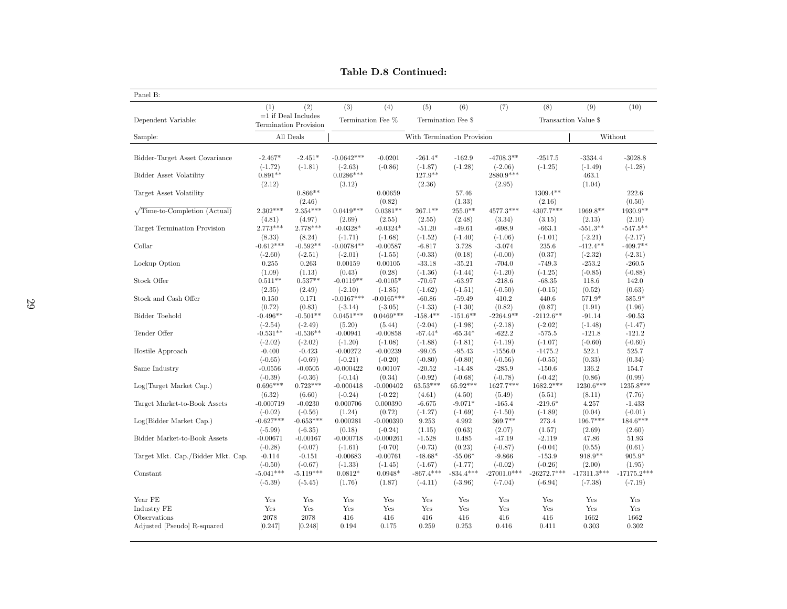| Panel B:                                    |                       |                              |                         |                         |                            |                       |                        |                        |                      |                 |  |
|---------------------------------------------|-----------------------|------------------------------|-------------------------|-------------------------|----------------------------|-----------------------|------------------------|------------------------|----------------------|-----------------|--|
|                                             | (1)                   | (2)                          | (3)                     | (4)                     | (5)                        | (6)                   | (7)                    | (8)                    | (9)                  | (10)            |  |
| Dependent Variable:                         |                       | $=1$ if Deal Includes        |                         | Termination Fee %       | Termination Fee \$         |                       |                        |                        | Transaction Value \$ |                 |  |
|                                             |                       | <b>Termination Provision</b> |                         |                         |                            |                       |                        |                        |                      |                 |  |
| Sample:                                     |                       | All Deals                    |                         |                         | With Termination Provision |                       |                        |                        |                      | Without         |  |
|                                             |                       |                              |                         |                         |                            |                       |                        |                        |                      |                 |  |
| Bidder-Target Asset Covariance              | $-2.467*$             | $-2.451*$                    | $-0.0642***$            | $-0.0201$               | $-261.4*$                  | $-162.9$              | $-4708.3**$            | $-2517.5$              | $-3334.4$            | $-3028.8$       |  |
|                                             | $(-1.72)$             | $(-1.81)$                    | $(-2.63)$               | $(-0.86)$               | $(-1.87)$                  | $(-1.28)$             | $(-2.06)$              | $(-1.25)$              | $(-1.49)$            | $(-1.28)$       |  |
| <b>Bidder Asset Volatility</b>              | $0.891**$             |                              | $0.0286***$             |                         | 127.9**                    |                       | 2880.9***              |                        | 463.1                |                 |  |
|                                             | (2.12)                | $0.866**$                    | (3.12)                  |                         | (2.36)                     |                       | (2.95)                 | $1309.4**$             | (1.04)               | 222.6           |  |
| Target Asset Volatility                     |                       | (2.46)                       |                         | 0.00659<br>(0.82)       |                            | 57.46<br>(1.33)       |                        | (2.16)                 |                      | (0.50)          |  |
| $\sqrt{\text{Time-to-Completion}}$ (Actual) | $2.302***$            | $2.354***$                   | $0.0419***$             | $0.0381**$              | $267.1**$                  | $255.0**$             | $4577.3***$            | 4307.7***              | 1969.8**             | 1930.9**        |  |
|                                             | (4.81)                | (4.97)                       | (2.69)                  | (2.55)                  | (2.55)                     | (2.48)                | (3.34)                 | (3.15)                 | (2.13)               | (2.10)          |  |
| Target Termination Provision                | $2.773***$            | $2.778***$                   | $-0.0328*$              | $-0.0324*$              | $-51.20$                   | $-49.61$              | $-698.9$               | $-663.1$               | $-551.3**$           | $-547.5***$     |  |
|                                             | (8.33)                | (8.24)                       | $(-1.71)$               | $(-1.68)$               | $(-1.52)$                  | $(-1.40)$             | $(-1.06)$              | $(-1.01)$              | $(-2.21)$            | $(-2.17)$       |  |
| Collar                                      | $-0.612***$           | $-0.592**$                   | $-0.00784**$            | $-0.00587$              | $-6.817$                   | 3.728                 | $-3.074$               | 235.6                  | $-412.4**$           | $-409.7**$      |  |
|                                             | $(-2.60)$             | $(-2.51)$                    | $(-2.01)$               | $(-1.55)$               | $(-0.33)$                  | (0.18)                | $(-0.00)$              | (0.37)                 | $(-2.32)$            | $(-2.31)$       |  |
| Lockup Option                               | 0.255                 | 0.263                        | 0.00159                 | 0.00105                 | $-33.18$                   | $-35.21$              | $-704.0$               | $-749.3$               | $-253.2$             | $-260.5$        |  |
|                                             | (1.09)                | (1.13)                       | (0.43)                  | (0.28)                  | $(-1.36)$                  | $(-1.44)$             | $(-1.20)$              | $(-1.25)$              | $(-0.85)$            | $(-0.88)$       |  |
| Stock Offer                                 | $0.511**$             | $0.537**$                    | $-0.0119**$             | $-0.0105*$              | $-70.67$                   | $-63.97$              | $-218.6$               | $-68.35$               | 118.6                | 142.0           |  |
|                                             | (2.35)                | (2.49)                       | $(-2.10)$               | $(-1.85)$               | $(-1.62)$                  | $(-1.51)$             | $(-0.50)$              | $(-0.15)$              | (0.52)               | (0.63)          |  |
| Stock and Cash Offer                        | 0.150                 | 0.171                        | $-0.0167***$            | $-0.0165***$            | $-60.86$                   | $-59.49$              | 410.2                  | 440.6                  | 571.9*               | 585.9*          |  |
|                                             | (0.72)                | (0.83)                       | $(-3.14)$               | $(-3.05)$               | $(-1.33)$                  | $(-1.30)$             | (0.82)                 | (0.87)                 | (1.91)               | (1.96)          |  |
| Bidder Toehold                              | $-0.496**$            | $-0.501**$                   | $0.0451***$             | $0.0469***$             | $-158.4**$                 | $-151.6**$            | $-2264.9**$            | $-2112.6***$           | $-91.14$             | $-90.53$        |  |
|                                             | $(-2.54)$             | $(-2.49)$                    | (5.20)                  | (5.44)                  | $(-2.04)$                  | $(-1.98)$             | $(-2.18)$              | $(-2.02)$              | $(-1.48)$            | $(-1.47)$       |  |
| Tender Offer                                | $-0.531**$            | $-0.536**$                   | $-0.00941$              | $-0.00858$              | $-67.44*$                  | $-65.34*$             | $-622.2$               | $-575.5$               | $-121.8$             | $-121.2$        |  |
|                                             | $(-2.02)$             | $(-2.02)$                    | $(-1.20)$               | $(-1.08)$               | $(-1.88)$                  | $(-1.81)$             | $(-1.19)$              | $(-1.07)$              | $(-0.60)$            | $(-0.60)$       |  |
| Hostile Approach                            | $-0.400$<br>$(-0.65)$ | $-0.423$<br>$(-0.69)$        | $-0.00272$<br>$(-0.21)$ | $-0.00239$<br>$(-0.20)$ | $-99.05$<br>$(-0.80)$      | $-95.43$<br>$(-0.80)$ | $-1556.0$<br>$(-0.56)$ | $-1475.2$<br>$(-0.55)$ | 522.1<br>(0.33)      | 525.7<br>(0.34) |  |
| Same Industry                               | $-0.0556$             | $-0.0505$                    | $-0.000422$             | 0.00107                 | $-20.52$                   | $-14.48$              | $-285.9$               | $-150.6$               | 136.2                | 154.7           |  |
|                                             | $(-0.39)$             | $(-0.36)$                    | $(-0.14)$               | (0.34)                  | $(-0.92)$                  | $(-0.68)$             | $(-0.78)$              | $(-0.42)$              | (0.86)               | (0.99)          |  |
| Log(Target Market Cap.)                     | $0.696***$            | $0.723***$                   | $-0.000418$             | $-0.000402$             | $63.53***$                 | 65.92***              | 1627.7***              | 1682.2***              | 1230.6***            | 1235.8***       |  |
|                                             | (6.32)                | (6.60)                       | $(-0.24)$               | $(-0.22)$               | (4.61)                     | (4.50)                | (5.49)                 | (5.51)                 | (8.11)               | (7.76)          |  |
| Target Market-to-Book Assets                | $-0.000719$           | $-0.0230$                    | 0.000706                | 0.000390                | $-6.675$                   | $-9.071*$             | $-165.4$               | $-219.6*$              | 4.257                | $-1.433$        |  |
|                                             | $(-0.02)$             | $(-0.56)$                    | (1.24)                  | (0.72)                  | $(-1.27)$                  | $(-1.69)$             | $(-1.50)$              | $(-1.89)$              | (0.04)               | $(-0.01)$       |  |
| Log(Bidder Market Cap.)                     | $-0.627***$           | $-0.653***$                  | 0.000281                | $-0.000390$             | 9.253                      | 4.992                 | 369.7**                | 273.4                  | $196.7***$           | $184.6***$      |  |
|                                             | $(-5.99)$             | $(-6.35)$                    | (0.18)                  | $(-0.24)$               | (1.15)                     | (0.63)                | (2.07)                 | (1.57)                 | (2.69)               | (2.60)          |  |
| Bidder Market-to-Book Assets                | $-0.00671$            | $-0.00167$                   | $-0.000718$             | $-0.000261$             | $-1.528$                   | 0.485                 | $-47.19$               | $-2.119$               | 47.86                | 51.93           |  |
|                                             | $(-0.28)$             | $(-0.07)$                    | $(-1.61)$               | $(-0.70)$               | $(-0.73)$                  | (0.23)                | $(-0.87)$              | $(-0.04)$              | (0.55)               | (0.61)          |  |
| Target Mkt. Cap./Bidder Mkt. Cap.           | $-0.114$              | $-0.151$                     | $-0.00683$              | $-0.00761$              | $-48.68*$                  | $-55.06*$             | $-9.866$               | $-153.9$               | 918.9**              | $905.9*$        |  |
|                                             | $(-0.50)$             | $(-0.67)$                    | $(-1.33)$               | $(-1.45)$               | $(-1.67)$                  | $(-1.77)$             | $(-0.02)$              | $(-0.26)$              | (2.00)               | (1.95)          |  |
| Constant                                    | $-5.041***$           | $-5.119***$                  | $0.0812*$               | $0.0948*$               | $-867.4***$                | $-834.4***$           | $-27001.0***$          | $-26272.7***$          | $-17311.3***$        | $-17175.2***$   |  |
|                                             | $(-5.39)$             | $(-5.45)$                    | (1.76)                  | (1.87)                  | $(-4.11)$                  | $(-3.96)$             | $(-7.04)$              | $(-6.94)$              | $(-7.38)$            | $(-7.19)$       |  |
| Year FE                                     | Yes                   | Yes                          | Yes                     | Yes                     | Yes                        | Yes                   | Yes                    | Yes                    | Yes                  | Yes             |  |
| Industry FE                                 | Yes                   | Yes                          | Yes                     | Yes                     | Yes                        | Yes                   | Yes                    | Yes                    | Yes                  | Yes             |  |
| Observations                                | 2078                  | 2078                         | 416                     | 416                     | 416                        | 416                   | 416                    | 416                    | 1662                 | 1662            |  |
| Adjusted [Pseudo] R-squared                 | [0.247]               | [0.248]                      | 0.194                   | $0.175\,$               | 0.259                      | 0.253                 | 0.416                  | 0.411                  | 0.303                | 0.302           |  |
|                                             |                       |                              |                         |                         |                            |                       |                        |                        |                      |                 |  |

Table D.8 Continued: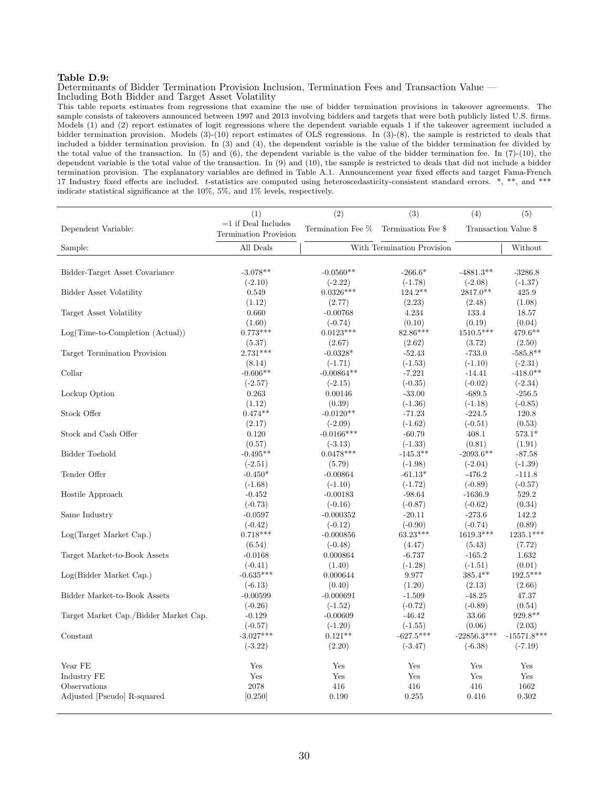#### Table D.9:

Determinants of Bidder Termination Provision Inclusion, Termination Fees and Transaction Value — Including Both Bidder and Target Asset Volatility

This table reports estimates from regressions that examine the use of bidder termination provisions in takeover agreements. The sample consists of takeovers announced between 1997 and 2013 involving bidders and targets that were both publicly listed U.S. firms. Models (1) and (2) report estimates of logit regressions where the dependent variable equals 1 if the takeover agreement included a bidder termination provision. Models (3)-(10) report estimates of OLS regressions. In (3)-(8), the sample is restricted to deals that included a bidder termination provision. In (3) and (4), the dependent variable is the value of the bidder termination fee divided by the total value of the transaction. In (5) and (6), the dependent variable is the value of the bidder termination fee. In (7)-(10), the dependent variable is the total value of the transaction. In (9) and (10), the sample is restricted to deals that did not include a bidder termination provision. The explanatory variables are defined in Table A.1. Announcement year fixed effects and target Fama-French 17 Industry fixed effects are included. t-statistics are computed using heteroscedasticity-consistent standard errors. \*, \*\*, and \*\*\* indicate statistical significance at the 10%, 5%, and 1% levels, respectively.

|                                       | (1)                                                   | (2)                        | (3)                | (4)           | (5)                     |
|---------------------------------------|-------------------------------------------------------|----------------------------|--------------------|---------------|-------------------------|
| Dependent Variable:                   | $=1$ if Deal Includes<br><b>Termination Provision</b> | Termination Fee %          | Termination Fee \$ |               | Transaction Value \$    |
| Sample:                               | All Deals                                             | With Termination Provision |                    | Without       |                         |
|                                       |                                                       |                            |                    |               |                         |
| Bidder-Target Asset Covariance        | $-3.078**$                                            | $-0.0560**$                | $-266.6*$          | $-4881.3**$   | $-3286.8$               |
|                                       | $(-2.10)$                                             | $(-2.22)$                  | $(-1.78)$          | $(-2.08)$     | $(-1.37)$               |
| Bidder Asset Volatility               | 0.549                                                 | $0.0326***$                | 124.2**            | $2817.0**$    | 425.9                   |
|                                       | (1.12)                                                | (2.77)                     | (2.23)             | (2.48)        | (1.08)                  |
| Target Asset Volatility               | 0.660                                                 | $-0.00768$                 | 4.234              | 133.4         | 18.57                   |
|                                       | (1.60)                                                | $(-0.74)$                  | (0.10)             | (0.19)        | (0.04)                  |
| $Log(Time-to-Completion (Actual))$    | $0.773***$                                            | $0.0123***$                | 82.86***           | $1510.5***$   | 479.6**                 |
|                                       | (5.37)                                                | (2.67)                     | (2.62)             | (3.72)        | (2.50)                  |
| Target Termination Provision          | $2.731***$                                            | $-0.0328*$                 | $-52.43$           | $-733.0$      | $-585.8**$              |
|                                       | (8.14)                                                | $(-1.71)$                  | $(-1.53)$          | $(-1.10)$     | $(-2.31)$               |
| Collar                                | $-0.606**$                                            | $-0.00864**$               | $-7.221$           | $-14.41$      | $-418.0**$              |
|                                       | $(-2.57)$                                             | $(-2.15)$                  | $(-0.35)$          | $(-0.02)$     | $(-2.34)$               |
| Lockup Option                         | 0.263                                                 | 0.00146                    | $-33.00$           | $-689.5$      | $-256.5$                |
|                                       | (1.12)                                                | (0.39)                     | $(-1.36)$          | $(-1.18)$     | $(-0.85)$               |
| Stock Offer                           | $0.474**$                                             | $-0.0120**$                | $-71.23$           | $-224.5$      | 120.8                   |
|                                       | (2.17)                                                | $(-2.09)$                  | $(-1.62)$          | $(-0.51)$     | (0.53)                  |
| Stock and Cash Offer                  | 0.120                                                 | $-0.0166***$               | $-60.79$           | 408.1         | $573.1*$                |
|                                       | (0.57)                                                | $(-3.13)$                  | $(-1.33)$          | (0.81)        | (1.91)                  |
| Bidder Toehold                        | $-0.495**$                                            | $0.0478***$                | $-145.3**$         | $-2093.6**$   | $-87.58$                |
|                                       | $(-2.51)$                                             | (5.79)                     | $(-1.98)$          | $(-2.04)$     | $(-1.39)$               |
| Tender Offer                          | $-0.450*$                                             | $-0.00864$                 | $-61.13*$          | $-476.2$      | $-111.8$                |
|                                       | $(-1.68)$                                             | $(-1.10)$                  | $(-1.72)$          | $(-0.89)$     | $(-0.57)$               |
| Hostile Approach                      | $-0.452$                                              | $-0.00183$                 | $-98.64$           | $-1636.9$     | 529.2                   |
|                                       | $(-0.73)$                                             | $(-0.16)$                  | $(-0.87)$          | $(-0.62)$     | (0.34)                  |
| Same Industry                         | $-0.0597$                                             | $-0.000352$                | $-20.11$           | $-273.6$      | 142.2                   |
|                                       | $(-0.42)$                                             | $(-0.12)$                  | $(-0.90)$          | $(-0.74)$     | (0.89)                  |
| Log(Target Market Cap.)               | $0.718***$                                            | $-0.000856$                | $63.23***$         | 1619.3***     | $1235.1^{\ast\ast\ast}$ |
|                                       | (6.54)                                                | $(-0.48)$                  | (4.47)             | (5.43)        | (7.72)                  |
| Target Market-to-Book Assets          | $-0.0168$                                             | 0.000864                   | $-6.737$           | $-165.2$      | 1.632                   |
|                                       | $(-0.41)$                                             | (1.40)                     | $(-1.28)$          | $(-1.51)$     | (0.01)                  |
| Log(Bidder Market Cap.)               | $-0.635***$                                           | 0.000644                   | 9.977              | $385.4**$     | $192.5***$              |
|                                       | $(-6.13)$                                             | (0.40)                     | (1.20)             | (2.13)        | (2.66)                  |
| Bidder Market-to-Book Assets          | $-0.00599$                                            | $-0.000691$                | $-1.509$           | $-48.25$      | 47.37                   |
|                                       | $(-0.26)$                                             | $(-1.52)$                  | $(-0.72)$          | $(-0.89)$     | (0.54)                  |
| Target Market Cap./Bidder Market Cap. | $-0.129$                                              | $-0.00609$                 | $-46.42$           | 33.66         | $929.8**$               |
|                                       | $(-0.57)$                                             | $(-1.20)$                  | $(-1.55)$          | (0.06)        | (2.03)                  |
| Constant                              | $-3.027***$                                           | $0.121**$                  | $-627.5***$        | $-22856.3***$ | $-15571.8***$           |
|                                       | $(-3.22)$                                             | (2.20)                     | $(-3.47)$          | $(-6.38)$     | $(-7.19)$               |
|                                       |                                                       |                            |                    |               |                         |
| Year FE                               | Yes                                                   | Yes                        | Yes                | Yes           | Yes                     |
| Industry FE                           | Yes                                                   | Yes                        | Yes                | Yes           | Yes                     |
| Observations                          | 2078                                                  | 416                        | 416                | 416           | 1662                    |
| Adjusted [Pseudo] R-squared           | [0.250]                                               | 0.190                      | 0.255              | 0.416         | 0.302                   |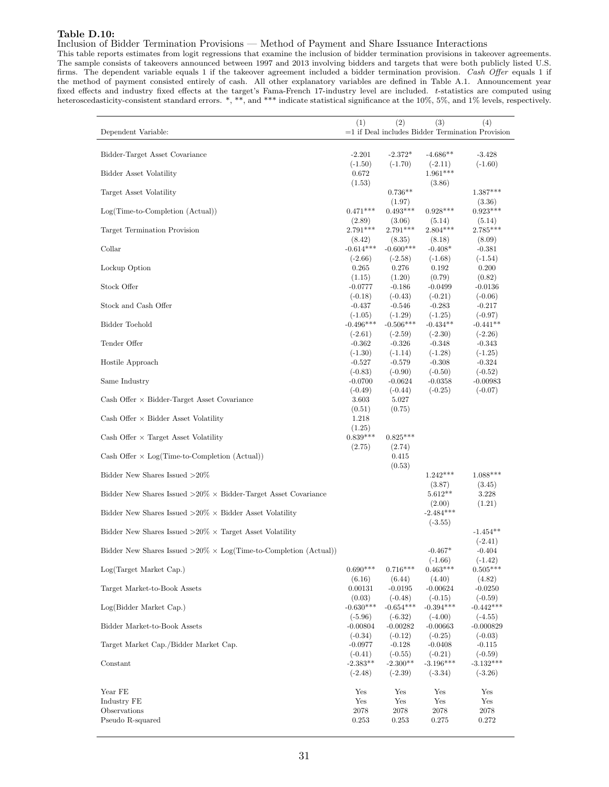## Table D.10:

## Inclusion of Bidder Termination Provisions — Method of Payment and Share Issuance Interactions

This table reports estimates from logit regressions that examine the inclusion of bidder termination provisions in takeover agreements. The sample consists of takeovers announced between 1997 and 2013 involving bidders and targets that were both publicly listed U.S. firms. The dependent variable equals 1 if the takeover agreement included a bidder termination provision. Cash Offer equals 1 if the method of payment consisted entirely of cash. All other explanatory variables are defined in Table A.1. Announcement year fixed effects and industry fixed effects at the target's Fama-French 17-industry level are included. t-statistics are computed using heteroscedasticity-consistent standard errors. \*, \*\*, and \*\*\* indicate statistical significance at the 10%, 5%, and 1% levels, respectively.

|                                                                                         | (1)                      | (2)                      | (3)                      | (4)                                                |
|-----------------------------------------------------------------------------------------|--------------------------|--------------------------|--------------------------|----------------------------------------------------|
| Dependent Variable:                                                                     |                          |                          |                          | $=1$ if Deal includes Bidder Termination Provision |
| Bidder-Target Asset Covariance                                                          | $-2.201$                 | $-2.372*$                | $-4.686**$               | $-3.428$                                           |
|                                                                                         | $(-1.50)$                | $(-1.70)$                | $(-2.11)$                | $(-1.60)$                                          |
| Bidder Asset Volatility                                                                 | 0.672<br>(1.53)          |                          | $1.961***$<br>(3.86)     |                                                    |
| Target Asset Volatility                                                                 |                          | $0.736**$                |                          | $1.387***$                                         |
|                                                                                         |                          | (1.97)                   |                          | (3.36)                                             |
| Log(Time-to-Completion (Actual))                                                        | $0.471***$<br>(2.89)     | $0.493***$<br>(3.06)     | $0.928***$<br>(5.14)     | $0.923***$<br>(5.14)                               |
| Target Termination Provision                                                            | $2.791***$               | $2.791***$               | $2.804***$               | $2.785***$                                         |
|                                                                                         | (8.42)                   | (8.35)                   | (8.18)                   | (8.09)                                             |
| Collar                                                                                  | $-0.614***$<br>$(-2.66)$ | $-0.600***$<br>$(-2.58)$ | $-0.408*$<br>$(-1.68)$   | $-0.381$<br>$(-1.54)$                              |
| Lockup Option                                                                           | 0.265                    | 0.276                    | 0.192                    | 0.200                                              |
|                                                                                         | (1.15)                   | (1.20)                   | (0.79)                   | (0.82)                                             |
| Stock Offer                                                                             | $-0.0777$<br>$(-0.18)$   | $-0.186$<br>$(-0.43)$    | $-0.0499$<br>$(-0.21)$   | $-0.0136$<br>$(-0.06)$                             |
| Stock and Cash Offer                                                                    | $-0.437$                 | $-0.546$                 | $-0.283$                 | $-0.217$                                           |
|                                                                                         | $(-1.05)$                | $(-1.29)$                | $(-1.25)$                | $(-0.97)$                                          |
| Bidder Toehold                                                                          | $-0.496***$<br>$(-2.61)$ | $-0.506***$<br>$(-2.59)$ | $-0.434**$<br>$(-2.30)$  | $-0.441**$<br>$(-2.26)$                            |
| Tender Offer                                                                            | $-0.362$                 | $-0.326$                 | $-0.348$                 | $-0.343$                                           |
|                                                                                         | $(-1.30)$                | $(-1.14)$                | $(-1.28)$                | $(-1.25)$                                          |
| Hostile Approach                                                                        | $-0.527$                 | $-0.579$                 | $-0.308$                 | $-0.324$                                           |
| Same Industry                                                                           | $(-0.83)$<br>$-0.0700$   | $(-0.90)$<br>$-0.0624$   | $(-0.50)$<br>$-0.0358$   | $(-0.52)$<br>$-0.00983$                            |
|                                                                                         | $(-0.49)$                | $(-0.44)$                | $(-0.25)$                | $(-0.07)$                                          |
| $\text{Cash } \text{Offer} \times \text{Bider-Target } \text{Asset } \text{Covariance}$ | 3.603                    | 5.027<br>(0.75)          |                          |                                                    |
| Cash Offer $\times$ Bidder Asset Volatility                                             | (0.51)<br>1.218          |                          |                          |                                                    |
|                                                                                         | (1.25)                   |                          |                          |                                                    |
| Cash Offer $\times$ Target Asset Volatility                                             | $0.839***$<br>(2.75)     | $0.825***$<br>(2.74)     |                          |                                                    |
| Cash Offer $\times$ Log(Time-to-Completion (Actual))                                    |                          | 0.415                    |                          |                                                    |
|                                                                                         |                          | (0.53)                   |                          |                                                    |
| Bidder New Shares Issued $>20\%$                                                        |                          |                          | $1.242***$<br>(3.87)     | $1.088***$<br>(3.45)                               |
| Bidder New Shares Issued $>20\% \times$ Bidder-Target Asset Covariance                  |                          |                          | $5.612**$                | 3.228                                              |
|                                                                                         |                          |                          | (2.00)<br>$-2.484***$    | (1.21)                                             |
| Bidder New Shares Issued $>20\% \times$ Bidder Asset Volatility                         |                          |                          | $(-3.55)$                |                                                    |
| Bidder New Shares Issued $>20\% \times$ Target Asset Volatility                         |                          |                          |                          | $-1.454**$                                         |
|                                                                                         |                          |                          |                          | $(-2.41)$                                          |
| Bidder New Shares Issued $>20\% \times$ Log(Time-to-Completion (Actual))                |                          |                          | $-0.467*$<br>$(-1.66)$   | $-0.404$<br>$(-1.42)$                              |
| Log(Target Market Cap.)                                                                 | $0.690***$               | $0.716***$               | $0.463***$               | $0.505***$                                         |
| Target Market-to-Book Assets                                                            | (6.16)<br>0.00131        | (6.44)<br>$-0.0195$      | (4.40)<br>$-0.00624$     | (4.82)<br>$-0.0250$                                |
|                                                                                         | (0.03)                   | $(-0.48)$                | $(-0.15)$                | $(-0.59)$                                          |
| Log(Bidder Market Cap.)                                                                 | $-0.630***$              | $-0.654***$              | $-0.394***$              | $-0.442***$                                        |
| Bidder Market-to-Book Assets                                                            | $(-5.96)$<br>$-0.00804$  | $(-6.32)$<br>$-0.00282$  | $(-4.00)$<br>$-0.00663$  | $(-4.55)$<br>$-0.000829$                           |
|                                                                                         | $(-0.34)$                | $(-0.12)$                | $(-0.25)$                | $(-0.03)$                                          |
| Target Market Cap./Bidder Market Cap.                                                   | $-0.0977$                | $-0.128$                 | $-0.0408$                | $-0.115$                                           |
| Constant                                                                                | $(-0.41)$<br>$-2.383**$  | $(-0.55)$<br>$-2.300**$  | $(-0.21)$<br>$-3.196***$ | $(-0.59)$<br>$-3.132***$                           |
|                                                                                         | $(-2.48)$                | $(-2.39)$                | $(-3.34)$                | $(-3.26)$                                          |
|                                                                                         |                          |                          |                          |                                                    |
| Year FE<br>Industry FE                                                                  | Yes<br>Yes               | Yes<br>Yes               | Yes<br>Yes               | Yes<br>Yes                                         |
| Observations                                                                            | 2078                     | $\boldsymbol{2078}$      | 2078                     | 2078                                               |
| Pseudo R-squared                                                                        | 0.253                    | 0.253                    | 0.275                    | 0.272                                              |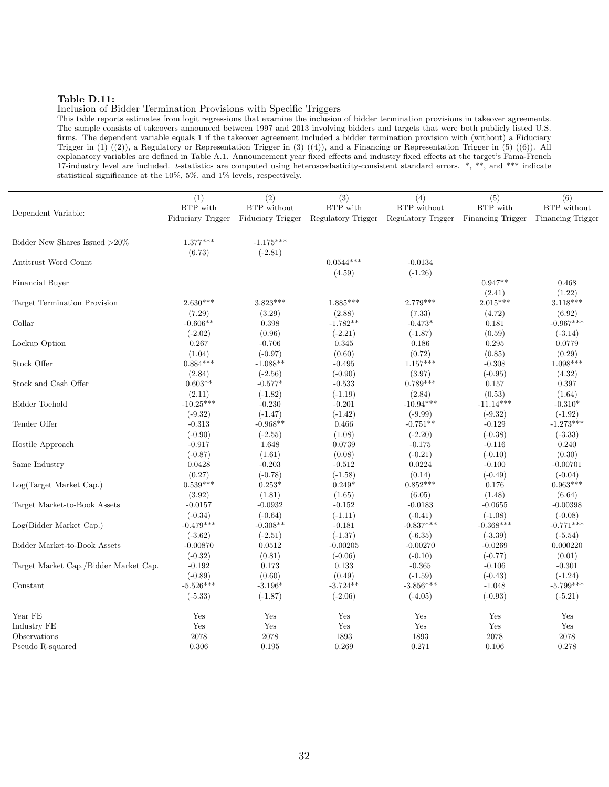## Table D.11:

#### Inclusion of Bidder Termination Provisions with Specific Triggers

This table reports estimates from logit regressions that examine the inclusion of bidder termination provisions in takeover agreements. The sample consists of takeovers announced between 1997 and 2013 involving bidders and targets that were both publicly listed U.S. firms. The dependent variable equals 1 if the takeover agreement included a bidder termination provision with (without) a Fiduciary Trigger in (1) ((2)), a Regulatory or Representation Trigger in (3) ((4)), and a Financing or Representation Trigger in (5) ((6)). All explanatory variables are defined in Table A.1. Announcement year fixed effects and industry fixed effects at the target's Fama-French 17-industry level are included. t-statistics are computed using heteroscedasticity-consistent standard errors. \*, \*\*, and \*\*\* indicate statistical significance at the 10%, 5%, and 1% levels, respectively.

|                                       | (1)                           | (2)         | (3)                                                                                   | (4)         | (5)         | (6)                              |
|---------------------------------------|-------------------------------|-------------|---------------------------------------------------------------------------------------|-------------|-------------|----------------------------------|
| Dependent Variable:                   | BTP with<br>Fiduciary Trigger | BTP without | BTP with<br>Fiduciary Trigger Regulatory Trigger Regulatory Trigger Financing Trigger | BTP without | BTP with    | BTP without<br>Financing Trigger |
|                                       |                               |             |                                                                                       |             |             |                                  |
| Bidder New Shares Issued ${>}20\%$    | $1.377***$                    | $-1.175***$ |                                                                                       |             |             |                                  |
|                                       | (6.73)                        | $(-2.81)$   |                                                                                       |             |             |                                  |
| Antitrust Word Count                  |                               |             | $0.0544***$                                                                           | $-0.0134$   |             |                                  |
|                                       |                               |             | (4.59)                                                                                | $(-1.26)$   |             |                                  |
| Financial Buyer                       |                               |             |                                                                                       |             | $0.947**$   | 0.468                            |
|                                       |                               |             |                                                                                       |             | (2.41)      | (1.22)                           |
| Target Termination Provision          | $2.630***$                    | $3.823***$  | $1.885***$                                                                            | $2.779***$  | $2.015***$  | $3.118***$                       |
|                                       | (7.29)                        | (3.29)      | (2.88)                                                                                | (7.33)      | (4.72)      | (6.92)                           |
| Collar                                | $-0.606**$                    | 0.398       | $-1.782**$                                                                            | $-0.473*$   | 0.181       | $-0.967***$                      |
|                                       | $(-2.02)$                     | (0.96)      | $(-2.21)$                                                                             | $(-1.87)$   | (0.59)      | $(-3.14)$                        |
| Lockup Option                         | 0.267                         | $-0.706$    | 0.345                                                                                 | 0.186       | 0.295       | 0.0779                           |
|                                       | (1.04)                        | $(-0.97)$   | (0.60)                                                                                | (0.72)      | (0.85)      | (0.29)                           |
| Stock Offer                           | $0.884***$                    | $-1.088**$  | $-0.495$                                                                              | $1.157***$  | $-0.308$    | $1.098***$                       |
|                                       | (2.84)                        | $(-2.56)$   | $(-0.90)$                                                                             | (3.97)      | $(-0.95)$   | (4.32)                           |
| Stock and Cash Offer                  | $0.603**$                     | $-0.577*$   | $-0.533$                                                                              | $0.789***$  | 0.157       | 0.397                            |
|                                       | (2.11)                        | $(-1.82)$   | $(-1.19)$                                                                             | (2.84)      | (0.53)      | (1.64)                           |
| Bidder Toehold                        | $-10.25***$                   | $-0.230$    | $-0.201$                                                                              | $-10.94***$ | $-11.14***$ | $-0.310*$                        |
|                                       | $(-9.32)$                     | $(-1.47)$   | $(-1.42)$                                                                             | $(-9.99)$   | $(-9.32)$   | $(-1.92)$                        |
| Tender Offer                          | $-0.313$                      | $-0.968**$  | 0.466                                                                                 | $-0.751**$  | $-0.129$    | $-1.273***$                      |
|                                       | $(-0.90)$                     | $(-2.55)$   | (1.08)                                                                                | $(-2.20)$   | $(-0.38)$   | $(-3.33)$                        |
| Hostile Approach                      | $-0.917$                      | 1.648       | 0.0739                                                                                | $-0.175$    | $-0.116$    | 0.240                            |
|                                       | $(-0.87)$                     | (1.61)      | (0.08)                                                                                | $(-0.21)$   | $(-0.10)$   | (0.30)                           |
| Same Industry                         | 0.0428                        | $-0.203$    | $-0.512$                                                                              | 0.0224      | $-0.100$    | $-0.00701$                       |
|                                       | (0.27)                        | $(-0.78)$   | $(-1.58)$                                                                             | (0.14)      | $(-0.49)$   | $(-0.04)$                        |
| Log(Target Market Cap.)               | $0.539***$                    | $0.253*$    | $0.249*$                                                                              | $0.852***$  | 0.176       | $0.963***$                       |
|                                       | (3.92)                        | (1.81)      | (1.65)                                                                                | (6.05)      | (1.48)      | (6.64)                           |
| Target Market-to-Book Assets          | $-0.0157$                     | $-0.0932$   | $-0.152$                                                                              | $-0.0183$   | $-0.0655$   | $-0.00398$                       |
|                                       | $(-0.34)$                     | $(-0.64)$   | $(-1.11)$                                                                             | $(-0.41)$   | $(-1.08)$   | $(-0.08)$                        |
| Log(Bidder Market Cap.)               | $-0.479***$                   | $-0.308**$  | $-0.181$                                                                              | $-0.837***$ | $-0.368***$ | $-0.771***$                      |
|                                       | $(-3.62)$                     | $(-2.51)$   | $(-1.37)$                                                                             | $(-6.35)$   | $(-3.39)$   | $(-5.54)$                        |
| Bidder Market-to-Book Assets          | $-0.00870$                    | 0.0512      | $-0.00205$                                                                            | $-0.00270$  | $-0.0269$   | 0.000220                         |
|                                       | $(-0.32)$                     | (0.81)      | $(-0.06)$                                                                             | $(-0.10)$   | $(-0.77)$   | (0.01)                           |
| Target Market Cap./Bidder Market Cap. | $-0.192$                      | 0.173       | 0.133                                                                                 | $-0.365$    | $-0.106$    | $-0.301$                         |
|                                       | $(-0.89)$                     | (0.60)      | (0.49)                                                                                | $(-1.59)$   | $(-0.43)$   | $(-1.24)$                        |
| Constant                              | $-5.526***$                   | $-3.196*$   | $-3.724**$                                                                            | $-3.856***$ | $-1.048$    | $-5.799***$                      |
|                                       | $(-5.33)$                     | $(-1.87)$   | $(-2.06)$                                                                             | $(-4.05)$   | $(-0.93)$   | $(-5.21)$                        |
| Year FE                               | Yes                           | Yes         | Yes                                                                                   | Yes         | Yes         | Yes                              |
| Industry FE                           | Yes                           | Yes         | Yes                                                                                   | Yes         | Yes         | Yes                              |
| Observations                          | 2078                          | 2078        | 1893                                                                                  | 1893        | 2078        | 2078                             |
| Pseudo R-squared                      | 0.306                         | 0.195       | 0.269                                                                                 | 0.271       | 0.106       | 0.278                            |
|                                       |                               |             |                                                                                       |             |             |                                  |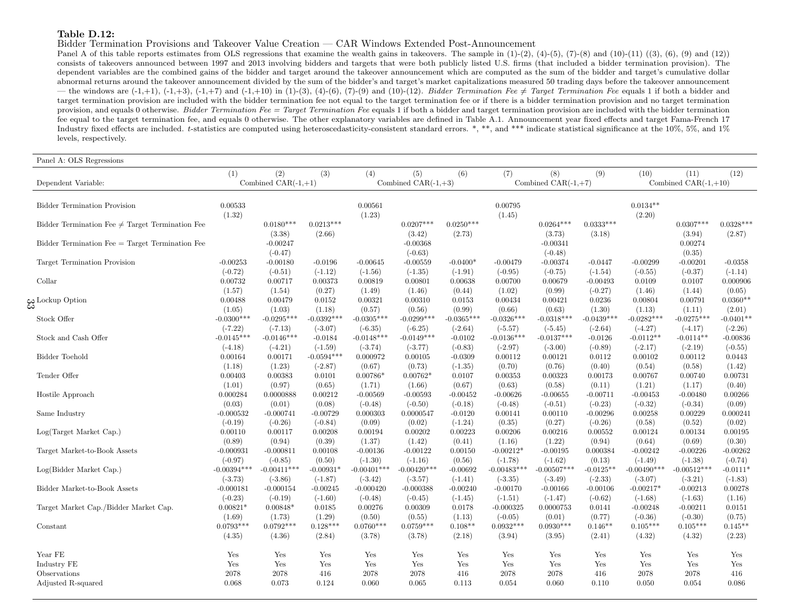#### Table D.12:

Bidder Termination Provisions and Takeover Value Creation — CAR Windows Extended Post-Announcement

Panel A of this table reports estimates from OLS regressions that examine the wealth gains in takeovers. The sample in  $(1)-(2)$ ,  $(4)-(5)$ ,  $(7)-(8)$  and  $(10)-(11)$   $((3)$ ,  $(6)$ ,  $(9)$  and  $(12)$ ) consists of takeovers announced between <sup>1997</sup> and <sup>2013</sup> involving bidders and targets that were both publicly listed U.S. firms (that included <sup>a</sup> bidder termination provision). The dependent variables are the combined gains of the bidder and target around the takeover announcement which are computed as the sum of the bidder and target's cumulative dollar abnormal returns around the takeover announcement divided by the sum of the bidder's and target's market capitalizations measured 50 trading days before the takeover announcement— the windows are  $(-1,+1)$ ,  $(-1,+3)$ ,  $(-1,+7)$  and  $(-1,+10)$  in  $(1)-(3)$ ,  $(4)-(6)$ ,  $(7)-(9)$  and  $(10)-(12)$ . Bidder Termination Fee  $\neq$  Target Termination Fee equals 1 if both a bidder and target termination provision are included with the bidder termination fee not equal to the target termination fee or if there is a bidder termination provision and no target termination provision, and equals 0 otherwise. *Bidder Termination Fee = Target Termination Fee* equals 1 if both a bidder and target termination provision are included with the bidder termination fee equal to the target termination fee, and equals 0 otherwise. The other explanatory variables are defined in Table A.1. Announcement year fixed effects and target Fama-French 17Industry fixed effects are included. t-statistics are computed using heteroscedasticity-consistent standard errors. \*, \*\*, and \*\*\* indicate statistical significance at the 10%, 5%, and 1% levels, respectively.

| Panel A: OLS Regressions                             |                           |                              |                           |                           |                               |                           |                           |                              |                           |                           |                                |                          |
|------------------------------------------------------|---------------------------|------------------------------|---------------------------|---------------------------|-------------------------------|---------------------------|---------------------------|------------------------------|---------------------------|---------------------------|--------------------------------|--------------------------|
| Dependent Variable:                                  | (1)                       | (2)<br>Combined $CAR(-1,+1)$ | (3)                       | (4)                       | (5)<br>Combined CAR $(-1,+3)$ | (6)                       | (7)                       | (8)<br>Combined $CAR(-1,+7)$ | (9)                       | (10)                      | (11)<br>Combined $CAR(-1,+10)$ | (12)                     |
| <b>Bidder Termination Provision</b>                  | 0.00533                   |                              |                           | 0.00561                   |                               |                           | 0.00795                   |                              |                           | $0.0134**$                |                                |                          |
|                                                      | (1.32)                    |                              |                           | (1.23)                    |                               |                           | (1.45)                    |                              |                           | (2.20)                    |                                |                          |
| Bidder Termination Fee $\neq$ Target Termination Fee |                           | $0.0180***$<br>(3.38)        | $0.0213***$<br>(2.66)     |                           | $0.0207***$<br>(3.42)         | $0.0250***$<br>(2.73)     |                           | $0.0264***$<br>(3.73)        | $0.0333***$<br>(3.18)     |                           | $0.0307***$<br>(3.94)          | $0.0328***$<br>(2.87)    |
| $Bidder$ Termination Fee $=$ Target Termination Fee  |                           | $-0.00247$<br>$(-0.47)$      |                           |                           | $-0.00368$<br>$(-0.63)$       |                           |                           | $-0.00341$<br>$(-0.48)$      |                           |                           | 0.00274<br>(0.35)              |                          |
| Target Termination Provision                         | $-0.00253$                | $-0.00180$                   | $-0.0196$                 | $-0.00645$                | $-0.00559$                    | $-0.0400*$                | $-0.00479$                | $-0.00374$                   | $-0.0447$                 | $-0.00299$                | $-0.00201$                     | $-0.0358$                |
|                                                      | $(-0.72)$                 | $(-0.51)$                    | $(-1.12)$                 | $(-1.56)$                 | $(-1.35)$                     | $(-1.91)$                 | $(-0.95)$                 | $(-0.75)$                    | $(-1.54)$                 | $(-0.55)$                 | $(-0.37)$                      | $(-1.14)$                |
| Collar                                               | 0.00732                   | 0.00717                      | 0.00373                   | 0.00819                   | 0.00801                       | 0.00638                   | 0.00700                   | 0.00679                      | $-0.00493$                | 0.0109                    | 0.0107                         | 0.000906                 |
|                                                      | (1.57)                    | (1.54)                       | (0.27)                    | (1.49)                    | (1.46)                        | (0.44)                    | (1.02)                    | (0.99)                       | $(-0.27)$                 | (1.46)                    | (1.44)                         | (0.05)                   |
| ယ္ Lockup Option                                     | 0.00488                   | 0.00479                      | 0.0152                    | 0.00321                   | 0.00310                       | 0.0153                    | 0.00434                   | 0.00421                      | 0.0236                    | 0.00804                   | 0.00791                        | $0.0360**$               |
|                                                      | (1.05)                    | (1.03)                       | (1.18)                    | (0.57)                    | (0.56)                        | (0.99)                    | (0.66)                    | (0.63)                       | (1.30)                    | (1.13)                    | (1.11)                         | (2.01)                   |
| Stock Offer                                          | $-0.0300***$<br>$(-7.22)$ | $-0.0295***$<br>$(-7.13)$    | $-0.0392***$<br>$(-3.07)$ | $-0.0305***$<br>$(-6.35)$ | $-0.0299***$<br>$(-6.25)$     | $-0.0365***$<br>$(-2.64)$ | $-0.0326***$              | $-0.0318***$<br>$(-5.45)$    | $-0.0439***$<br>$(-2.64)$ | $-0.0282***$<br>$(-4.27)$ | $-0.0275***$<br>$(-4.17)$      | $-0.0401**$<br>$(-2.26)$ |
| Stock and Cash Offer                                 | $-0.0145***$              | $-0.0146***$                 | $-0.0184$                 | $-0.0148***$              | $-0.0149***$                  | $-0.0102$                 | $(-5.57)$<br>$-0.0136***$ | $-0.0137***$                 | $-0.0126$                 | $-0.0112**$               | $-0.0114**$                    | $-0.00836$               |
| Bidder Toehold                                       | $(-4.18)$                 | $(-4.21)$                    | $(-1.59)$                 | $(-3.74)$                 | $(-3.77)$                     | $(-0.83)$                 | $(-2.97)$                 | $(-3.00)$                    | $(-0.89)$                 | $(-2.17)$                 | $(-2.19)$                      | $(-0.55)$                |
|                                                      | 0.00164                   | 0.00171                      | $-0.0594***$              | 0.000972                  | 0.00105                       | $-0.0309$                 | 0.00112                   | 0.00121                      | 0.0112                    | 0.00102                   | 0.00112                        | 0.0443                   |
| Tender Offer                                         | (1.18)                    | (1.23)                       | $(-2.87)$                 | (0.67)                    | (0.73)                        | $(-1.35)$                 | (0.70)                    | (0.76)                       | (0.40)                    | (0.54)                    | (0.58)                         | (1.42)                   |
|                                                      | 0.00403                   | 0.00383                      | 0.0101                    | $0.00786*$                | $0.00762*$                    | 0.0107                    | 0.00353                   | 0.00323                      | 0.00173                   | 0.00767                   | 0.00740                        | 0.00731                  |
| Hostile Approach                                     | (1.01)                    | (0.97)                       | (0.65)                    | (1.71)                    | (1.66)                        | (0.67)                    | (0.63)                    | (0.58)                       | (0.11)                    | (1.21)                    | (1.17)                         | (0.40)                   |
|                                                      | 0.000284                  | 0.0000888                    | 0.00212                   | $-0.00569$                | $-0.00593$                    | $-0.00452$                | $-0.00626$                | $-0.00655$                   | $-0.00711$                | $-0.00453$                | $-0.00480$                     | 0.00266                  |
| Same Industry                                        | (0.03)                    | (0.01)                       | (0.08)                    | $(-0.48)$                 | $(-0.50)$                     | $(-0.18)$                 | $(-0.48)$                 | $(-0.51)$                    | $(-0.23)$                 | $(-0.32)$                 | $(-0.34)$                      | (0.09)                   |
|                                                      | $-0.000532$               | $-0.000741$                  | $-0.00729$                | 0.000303                  | 0.0000547                     | $-0.0120$                 | 0.00141                   | 0.00110                      | $-0.00296$                | 0.00258                   | 0.00229                        | 0.000241                 |
| Log(Target Market Cap.)                              | $(-0.19)$                 | $(-0.26)$                    | $(-0.84)$                 | (0.09)                    | (0.02)                        | $(-1.24)$                 | (0.35)                    | (0.27)                       | $(-0.26)$                 | (0.58)                    | (0.52)                         | (0.02)                   |
|                                                      | 0.00110                   | 0.00117                      | 0.00208                   | 0.00194                   | 0.00202                       | 0.00223                   | 0.00206                   | 0.00216                      | 0.00552                   | 0.00124                   | 0.00134                        | 0.00195                  |
| Target Market-to-Book Assets                         | (0.89)                    | (0.94)                       | (0.39)                    | (1.37)                    | (1.42)                        | (0.41)                    | (1.16)                    | (1.22)                       | (0.94)                    | (0.64)                    | (0.69)                         | (0.30)                   |
|                                                      | $-0.000931$               | $-0.000811$                  | 0.00108                   | $-0.00136$                | $-0.00122$                    | 0.00150                   | $-0.00212*$               | $-0.00195$                   | 0.000384                  | $-0.00242$                | $-0.00226$                     | $-0.00262$               |
| Log(Bidder Market Cap.)                              | $(-0.97)$                 | $(-0.85)$                    | (0.50)                    | $(-1.30)$                 | $(-1.16)$                     | (0.56)                    | $(-1.78)$                 | $(-1.62)$                    | (0.13)                    | $(-1.49)$                 | $(-1.38)$                      | $(-0.74)$                |
|                                                      | $-0.00394***$             | $-0.00411***$                | $-0.00931$ <sup>*</sup>   | $-0.00401***$             | $-0.00420***$                 | $-0.00692$                | $-0.00483***$             | $-0.00507***$                | $-0.0125**$               | $-0.00490***$             | $-0.00512***$                  | $-0.0111$                |
| Bidder Market-to-Book Assets                         | $(-3.73)$                 | $(-3.86)$                    | $(-1.87)$                 | $(-3.42)$                 | $(-3.57)$                     | $(-1.41)$                 | $(-3.35)$                 | $(-3.49)$                    | $(-2.33)$                 | $(-3.07)$                 | $(-3.21)$                      | $(-1.83)$                |
|                                                      | $-0.000181$               | $-0.000154$                  | $-0.00245$                | $-0.000420$               | $-0.000388$                   | $-0.00240$                | $-0.00170$                | $-0.00166$                   | $-0.00106$                | $-0.00217*$               | $-0.00213$                     | 0.00278                  |
| Target Market Cap./Bidder Market Cap.                | $(-0.23)$                 | $(-0.19)$                    | $(-1.60)$                 | $(-0.48)$                 | $(-0.45)$                     | $(-1.45)$                 | $(-1.51)$                 | $(-1.47)$                    | $(-0.62)$                 | $(-1.68)$                 | $(-1.63)$                      | (1.16)                   |
|                                                      | $0.00821*$                | $0.00848*$                   | 0.0185                    | 0.00276                   | 0.00309                       | 0.0178                    | $-0.000325$               | 0.0000753                    | 0.0141                    | $-0.00248$                | $-0.00211$                     | 0.0151                   |
| Constant                                             | (1.69)                    | (1.73)                       | (1.29)                    | (0.50)                    | (0.55)                        | (1.13)                    | $(-0.05)$                 | (0.01)                       | (0.77)                    | $(-0.36)$                 | $(-0.30)$                      | (0.75)                   |
|                                                      | $0.0793***$               | $0.0792***$                  | $0.128***$                | $0.0760***$               | $0.0759***$                   | $0.108**$                 | $0.0932***$               | $0.0930***$                  | $0.146**$                 | $0.105***$                | $0.105***$                     | $0.145**$                |
|                                                      | (4.35)                    | (4.36)                       | (2.84)                    | (3.78)                    | (3.78)                        | (2.18)                    | (3.94)                    | (3.95)                       | (2.41)                    | (4.32)                    | (4.32)                         | (2.23)                   |
| Year FE                                              | Yes                       | Yes                          | Yes                       | Yes                       | Yes                           | Yes                       | Yes                       | Yes                          | Yes                       | Yes                       | Yes                            | Yes                      |
| Industry FE                                          | Yes                       | Yes                          | Yes                       | Yes                       | Yes                           | Yes                       | Yes                       | Yes                          | Yes                       | Yes                       | Yes                            | Yes                      |
| Observations                                         | 2078                      | 2078                         | 416                       | 2078                      | 2078                          | 416                       | 2078                      | 2078                         | 416                       | 2078                      | 2078                           | 416                      |
| Adjusted R-squared                                   | 0.068                     | 0.073                        | 0.124                     | 0.060                     | 0.065                         | 0.113                     | 0.054                     | 0.060                        | 0.110                     | 0.050                     | 0.054                          | 0.086                    |
|                                                      |                           |                              |                           |                           |                               |                           |                           |                              |                           |                           |                                |                          |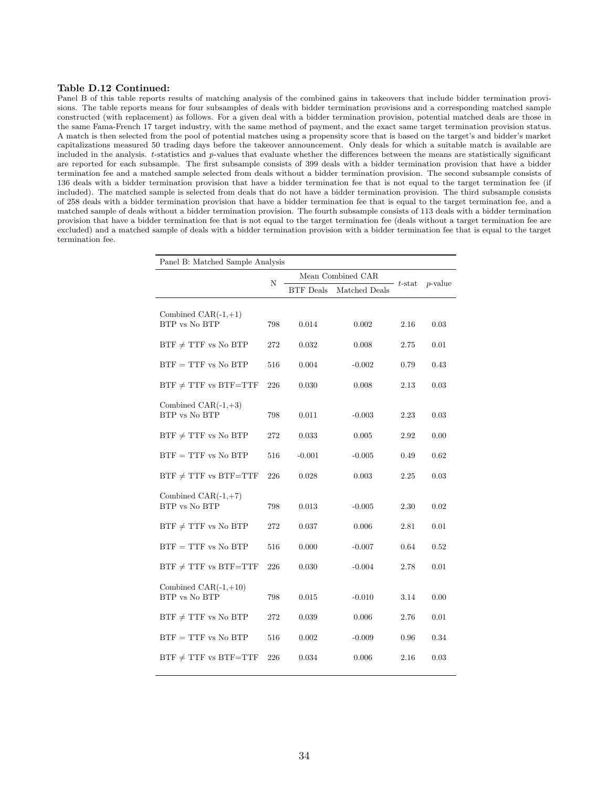#### Table D.12 Continued:

Panel B of this table reports results of matching analysis of the combined gains in takeovers that include bidder termination provisions. The table reports means for four subsamples of deals with bidder termination provisions and a corresponding matched sample constructed (with replacement) as follows. For a given deal with a bidder termination provision, potential matched deals are those in the same Fama-French 17 target industry, with the same method of payment, and the exact same target termination provision status. A match is then selected from the pool of potential matches using a propensity score that is based on the target's and bidder's market capitalizations measured 50 trading days before the takeover announcement. Only deals for which a suitable match is available are included in the analysis. t-statistics and p-values that evaluate whether the differences between the means are statistically significant are reported for each subsample. The first subsample consists of 399 deals with a bidder termination provision that have a bidder termination fee and a matched sample selected from deals without a bidder termination provision. The second subsample consists of 136 deals with a bidder termination provision that have a bidder termination fee that is not equal to the target termination fee (if included). The matched sample is selected from deals that do not have a bidder termination provision. The third subsample consists of 258 deals with a bidder termination provision that have a bidder termination fee that is equal to the target termination fee, and a matched sample of deals without a bidder termination provision. The fourth subsample consists of 113 deals with a bidder termination provision that have a bidder termination fee that is not equal to the target termination fee (deals without a target termination fee are excluded) and a matched sample of deals with a bidder termination provision with a bidder termination fee that is equal to the target termination fee.

| Panel B: Matched Sample Analysis        |     |                  |                   |           |            |  |  |  |  |
|-----------------------------------------|-----|------------------|-------------------|-----------|------------|--|--|--|--|
|                                         | N   |                  | Mean Combined CAR | $t$ -stat |            |  |  |  |  |
|                                         |     | <b>BTF</b> Deals | Matched Deals     |           | $p$ -value |  |  |  |  |
|                                         |     |                  |                   |           |            |  |  |  |  |
| Combined $CAR(-1,+1)$<br>BTP vs No BTP  | 798 | 0.014            | 0.002             | 2.16      | 0.03       |  |  |  |  |
| $BTF \neq TTF$ vs No BTP                | 272 | 0.032            | 0.008             | 2.75      | 0.01       |  |  |  |  |
| $BTF = TTF$ vs No $BTP$                 | 516 | 0.004            | $-0.002$          | 0.79      | 0.43       |  |  |  |  |
| $BTF \neq TTF$ vs $BTF=TTF$             | 226 | 0.030            | 0.008             | 2.13      | 0.03       |  |  |  |  |
| Combined $CAR(-1,+3)$<br>BTP vs No BTP  | 798 | 0.011            | $-0.003$          | 2.23      | 0.03       |  |  |  |  |
| $BTF \neq TTF$ vs No BTP                | 272 | 0.033            | 0.005             | 2.92      | 0.00       |  |  |  |  |
| $BTF = TTF$ vs No $BTP$                 | 516 | $-0.001$         | $-0.005$          | 0.49      | 0.62       |  |  |  |  |
| $BTF \neq TTF$ vs $BTF=TTF$             | 226 | 0.028            | 0.003             | 2.25      | 0.03       |  |  |  |  |
| Combined $CAR(-1,+7)$<br>BTP vs No BTP  | 798 | 0.013            | $-0.005$          | 2.30      | 0.02       |  |  |  |  |
| $BTF \neq TTF$ vs No BTP                | 272 | 0.037            | 0.006             | 2.81      | 0.01       |  |  |  |  |
| $BTF = TTF$ vs No BTP                   | 516 | 0.000            | $-0.007$          | 0.64      | 0.52       |  |  |  |  |
| $BTF \neq TTF$ vs $BTF=TTF$             | 226 | 0.030            | $-0.004$          | 2.78      | 0.01       |  |  |  |  |
| Combined $CAR(-1,+10)$<br>BTP vs No BTP | 798 | 0.015            | $-0.010$          | 3.14      | 0.00       |  |  |  |  |
| $BTF \neq TTF$ vs No BTP                | 272 | 0.039            | 0.006             | 2.76      | 0.01       |  |  |  |  |
| $BTF = TTF$ vs No BTP                   | 516 | 0.002            | $-0.009$          | 0.96      | 0.34       |  |  |  |  |
| $BTF \neq TTF$ vs $BTF=TTF$             | 226 | 0.034            | 0.006             | 2.16      | 0.03       |  |  |  |  |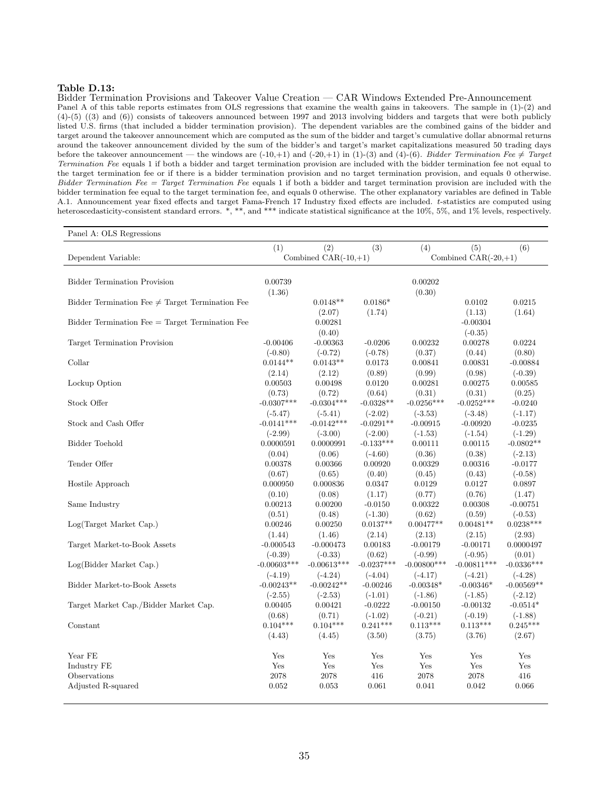#### Table D.13:

Bidder Termination Provisions and Takeover Value Creation — CAR Windows Extended Pre-Announcement Panel A of this table reports estimates from OLS regressions that examine the wealth gains in takeovers. The sample in  $(1)-(2)$  and (4)-(5) ((3) and (6)) consists of takeovers announced between 1997 and 2013 involving bidders and targets that were both publicly listed U.S. firms (that included a bidder termination provision). The dependent variables are the combined gains of the bidder and target around the takeover announcement which are computed as the sum of the bidder and target's cumulative dollar abnormal returns around the takeover announcement divided by the sum of the bidder's and target's market capitalizations measured 50 trading days before the takeover announcement — the windows are  $(-10,+1)$  and  $(-20,+1)$  in  $(1)-(3)$  and  $(4)-(6)$ . Bidder Termination Fee  $\neq$  Target Termination Fee equals 1 if both a bidder and target termination provision are included with the bidder termination fee not equal to the target termination fee or if there is a bidder termination provision and no target termination provision, and equals 0 otherwise. Bidder Termination Fee = Target Termination Fee equals 1 if both a bidder and target termination provision are included with the bidder termination fee equal to the target termination fee, and equals 0 otherwise. The other explanatory variables are defined in Table A.1. Announcement year fixed effects and target Fama-French 17 Industry fixed effects are included. t-statistics are computed using heteroscedasticity-consistent standard errors. \*, \*\*, and \*\*\* indicate statistical significance at the 10%, 5%, and 1% levels, respectively.

| Panel A: OLS Regressions                             |                           |                           |                         |                             |                          |                           |  |
|------------------------------------------------------|---------------------------|---------------------------|-------------------------|-----------------------------|--------------------------|---------------------------|--|
|                                                      | (1)                       | (2)                       | (3)                     | (4)                         | (5)                      | (6)                       |  |
| Dependent Variable:                                  |                           | Combined $CAR(-10,+1)$    |                         | Combined $CAR(-20,+1)$      |                          |                           |  |
|                                                      |                           |                           |                         |                             |                          |                           |  |
| <b>Bidder Termination Provision</b>                  | 0.00739                   |                           |                         | 0.00202                     |                          |                           |  |
|                                                      | (1.36)                    |                           |                         | (0.30)                      |                          |                           |  |
| Bidder Termination Fee $\neq$ Target Termination Fee |                           | $0.0148**$                | $0.0186*$               |                             | 0.0102                   | 0.0215                    |  |
|                                                      |                           | (2.07)                    | (1.74)                  |                             | (1.13)                   | (1.64)                    |  |
| Bidder Termination Fee = Target Termination Fee      |                           | 0.00281                   |                         |                             | $-0.00304$               |                           |  |
|                                                      |                           | (0.40)                    |                         |                             | $(-0.35)$                |                           |  |
| Target Termination Provision                         | $-0.00406$                | $-0.00363$                | $-0.0206$               | 0.00232                     | 0.00278                  | 0.0224                    |  |
|                                                      | $(-0.80)$                 | $(-0.72)$                 | $(-0.78)$               | (0.37)                      | (0.44)                   | (0.80)                    |  |
| Collar                                               | $0.0144**$                | $0.0143**$                | 0.0173                  | 0.00841                     | 0.00831                  | $-0.00884$                |  |
|                                                      | (2.14)                    | (2.12)                    | (0.89)                  | (0.99)                      | (0.98)                   | $(-0.39)$                 |  |
| Lockup Option                                        | 0.00503                   | 0.00498                   | 0.0120                  | 0.00281                     | 0.00275                  | 0.00585                   |  |
|                                                      | (0.73)                    | (0.72)                    | (0.64)                  | (0.31)                      | (0.31)                   | (0.25)                    |  |
| Stock Offer                                          | $-0.0307***$              | $-0.0304***$              | $-0.0328**$             | $-0.0256***$                | $-0.0252***$             | $-0.0240$                 |  |
|                                                      | $(-5.47)$                 | $(-5.41)$                 | $(-2.02)$               | $(-3.53)$                   | $(-3.48)$                | $(-1.17)$                 |  |
| Stock and Cash Offer                                 | $-0.0141***$              | $-0.0142***$              | $-0.0291**$             | $-0.00915$                  | $-0.00920$               | $-0.0235$                 |  |
|                                                      | $(-2.99)$                 | $(-3.00)$                 | $(-2.00)$               | $(-1.53)$                   | $(-1.54)$                | $(-1.29)$                 |  |
| Bidder Toehold                                       | 0.0000591                 | 0.0000991                 | $-0.133***$             | 0.00111                     | 0.00115                  | $-0.0802**$               |  |
|                                                      | (0.04)                    | (0.06)                    | $(-4.60)$               | (0.36)                      | (0.38)                   | $(-2.13)$                 |  |
| Tender Offer                                         | 0.00378                   | 0.00366                   | 0.00920                 | 0.00329                     | 0.00316                  | $-0.0177$                 |  |
|                                                      | (0.67)                    | (0.65)                    | (0.40)                  | (0.45)                      | (0.43)                   | $(-0.58)$                 |  |
| Hostile Approach                                     | 0.000950                  | 0.000836                  | 0.0347                  | 0.0129                      | 0.0127                   | 0.0897                    |  |
|                                                      | (0.10)                    | (0.08)                    | (1.17)                  | (0.77)                      | (0.76)                   | (1.47)                    |  |
| Same Industry                                        | 0.00213                   | 0.00200                   | $-0.0150$               | 0.00322                     | 0.00308                  | $-0.00751$                |  |
|                                                      | (0.51)                    | (0.48)                    | $(-1.30)$               | (0.62)                      | (0.59)                   | $(-0.53)$                 |  |
| Log(Target Market Cap.)                              | 0.00246                   | 0.00250                   | $0.0137**$              | $0.00477**$                 | $0.00481**$              | $0.0238***$               |  |
|                                                      | (1.44)                    | (1.46)                    | (2.14)                  | (2.13)                      | (2.15)                   | (2.93)                    |  |
| Target Market-to-Book Assets                         | $-0.000543$               | $-0.000473$               | 0.00183                 | $-0.00179$                  | $-0.00171$               | 0.0000497                 |  |
|                                                      | $(-0.39)$                 | $(-0.33)$                 | (0.62)<br>$-0.0237***$  | $(-0.99)$<br>$-0.00800$ *** | $(-0.95)$                | (0.01)<br>$-0.0336***$    |  |
| Log(Bidder Market Cap.)                              | $-0.00603***$             | $-0.00613***$             |                         |                             | $-0.00811***$            |                           |  |
| Bidder Market-to-Book Assets                         | $(-4.19)$<br>$-0.00243**$ | $(-4.24)$<br>$-0.00242**$ | $(-4.04)$<br>$-0.00246$ | $(-4.17)$<br>$-0.00348*$    | $(-4.21)$<br>$-0.00346*$ | $(-4.28)$<br>$-0.00569**$ |  |
|                                                      | $(-2.55)$                 | $(-2.53)$                 | $(-1.01)$               | $(-1.86)$                   | $(-1.85)$                | $(-2.12)$                 |  |
| Target Market Cap./Bidder Market Cap.                | 0.00405                   | 0.00421                   | $-0.0222$               | $-0.00150$                  | $-0.00132$               | $-0.0514*$                |  |
|                                                      | (0.68)                    | (0.71)                    | $(-1.02)$               | $(-0.21)$                   | $(-0.19)$                | $(-1.88)$                 |  |
| Constant                                             | $0.104***$                | $0.104***$                | $0.241***$              | $0.113***$                  | $0.113***$               | $0.245***$                |  |
|                                                      | (4.43)                    | (4.45)                    | (3.50)                  | (3.75)                      | (3.76)                   | (2.67)                    |  |
|                                                      |                           |                           |                         |                             |                          |                           |  |
| Year FE                                              | Yes                       | Yes                       | Yes                     | Yes                         | Yes                      | Yes                       |  |
| Industry FE                                          | Yes                       | Yes                       | Yes                     | Yes                         | Yes                      | Yes                       |  |
| Observations                                         | 2078                      | 2078                      | 416                     | 2078                        | 2078                     | 416                       |  |
| Adjusted R-squared                                   | 0.052                     | 0.053                     | 0.061                   | 0.041                       | 0.042                    | 0.066                     |  |
|                                                      |                           |                           |                         |                             |                          |                           |  |